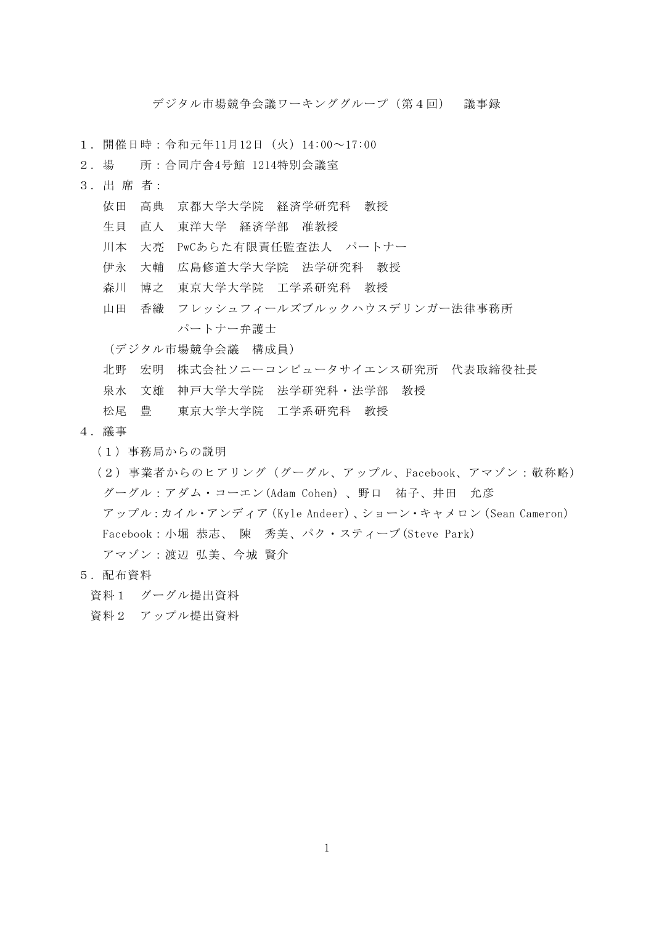デジタル市場競争会議ワーキンググループ(第4回) 議事録

- 1.開催日時:令和元年11月12日(火)14:00~17:00
- 2.場 所:合同庁舎4号館 1214特別会議室
- 3.出 席 者:
	- 依田 高典 京都大学大学院 経済学研究科 教授
	- 生貝 直人 東洋大学 経済学部 准教授
	- 川本 大亮 PwCあらた有限責任監査法人 パートナー
	- 伊永 大輔 広島修道大学大学院 法学研究科 教授
	- 森川 博之 東京大学大学院 工学系研究科 教授
	- 山田 香織 フレッシュフィールズブルックハウスデリンガー法律事務所 パートナー弁護士

(デジタル市場競争会議 構成員)

- 北野 宏明 株式会社ソニーコンピュータサイエンス研究所 代表取締役社長
- 泉水 文雄 神戸大学大学院 法学研究科・法学部 教授

松尾 豊 東京大学大学院 工学系研究科 教授

- 4.議事
	- (1)事務局からの説明
	- (2)事業者からのヒアリング(グーグル、アップル、Facebook、アマゾン:敬称略) グーグル:アダム・コーエン(Adam Cohen) 、野口 祐子、井田 允彦 アップル:カイル・アンディア(Kyle Andeer)、ショーン・キャメロン(Sean Cameron) Facebook:小堀 恭志、 陳 秀美、パク・スティーブ(Steve Park) アマゾン:渡辺 弘美、今城 賢介
- 5.配布資料
	- 資料1 グーグル提出資料
	- 資料2 アップル提出資料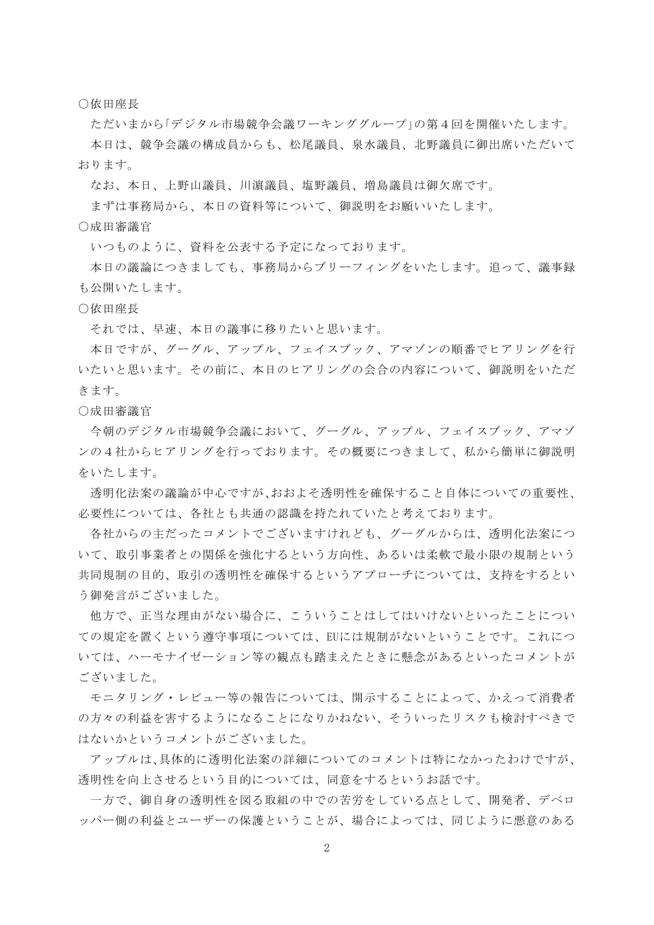○依田座長

ただいまから「デジタル市場競争会議ワーキンググループ」の第4回を開催いたします。 本日は、競争会議の構成員からも、松尾議員、泉水議員、北野議員に御出席いただいて おります。

なお、本日、上野山議員、川濵議員、塩野議員、増島議員は御欠席です。

まずは事務局から、本日の資料等について、御説明をお願いいたします。

○成田審議官

いつものように、資料を公表する予定になっております。

本日の議論につきましても、事務局からブリーフィングをいたします。追って、議事録 も公開いたします。

○依田座長

それでは、早速、本日の議事に移りたいと思います。

本日ですが、グーグル、アップル、フェイスブック、アマゾンの順番でヒアリングを行 いたいと思います。その前に、本日のヒアリングの会合の内容について、御説明をいただ きます。

○成田審議官

今朝のデジタル市場競争会議において、グーグル、アップル、フェイスブック、アマゾ ンの4社からヒアリングを行っております。その概要につきまして、私から簡単に御説明 をいたします。

透明化法案の議論が中心ですが、おおよそ透明性を確保すること自体についての重要性、 必要性については、各社とも共通の認識を持たれていたと考えております。

各社からの主だったコメントでございますけれども、グーグルからは、透明化法案につ いて、取引事業者との関係を強化するという方向性、あるいは柔軟で最小限の規制という 共同規制の目的、取引の透明性を確保するというアプローチについては、支持をするとい う御発言がございました。

他方で、正当な理由がない場合に、こういうことはしてはいけないといったことについ ての規定を置くという遵守事項については、EUには規制がないということです。これにつ いては、ハーモナイゼーション等の観点も踏まえたときに懸念があるといったコメントが ございました。

モニタリング・レビュー等の報告については、開示することによって、かえって消費者 の方々の利益を害するようになることになりかねない、そういったリスクも検討すべきで はないかというコメントがございました。

アップルは、具体的に透明化法案の詳細についてのコメントは特になかったわけですが、 透明性を向上させるという目的については、同意をするというお話です。

一方で、御自身の透明性を図る取組の中での苦労をしている点として、開発者、デベロ ッパー側の利益とユーザーの保護ということが、場合によっては、同じように悪意のある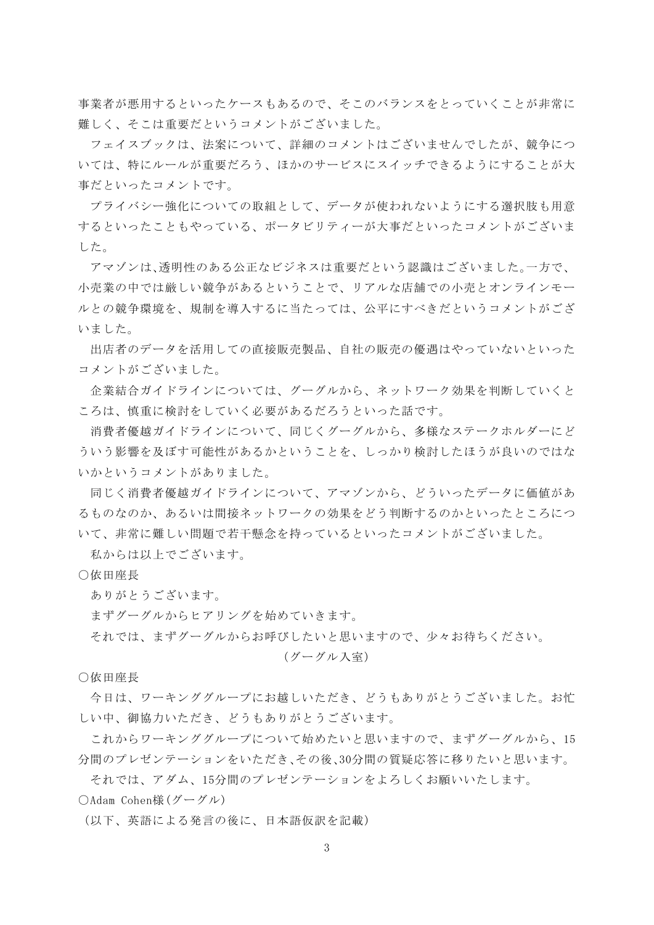事業者が悪用するといったケースもあるので、そこのバランスをとっていくことが非常に 難しく、そこは重要だというコメントがございました。

フェイスブックは、法案について、詳細のコメントはございませんでしたが、競争につ いては、特にルールが重要だろう、ほかのサービスにスイッチできるようにすることが大 事だといったコメントです。

プライバシー強化についての取組として、データが使われないようにする選択肢も用意 するといったこともやっている、ポータビリティーが大事だといったコメントがございま した。

アマゾンは、透明性のある公正なビジネスは重要だという認識はございました。一方で、 小売業の中では厳しい競争があるということで、リアルな店舗での小売とオンラインモー ルとの競争環境を、規制を導入するに当たっては、公平にすべきだというコメントがござ いました。

出店者のデータを活用しての直接販売製品、自社の販売の優遇はやっていないといった コメントがございました。

企業結合ガイドラインについては、グーグルから、ネットワーク効果を判断していくと ころは、慎重に検討をしていく必要があるだろうといった話です。

消費者優越ガイドラインについて、同じくグーグルから、多様なステークホルダーにど ういう影響を及ぼす可能性があるかということを、しっかり検討したほうが良いのではな いかというコメントがありました。

同じく消費者優越ガイドラインについて、アマゾンから、どういったデータに価値があ るものなのか、あるいは間接ネットワークの効果をどう判断するのかといったところにつ いて、非常に難しい問題で若干懸念を持っているといったコメントがございました。

私からは以上でございます。

○依田座長

ありがとうございます。

まずグーグルからヒアリングを始めていきます。

それでは、まずグーグルからお呼びしたいと思いますので、少々お待ちください。

## (グーグル入室)

○依田座長

今日は、ワーキンググループにお越しいただき、どうもありがとうございました。お忙 しい中、御協力いただき、どうもありがとうございます。

これからワーキンググループについて始めたいと思いますので、まずグーグルから、15 分間のプレゼンテーションをいただき、その後、30分間の質疑応答に移りたいと思います。

それでは、アダム、15分間のプレゼンテーションをよろしくお願いいたします。

○Adam Cohen様(グーグル)

(以下、英語による発言の後に、日本語仮訳を記載)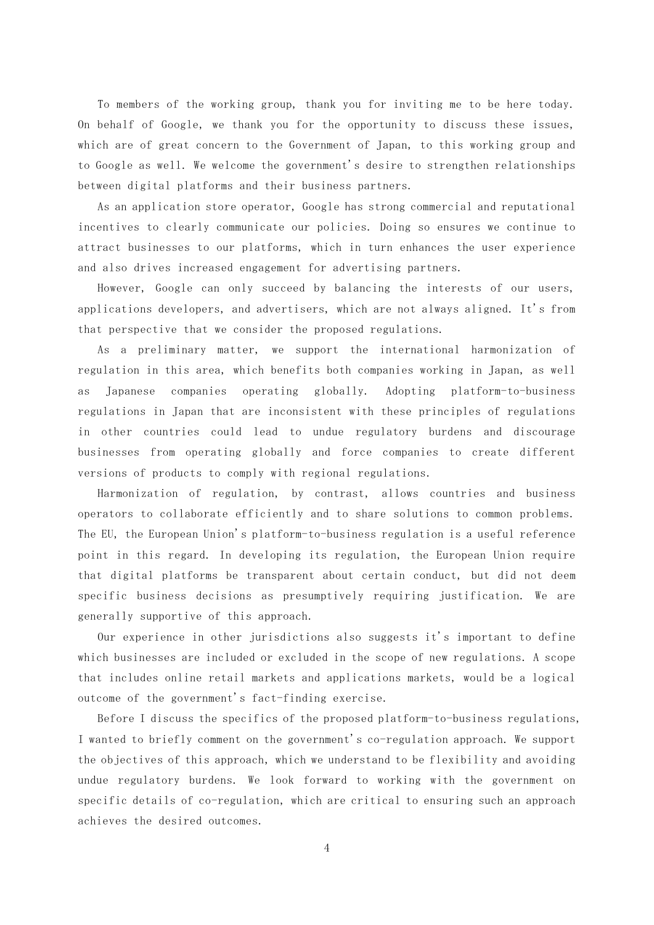To members of the working group, thank you for inviting me to be here today. On behalf of Google, we thank you for the opportunity to discuss these issues, which are of great concern to the Government of Japan, to this working group and to Google as well. We welcome the government's desire to strengthen relationships between digital platforms and their business partners.

As an application store operator, Google has strong commercial and reputational incentives to clearly communicate our policies. Doing so ensures we continue to attract businesses to our platforms, which in turn enhances the user experience and also drives increased engagement for advertising partners.

However, Google can only succeed by balancing the interests of our users, applications developers, and advertisers, which are not always aligned. It's from that perspective that we consider the proposed regulations.

As a preliminary matter, we support the international harmonization of regulation in this area, which benefits both companies working in Japan, as well as Japanese companies operating globally. Adopting platform-to-business regulations in Japan that are inconsistent with these principles of regulations in other countries could lead to undue regulatory burdens and discourage businesses from operating globally and force companies to create different versions of products to comply with regional regulations.

Harmonization of regulation, by contrast, allows countries and business operators to collaborate efficiently and to share solutions to common problems. The EU, the European Union's platform-to-business regulation is a useful reference point in this regard. In developing its regulation, the European Union require that digital platforms be transparent about certain conduct, but did not deem specific business decisions as presumptively requiring justification. We are generally supportive of this approach.

Our experience in other jurisdictions also suggests it's important to define which businesses are included or excluded in the scope of new regulations. A scope that includes online retail markets and applications markets, would be a logical outcome of the government's fact-finding exercise.

Before I discuss the specifics of the proposed platform-to-business regulations, I wanted to briefly comment on the government's co-regulation approach. We support the objectives of this approach, which we understand to be flexibility and avoiding undue regulatory burdens. We look forward to working with the government on specific details of co-regulation, which are critical to ensuring such an approach achieves the desired outcomes.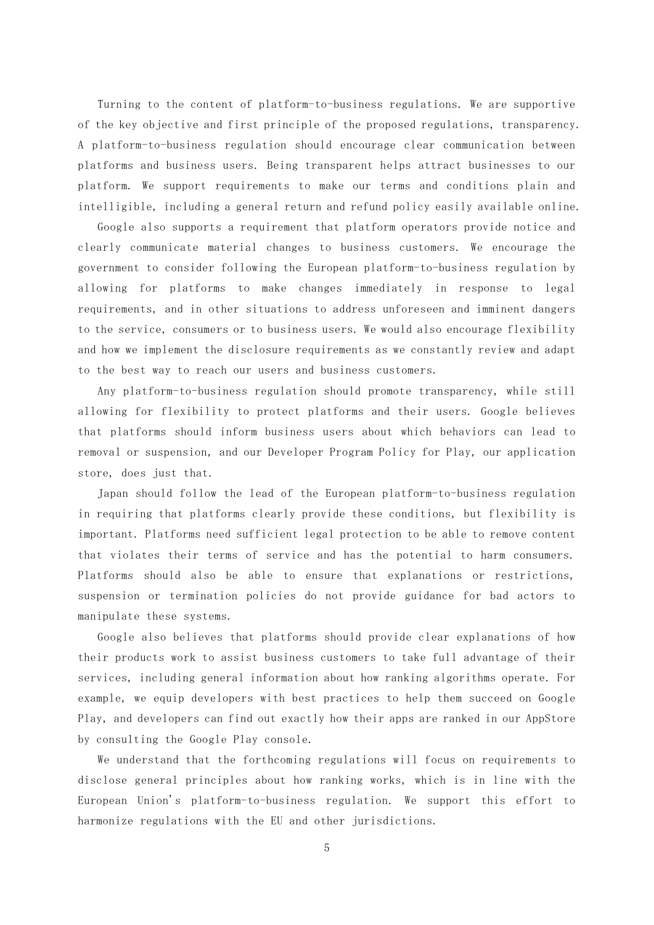Turning to the content of platform-to-business regulations. We are supportive of the key objective and first principle of the proposed regulations, transparency. A platform-to-business regulation should encourage clear communication between platforms and business users. Being transparent helps attract businesses to our platform. We support requirements to make our terms and conditions plain and intelligible, including a general return and refund policy easily available online.

Google also supports a requirement that platform operators provide notice and clearly communicate material changes to business customers. We encourage the government to consider following the European platform-to-business regulation by allowing for platforms to make changes immediately in response to legal requirements, and in other situations to address unforeseen and imminent dangers to the service, consumers or to business users. We would also encourage flexibility and how we implement the disclosure requirements as we constantly review and adapt to the best way to reach our users and business customers.

Any platform-to-business regulation should promote transparency, while still allowing for flexibility to protect platforms and their users. Google believes that platforms should inform business users about which behaviors can lead to removal or suspension, and our Developer Program Policy for Play, our application store, does just that.

Japan should follow the lead of the European platform-to-business regulation in requiring that platforms clearly provide these conditions, but flexibility is important. Platforms need sufficient legal protection to be able to remove content that violates their terms of service and has the potential to harm consumers. Platforms should also be able to ensure that explanations or restrictions, suspension or termination policies do not provide guidance for bad actors to manipulate these systems.

Google also believes that platforms should provide clear explanations of how their products work to assist business customers to take full advantage of their services, including general information about how ranking algorithms operate. For example, we equip developers with best practices to help them succeed on Google Play, and developers can find out exactly how their apps are ranked in our AppStore by consulting the Google Play console.

We understand that the forthcoming regulations will focus on requirements to disclose general principles about how ranking works, which is in line with the European Union's platform-to-business regulation. We support this effort to harmonize regulations with the EU and other jurisdictions.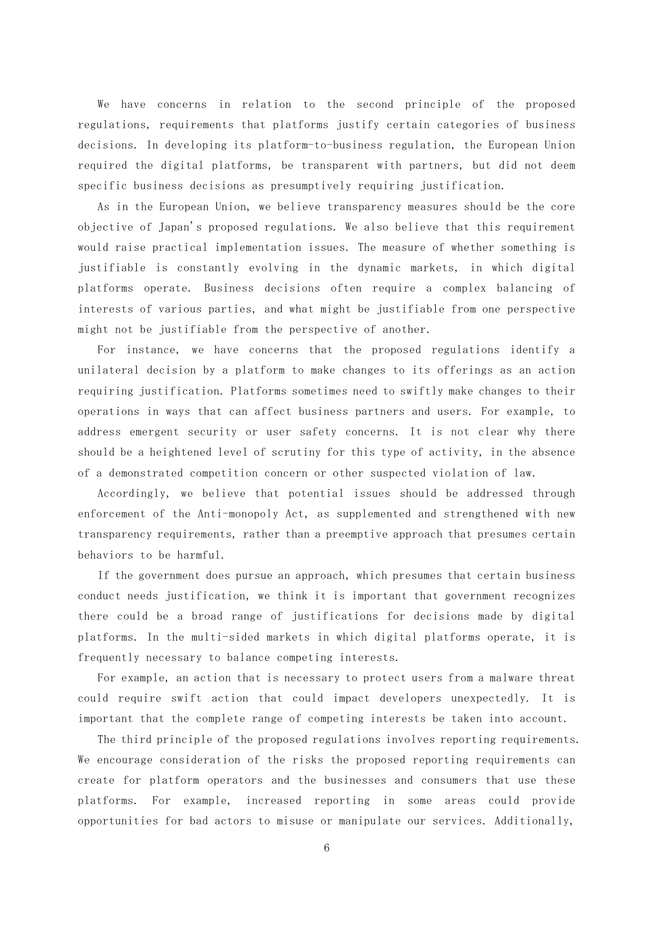We have concerns in relation to the second principle of the proposed regulations, requirements that platforms justify certain categories of business decisions. In developing its platform-to-business regulation, the European Union required the digital platforms, be transparent with partners, but did not deem specific business decisions as presumptively requiring justification.

As in the European Union, we believe transparency measures should be the core objective of Japan's proposed regulations. We also believe that this requirement would raise practical implementation issues. The measure of whether something is justifiable is constantly evolving in the dynamic markets, in which digital platforms operate. Business decisions often require a complex balancing of interests of various parties, and what might be justifiable from one perspective might not be justifiable from the perspective of another.

For instance, we have concerns that the proposed regulations identify a unilateral decision by a platform to make changes to its offerings as an action requiring justification. Platforms sometimes need to swiftly make changes to their operations in ways that can affect business partners and users. For example, to address emergent security or user safety concerns. It is not clear why there should be a heightened level of scrutiny for this type of activity, in the absence of a demonstrated competition concern or other suspected violation of law.

Accordingly, we believe that potential issues should be addressed through enforcement of the Anti-monopoly Act, as supplemented and strengthened with new transparency requirements, rather than a preemptive approach that presumes certain behaviors to be harmful.

If the government does pursue an approach, which presumes that certain business conduct needs justification, we think it is important that government recognizes there could be a broad range of justifications for decisions made by digital platforms. In the multi-sided markets in which digital platforms operate, it is frequently necessary to balance competing interests.

For example, an action that is necessary to protect users from a malware threat could require swift action that could impact developers unexpectedly. It is important that the complete range of competing interests be taken into account.

The third principle of the proposed regulations involves reporting requirements. We encourage consideration of the risks the proposed reporting requirements can create for platform operators and the businesses and consumers that use these platforms. For example, increased reporting in some areas could provide opportunities for bad actors to misuse or manipulate our services. Additionally,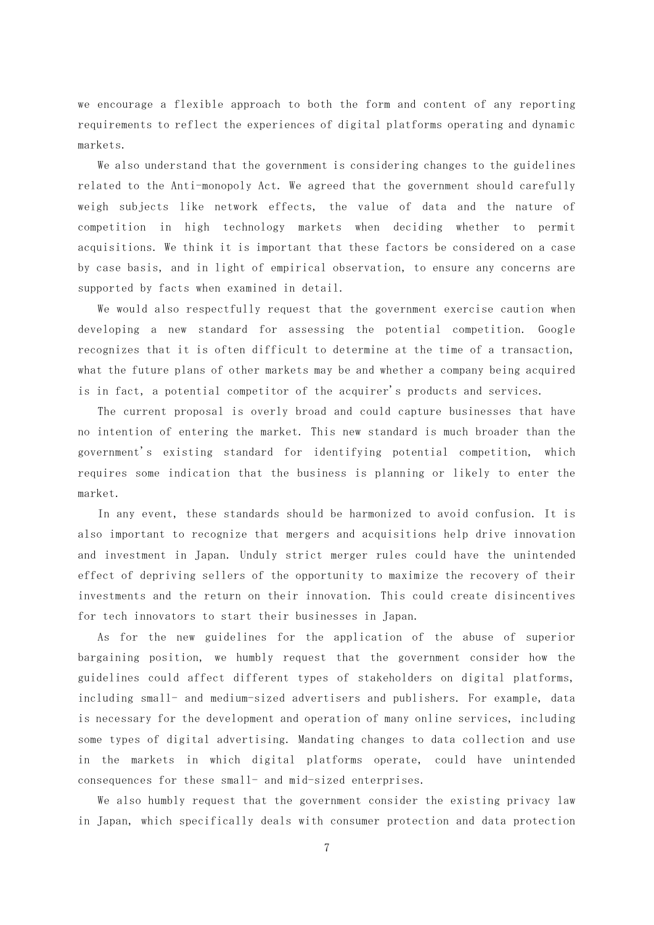we encourage a flexible approach to both the form and content of any reporting requirements to reflect the experiences of digital platforms operating and dynamic markets.

We also understand that the government is considering changes to the guidelines related to the Anti-monopoly Act. We agreed that the government should carefully weigh subjects like network effects, the value of data and the nature of competition in high technology markets when deciding whether to permit acquisitions. We think it is important that these factors be considered on a case by case basis, and in light of empirical observation, to ensure any concerns are supported by facts when examined in detail.

We would also respectfully request that the government exercise caution when developing a new standard for assessing the potential competition. Google recognizes that it is often difficult to determine at the time of a transaction, what the future plans of other markets may be and whether a company being acquired is in fact, a potential competitor of the acquirer's products and services.

The current proposal is overly broad and could capture businesses that have no intention of entering the market. This new standard is much broader than the government's existing standard for identifying potential competition, which requires some indication that the business is planning or likely to enter the market.

In any event, these standards should be harmonized to avoid confusion. It is also important to recognize that mergers and acquisitions help drive innovation and investment in Japan. Unduly strict merger rules could have the unintended effect of depriving sellers of the opportunity to maximize the recovery of their investments and the return on their innovation. This could create disincentives for tech innovators to start their businesses in Japan.

As for the new guidelines for the application of the abuse of superior bargaining position, we humbly request that the government consider how the guidelines could affect different types of stakeholders on digital platforms, including small- and medium-sized advertisers and publishers. For example, data is necessary for the development and operation of many online services, including some types of digital advertising. Mandating changes to data collection and use in the markets in which digital platforms operate, could have unintended consequences for these small- and mid-sized enterprises.

We also humbly request that the government consider the existing privacy law in Japan, which specifically deals with consumer protection and data protection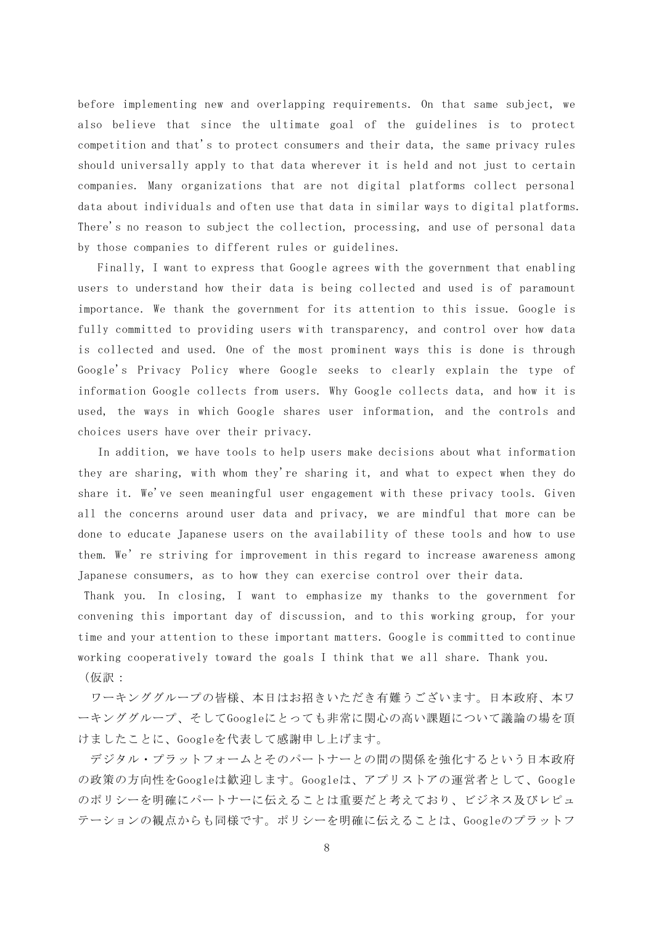before implementing new and overlapping requirements. On that same subject, we also believe that since the ultimate goal of the guidelines is to protect competition and that's to protect consumers and their data, the same privacy rules should universally apply to that data wherever it is held and not just to certain companies. Many organizations that are not digital platforms collect personal data about individuals and often use that data in similar ways to digital platforms. There's no reason to subject the collection, processing, and use of personal data by those companies to different rules or guidelines.

Finally, I want to express that Google agrees with the government that enabling users to understand how their data is being collected and used is of paramount importance. We thank the government for its attention to this issue. Google is fully committed to providing users with transparency, and control over how data is collected and used. One of the most prominent ways this is done is through Google's Privacy Policy where Google seeks to clearly explain the type of information Google collects from users. Why Google collects data, and how it is used, the ways in which Google shares user information, and the controls and choices users have over their privacy.

In addition, we have tools to help users make decisions about what information they are sharing, with whom they're sharing it, and what to expect when they do share it. We've seen meaningful user engagement with these privacy tools. Given all the concerns around user data and privacy, we are mindful that more can be done to educate Japanese users on the availability of these tools and how to use them. We're striving for improvement in this regard to increase awareness among Japanese consumers, as to how they can exercise control over their data.

Thank you. In closing, I want to emphasize my thanks to the government for convening this important day of discussion, and to this working group, for your time and your attention to these important matters. Google is committed to continue working cooperatively toward the goals I think that we all share. Thank you. (仮訳:

ワーキンググループの皆様、本日はお招きいただき有難うございます。日本政府、本ワ ーキンググループ、そしてGoogleにとっても非常に関心の高い課題について議論の場を頂 けましたことに、Googleを代表して感謝申し上げます。

デジタル・プラットフォームとそのパートナーとの間の関係を強化するという日本政府 の政策の方向性をGoogleは歓迎します。Googleは、アプリストアの運営者として、Google のポリシーを明確にパートナーに伝えることは重要だと考えており、ビジネス及びレピュ テーションの観点からも同様です。ポリシーを明確に伝えることは、Googleのプラットフ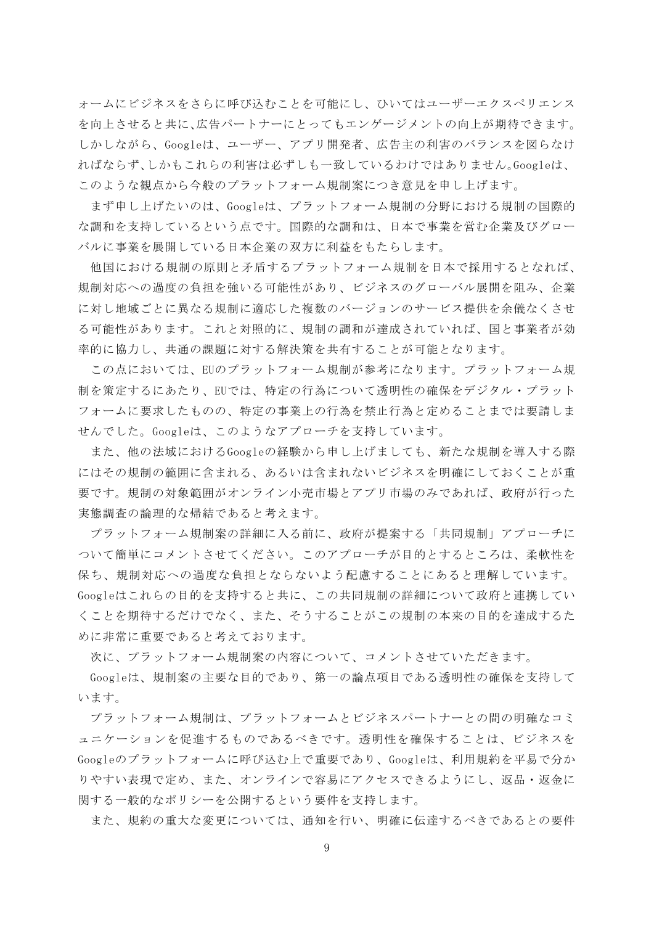ォームにビジネスをさらに呼び込むことを可能にし、ひいてはユーザーエクスペリエンス を向上させると共に、広告パートナーにとってもエンゲージメントの向上が期待できます。 しかしながら、Googleは、ユーザー、アプリ開発者、広告主の利害のバランスを図らなけ ればならず、しかもこれらの利害は必ずしも一致しているわけではありません。Googleは、 このような観点から今般のプラットフォーム規制案につき意見を申し上げます。

まず申し上げたいのは、Googleは、プラットフォーム規制の分野における規制の国際的 な調和を支持しているという点です。国際的な調和は、日本で事業を営む企業及びグロー バルに事業を展開している日本企業の双方に利益をもたらします。

他国における規制の原則と矛盾するプラットフォーム規制を日本で採用するとなれば、 規制対応への過度の負担を強いる可能性があり、ビジネスのグローバル展開を阻み、企業 に対し地域ごとに異なる規制に適応した複数のバージョンのサービス提供を余儀なくさせ る可能性があります。これと対照的に、規制の調和が達成されていれば、国と事業者が効 率的に協力し、共通の課題に対する解決策を共有することが可能となります。

この点においては、EUのプラットフォーム規制が参考になります。プラットフォーム規 制を策定するにあたり、EUでは、特定の行為について透明性の確保をデジタル・プラット フォームに要求したものの、特定の事業上の行為を禁止行為と定めることまでは要請しま せんでした。Googleは、このようなアプローチを支持しています。

また、他の法域におけるGoogleの経験から申し上げましても、新たな規制を導入する際 にはその規制の範囲に含まれる、あるいは含まれないビジネスを明確にしておくことが重 要です。規制の対象範囲がオンライン小売市場とアプリ市場のみであれば、政府が行った 実態調査の論理的な帰結であると考えます。

プラットフォーム規制案の詳細に入る前に、政府が提案する「共同規制」アプローチに ついて簡単にコメントさせてください。このアプローチが目的とするところは、柔軟性を 保ち、規制対応への過度な負担とならないよう配慮することにあると理解しています。 Googleはこれらの目的を支持すると共に、この共同規制の詳細について政府と連携してい くことを期待するだけでなく、また、そうすることがこの規制の本来の目的を達成するた めに非常に重要であると考えております。

次に、プラットフォーム規制案の内容について、コメントさせていただきます。

Googleは、規制案の主要な目的であり、第一の論点項目である透明性の確保を支持して います。

プラットフォーム規制は、プラットフォームとビジネスパートナーとの間の明確なコミ ュニケーションを促進するものであるべきです。透明性を確保することは、ビジネスを Googleのプラットフォームに呼び込む上で重要であり、Googleは、利用規約を平易で分か りやすい表現で定め、また、オンラインで容易にアクセスできるようにし、返品・返金に 関する一般的なポリシーを公開するという要件を支持します。

また、規約の重大な変更については、通知を行い、明確に伝達するべきであるとの要件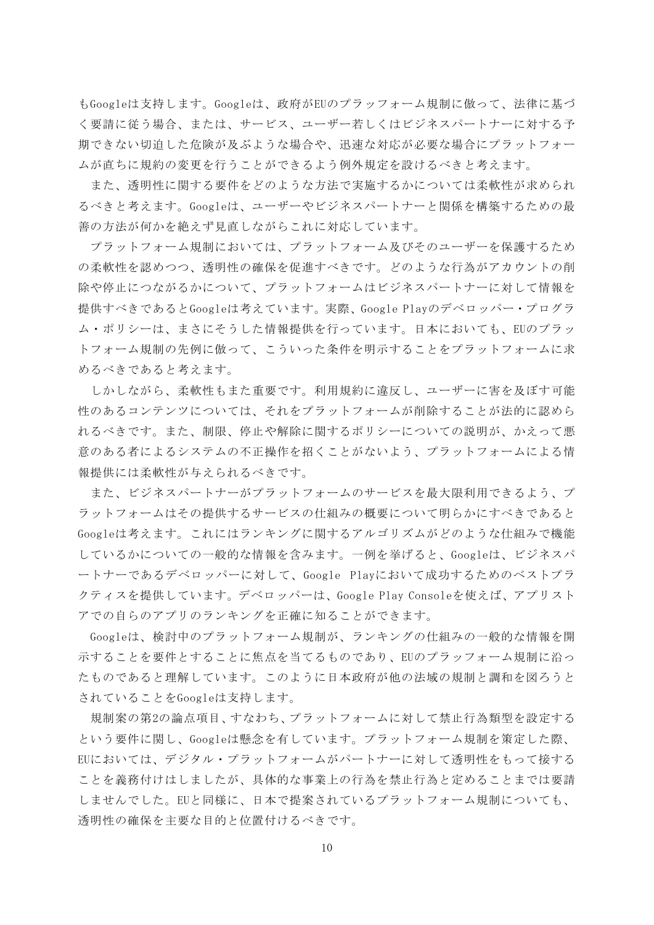もGoogleは支持します。Googleは、政府がEUのプラッフォーム規制に倣って、法律に基づ く要請に従う場合、または、サービス、ユーザー若しくはビジネスパートナーに対する予 期できない切迫した危険が及ぶような場合や、迅速な対応が必要な場合にプラットフォー ムが直ちに規約の変更を行うことができるよう例外規定を設けるべきと考えます。

また、透明性に関する要件をどのような方法で実施するかについては柔軟性が求められ るべきと考えます。Googleは、ユーザーやビジネスパートナーと関係を構築するための最 善の方法が何かを絶えず見直しながらこれに対応しています。

プラットフォーム規制においては、プラットフォーム及びそのユーザーを保護するため の柔軟性を認めつつ、透明性の確保を促進すべきです。どのような行為がアカウントの削 除や停止につながるかについて、プラットフォームはビジネスパートナーに対して情報を 提供すべきであるとGoogleは考えています。実際、Google Playのデベロッパー・プログラ ム・ポリシーは、まさにそうした情報提供を行っています。日本においても、EUのプラッ トフォーム規制の先例に倣って、こういった条件を明示することをプラットフォームに求 めるべきであると考えます。

しかしながら、柔軟性もまた重要です。利用規約に違反し、ユーザーに害を及ぼす可能 性のあるコンテンツについては、それをプラットフォームが削除することが法的に認めら れるべきです。また、制限、停止や解除に関するポリシーについての説明が、かえって悪 意のある者によるシステムの不正操作を招くことがないよう、プラットフォームによる情 報提供には柔軟性が与えられるべきです。

また、ビジネスパートナーがプラットフォームのサービスを最大限利用できるよう、プ ラットフォームはその提供するサービスの仕組みの概要について明らかにすべきであると Googleは考えます。これにはランキングに関するアルゴリズムがどのような仕組みで機能 しているかについての一般的な情報を含みます。一例を挙げると、Googleは、ビジネスパ ートナーであるデベロッパーに対して、Google Playにおいて成功するためのベストプラ クティスを提供しています。デベロッパーは、Google Play Consoleを使えば、アプリスト アでの自らのアプリのランキングを正確に知ることができます。

Googleは、検討中のプラットフォーム規制が、ランキングの仕組みの一般的な情報を開 示することを要件とすることに焦点を当てるものであり、EUのプラッフォーム規制に沿っ たものであると理解しています。このように日本政府が他の法域の規制と調和を図ろうと されていることをGoogleは支持します。

規制案の第2の論点項目、すなわち、プラットフォームに対して禁止行為類型を設定する という要件に関し、Googleは懸念を有しています。プラットフォーム規制を策定した際、 EUにおいては、デジタル・プラットフォームがパートナーに対して透明性をもって接する ことを義務付けはしましたが、具体的な事業上の行為を禁止行為と定めることまでは要請 しませんでした。EUと同様に、日本で提案されているプラットフォーム規制についても、 透明性の確保を主要な目的と位置付けるべきです。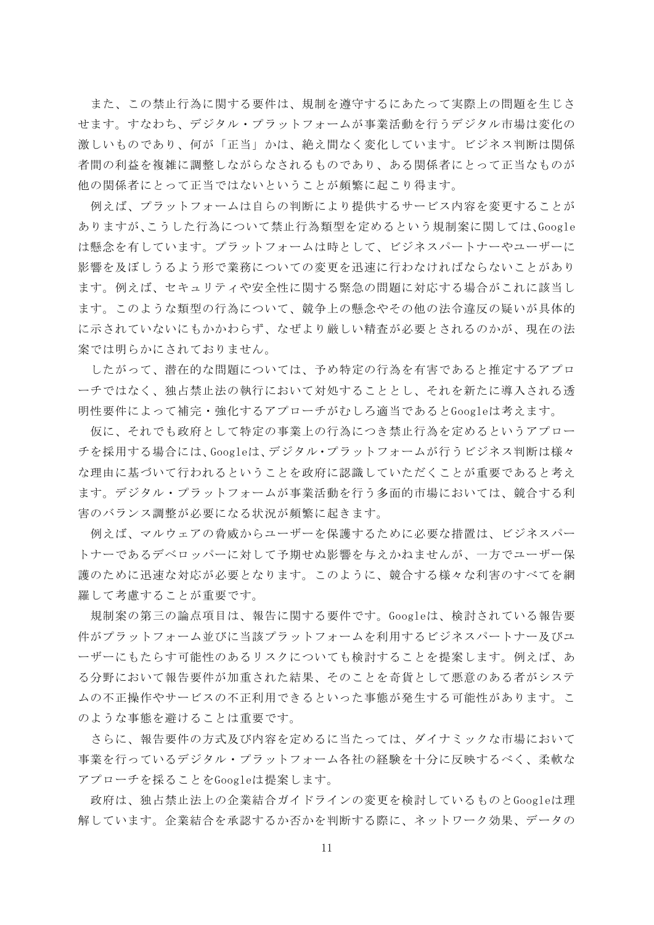また、この禁止行為に関する要件は、規制を遵守するにあたって実際上の問題を生じさ せます。すなわち、デジタル・プラットフォームが事業活動を行うデジタル市場は変化の 激しいものであり、何が「正当」かは、絶え間なく変化しています。ビジネス判断は関係 者間の利益を複雑に調整しながらなされるものであり、ある関係者にとって正当なものが 他の関係者にとって正当ではないということが頻繁に起こり得ます。

例えば、プラットフォームは自らの判断により提供するサービス内容を変更することが ありますが、こうした行為について禁止行為類型を定めるという規制案に関しては、Google は懸念を有しています。プラットフォームは時として、ビジネスパートナーやユーザーに 影響を及ぼしうるよう形で業務についての変更を迅速に行わなければならないことがあり ます。例えば、セキュリティや安全性に関する緊急の問題に対応する場合がこれに該当し ます。このような類型の行為について、競争上の懸念やその他の法令違反の疑いが具体的 に示されていないにもかかわらず、なぜより厳しい精査が必要とされるのかが、現在の法 案では明らかにされておりません。

したがって、潜在的な問題については、予め特定の行為を有害であると推定するアプロ ーチではなく、独占禁止法の執行において対処することとし、それを新たに導入される透 明性要件によって補完・強化するアプローチがむしろ適当であるとGoogleは考えます。

仮に、それでも政府として特定の事業上の行為につき禁止行為を定めるというアプロー チを採用する場合には、Googleは、デジタル・プラットフォームが行うビジネス判断は様々 な理由に基づいて行われるということを政府に認識していただくことが重要であると考え ます。デジタル・プラットフォームが事業活動を行う多面的市場においては、競合する利 害のバランス調整が必要になる状況が頻繁に起きます。

例えば、マルウェアの脅威からユーザーを保護するために必要な措置は、ビジネスパー トナーであるデベロッパーに対して予期せぬ影響を与えかねませんが、一方でユーザー保 護のために迅速な対応が必要となります。このように、競合する様々な利害のすべてを網 羅して考慮することが重要です。

規制案の第三の論点項目は、報告に関する要件です。Googleは、検討されている報告要 件がプラットフォーム並びに当該プラットフォームを利用するビジネスパートナー及びユ ーザーにもたらす可能性のあるリスクについても検討することを提案します。例えば、あ る分野において報告要件が加重された結果、そのことを奇貨として悪意のある者がシステ ムの不正操作やサービスの不正利用できるといった事態が発生する可能性があります。こ のような事態を避けることは重要です。

さらに、報告要件の方式及び内容を定めるに当たっては、ダイナミックな市場において 事業を行っているデジタル・プラットフォーム各社の経験を十分に反映するべく、柔軟な アプローチを採ることをGoogleは提案します。

政府は、独占禁止法上の企業結合ガイドラインの変更を検討しているものとGoogleは理 解しています。企業結合を承認するか否かを判断する際に、ネットワーク効果、データの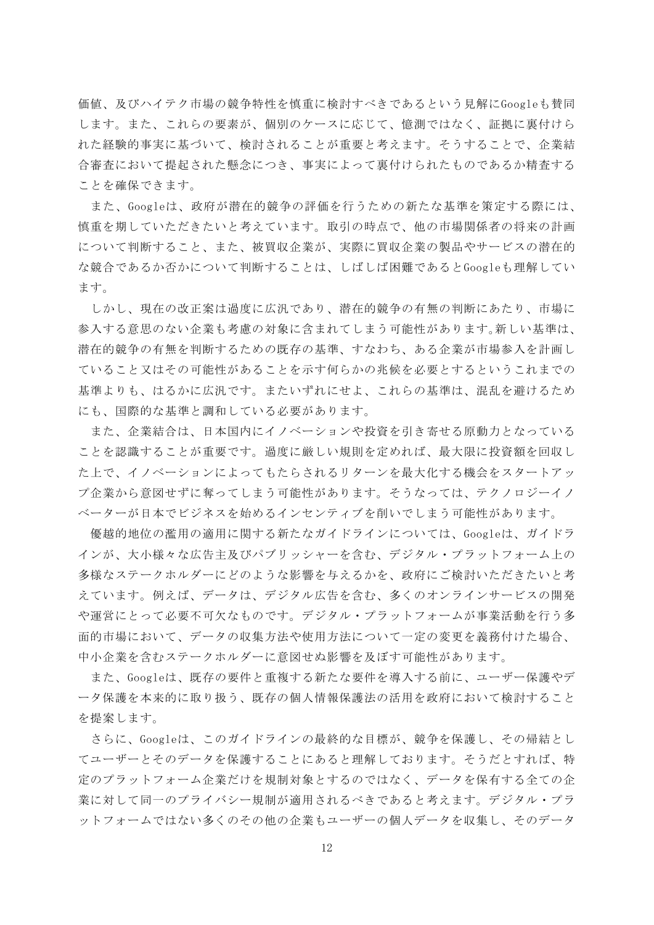価値、及びハイテク市場の競争特性を慎重に検討すべきであるという見解にGoogleも賛同 します。また、これらの要素が、個別のケースに応じて、憶測ではなく、証拠に裏付けら れた経験的事実に基づいて、検討されることが重要と考えます。そうすることで、企業結 合審査において提起された懸念につき、事実によって裏付けられたものであるか精査する ことを確保できます。

また、Googleは、政府が潜在的競争の評価を行うための新たな基準を策定する際には、 慎重を期していただきたいと考えています。取引の時点で、他の市場関係者の将来の計画 について判断すること、また、被買収企業が、実際に買収企業の製品やサービスの潜在的 な競合であるか否かについて判断することは、しばしば困難であるとGoogleも理解してい ます。

しかし、現在の改正案は過度に広汎であり、潜在的競争の有無の判断にあたり、市場に 参入する意思のない企業も考慮の対象に含まれてしまう可能性があります。新しい基準は、 潜在的競争の有無を判断するための既存の基準、すなわち、ある企業が市場参入を計画し ていること又はその可能性があることを示す何らかの兆候を必要とするというこれまでの 基準よりも、はるかに広汎です。またいずれにせよ、これらの基準は、混乱を避けるため にも、国際的な基準と調和している必要があります。

また、企業結合は、日本国内にイノベーションや投資を引き寄せる原動力となっている ことを認識することが重要です。過度に厳しい規則を定めれば、最大限に投資額を回収し た上で、イノベーションによってもたらされるリターンを最大化する機会をスタートアッ プ企業から意図せずに奪ってしまう可能性があります。そうなっては、テクノロジーイノ ベーターが日本でビジネスを始めるインセンティブを削いでしまう可能性があります。

優越的地位の濫用の適用に関する新たなガイドラインについては、Googleは、ガイドラ インが、大小様々な広告主及びパブリッシャーを含む、デジタル・プラットフォーム上の 多様なステークホルダーにどのような影響を与えるかを、政府にご検討いただきたいと考 えています。例えば、データは、デジタル広告を含む、多くのオンラインサービスの開発 や運営にとって必要不可欠なものです。デジタル・プラットフォームが事業活動を行う多 面的市場において、データの収集方法や使用方法について一定の変更を義務付けた場合、 中小企業を含むステークホルダーに意図せぬ影響を及ぼす可能性があります。

また、Googleは、既存の要件と重複する新たな要件を導入する前に、ユーザー保護やデ ータ保護を本来的に取り扱う、既存の個人情報保護法の活用を政府において検討すること を提案します。

さらに、Googleは、このガイドラインの最終的な目標が、競争を保護し、その帰結とし てユーザーとそのデータを保護することにあると理解しております。そうだとすれば、特 定のプラットフォーム企業だけを規制対象とするのではなく、データを保有する全ての企 業に対して同一のプライバシー規制が適用されるべきであると考えます。デジタル・プラ ットフォームではない多くのその他の企業もユーザーの個人データを収集し、そのデータ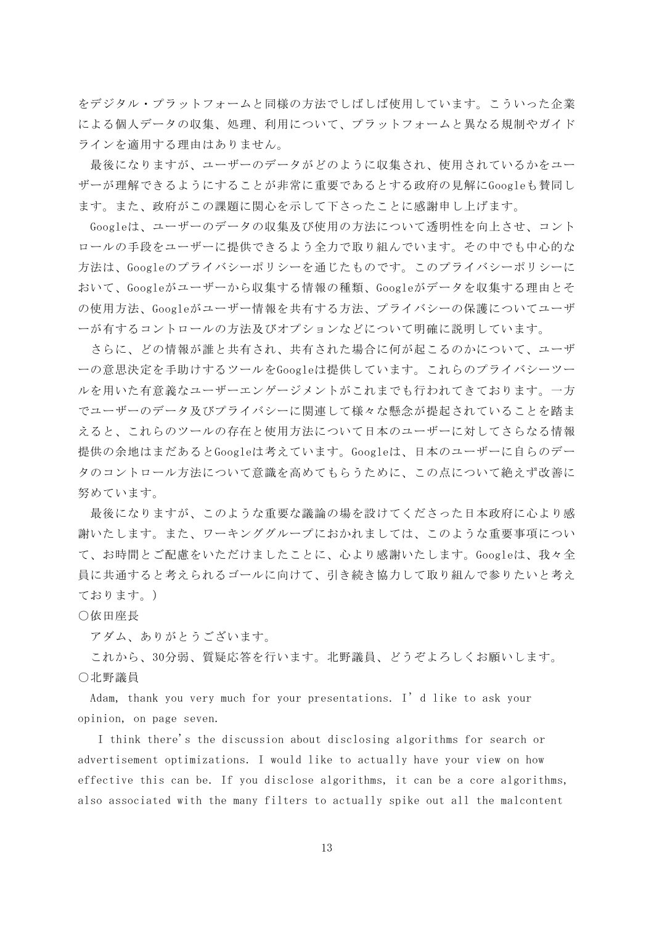をデジタル・プラットフォームと同様の方法でしばしば使用しています。こういった企業 による個人データの収集、処理、利用について、プラットフォームと異なる規制やガイド ラインを適用する理由はありません。

最後になりますが、ユーザーのデータがどのように収集され、使用されているかをユー ザーが理解できるようにすることが非常に重要であるとする政府の見解にGoogleも賛同し ます。また、政府がこの課題に関心を示して下さったことに感謝申し上げます。

Googleは、ユーザーのデータの収集及び使用の方法について透明性を向上させ、コント ロールの手段をユーザーに提供できるよう全力で取り組んでいます。その中でも中心的な 方法は、Googleのプライバシーポリシーを通じたものです。このプライバシーポリシーに おいて、Googleがユーザーから収集する情報の種類、Googleがデータを収集する理由とそ の使用方法、Googleがユーザー情報を共有する方法、プライバシーの保護についてユーザ ーが有するコントロールの方法及びオプションなどについて明確に説明しています。

さらに、どの情報が誰と共有され、共有された場合に何が起こるのかについて、ユーザ ーの意思決定を手助けするツールをGoogleは提供しています。これらのプライバシーツー ルを用いた有意義なユーザーエンゲージメントがこれまでも行われてきております。一方 でユーザーのデータ及びプライバシーに関連して様々な懸念が提起されていることを踏ま えると、これらのツールの存在と使用方法について日本のユーザーに対してさらなる情報 提供の余地はまだあるとGoogleは考えています。Googleは、日本のユーザーに自らのデー タのコントロール方法について意識を高めてもらうために、この点について絶えず改善に 努めています。

最後になりますが、このような重要な議論の場を設けてくださった日本政府に心より感 謝いたします。また、ワーキンググループにおかれましては、このような重要事項につい て、お時間とご配慮をいただけましたことに、心より感謝いたします。Googleは、我々全 員に共通すると考えられるゴールに向けて、引き続き協力して取り組んで参りたいと考え ております。)

○依田座長

アダム、ありがとうございます。

これから、30分弱、質疑応答を行います。北野議員、どうぞよろしくお願いします。 ○北野議員

Adam, thank you very much for your presentations. I'd like to ask your opinion, on page seven.

I think there's the discussion about disclosing algorithms for search or advertisement optimizations. I would like to actually have your view on how effective this can be. If you disclose algorithms, it can be a core algorithms, also associated with the many filters to actually spike out all the malcontent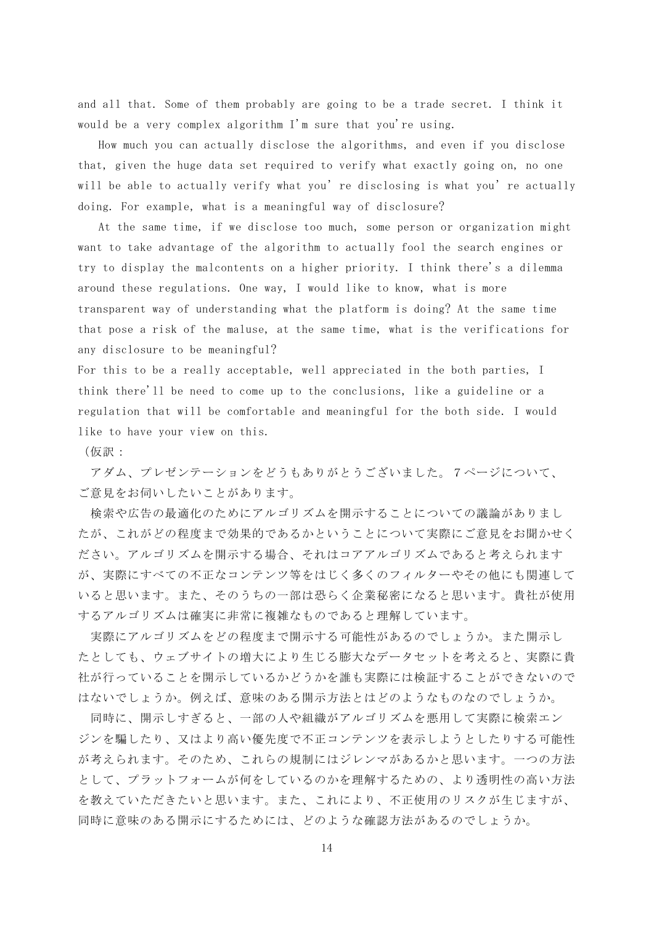and all that. Some of them probably are going to be a trade secret. I think it would be a very complex algorithm I'm sure that you're using.

How much you can actually disclose the algorithms, and even if you disclose that, given the huge data set required to verify what exactly going on, no one will be able to actually verify what you're disclosing is what you're actually doing. For example, what is a meaningful way of disclosure?

At the same time, if we disclose too much, some person or organization might want to take advantage of the algorithm to actually fool the search engines or try to display the malcontents on a higher priority. I think there's a dilemma around these regulations. One way, I would like to know, what is more transparent way of understanding what the platform is doing? At the same time that pose a risk of the maluse, at the same time, what is the verifications for any disclosure to be meaningful?

For this to be a really acceptable, well appreciated in the both parties, I think there'll be need to come up to the conclusions, like a guideline or a regulation that will be comfortable and meaningful for the both side. I would like to have your view on this.

(仮訳:

アダム、プレゼンテーションをどうもありがとうございました。7ページについて、 ご意見をお伺いしたいことがあります。

検索や広告の最適化のためにアルゴリズムを開示することについての議論がありまし たが、これがどの程度まで効果的であるかということについて実際にご意見をお聞かせく ださい。アルゴリズムを開示する場合、それはコアアルゴリズムであると考えられます が、実際にすべての不正なコンテンツ等をはじく多くのフィルターやその他にも関連して いると思います。また、そのうちの一部は恐らく企業秘密になると思います。貴社が使用 するアルゴリズムは確実に非常に複雑なものであると理解しています。

実際にアルゴリズムをどの程度まで開示する可能性があるのでしょうか。また開示し たとしても、ウェブサイトの増大により生じる膨大なデータセットを考えると、実際に貴 社が行っていることを開示しているかどうかを誰も実際には検証することができないので はないでしょうか。例えば、意味のある開示方法とはどのようなものなのでしょうか。

同時に、開示しすぎると、一部の人や組織がアルゴリズムを悪用して実際に検索エン ジンを騙したり、又はより高い優先度で不正コンテンツを表示しようとしたりする可能性 が考えられます。そのため、これらの規制にはジレンマがあるかと思います。一つの方法 として、プラットフォームが何をしているのかを理解するための、より透明性の高い方法 を教えていただきたいと思います。また、これにより、不正使用のリスクが生じますが、 同時に意味のある開示にするためには、どのような確認方法があるのでしょうか。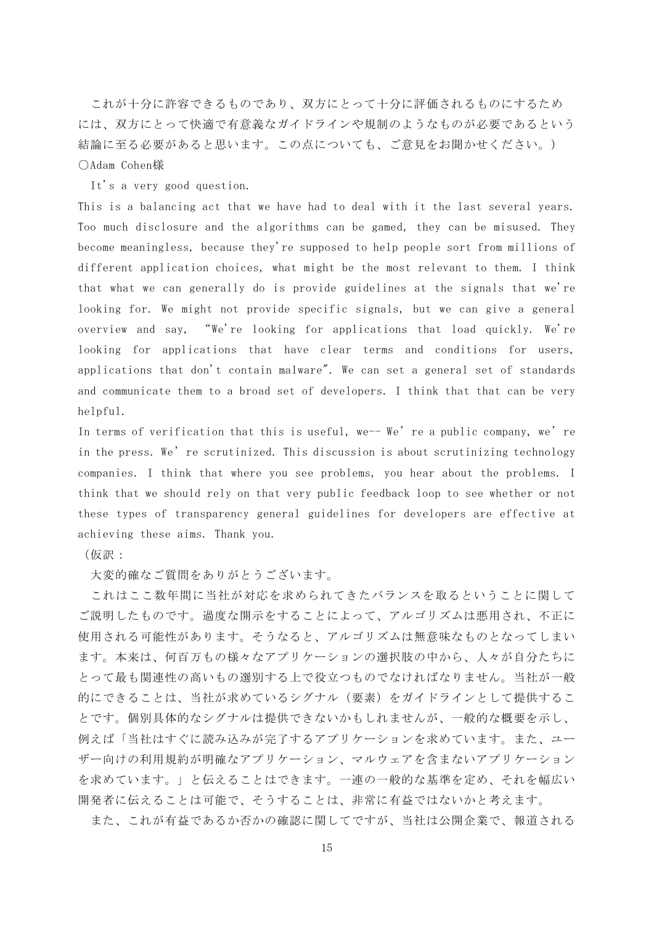これが十分に許容できるものであり、双方にとって十分に評価されるものにするため には、双方にとって快適で有意義なガイドラインや規制のようなものが必要であるという 結論に至る必要があると思います。この点についても、ご意見をお聞かせください。) ○Adam Cohen様

It's a very good question.

This is a balancing act that we have had to deal with it the last several years. Too much disclosure and the algorithms can be gamed, they can be misused. They become meaningless, because they're supposed to help people sort from millions of different application choices, what might be the most relevant to them. I think that what we can generally do is provide guidelines at the signals that we're looking for. We might not provide specific signals, but we can give a general overview and say, "We're looking for applications that load quickly. We're looking for applications that have clear terms and conditions for users, applications that don't contain malware". We can set a general set of standards and communicate them to a broad set of developers. I think that that can be very helpful.

In terms of verification that this is useful, we-- We're a public company, we're in the press. We're scrutinized. This discussion is about scrutinizing technology companies. I think that where you see problems, you hear about the problems. I think that we should rely on that very public feedback loop to see whether or not these types of transparency general guidelines for developers are effective at achieving these aims. Thank you.

### (仮訳:

大変的確なご質問をありがとうございます。

これはここ数年間に当社が対応を求められてきたバランスを取るということに関して ご説明したものです。過度な開示をすることによって、アルゴリズムは悪用され、不正に 使用される可能性があります。そうなると、アルゴリズムは無意味なものとなってしまい ます。本来は、何百万もの様々なアプリケーションの選択肢の中から、人々が自分たちに とって最も関連性の高いもの選別する上で役立つものでなければなりません。当社が一般 的にできることは、当社が求めているシグナル(要素)をガイドラインとして提供するこ とです。個別具体的なシグナルは提供できないかもしれませんが、一般的な概要を示し、 例えば「当社はすぐに読み込みが完了するアプリケーションを求めています。また、ユー ザー向けの利用規約が明確なアプリケーション、マルウェアを含まないアプリケーション を求めています。」と伝えることはできます。一連の一般的な基準を定め、それを幅広い 開発者に伝えることは可能で、そうすることは、非常に有益ではないかと考えます。

また、これが有益であるか否かの確認に関してですが、当社は公開企業で、報道される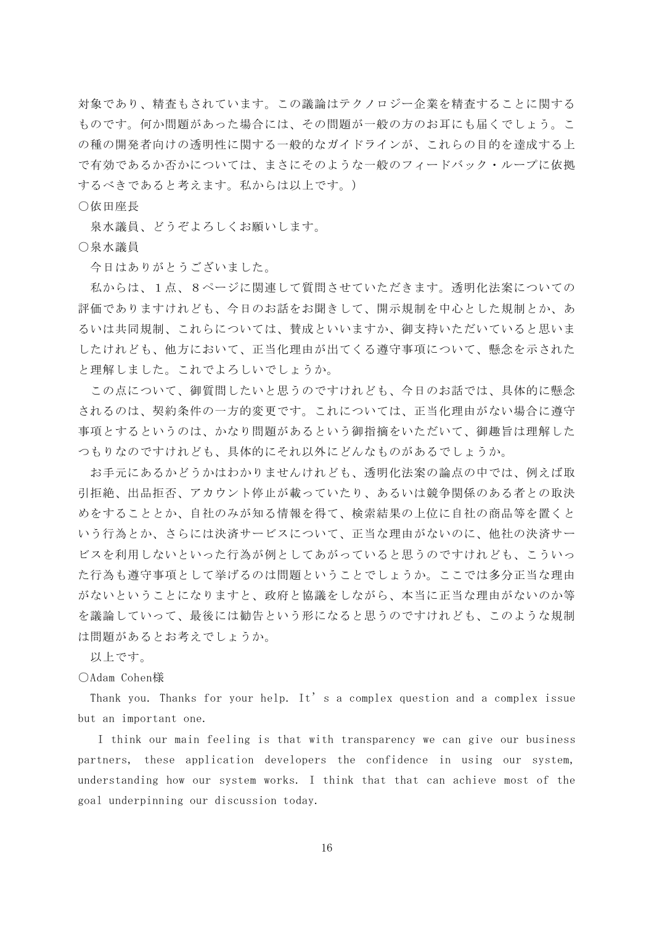対象であり、精査もされています。この議論はテクノロジー企業を精査することに関する ものです。何か問題があった場合には、その問題が一般の方のお耳にも届くでしょう。こ の種の開発者向けの透明性に関する一般的なガイドラインが、これらの目的を達成する上 で有効であるか否かについては、まさにそのような一般のフィードバック・ループに依拠 するべきであると考えます。私からは以上です。)

○依田座長

泉水議員、どうぞよろしくお願いします。

○泉水議員

今日はありがとうございました。

私からは、1点、8ページに関連して質問させていただきます。透明化法案についての 評価でありますけれども、今日のお話をお聞きして、開示規制を中心とした規制とか、あ るいは共同規制、これらについては、賛成といいますか、御支持いただいていると思いま したけれども、他方において、正当化理由が出てくる遵守事項について、懸念を示された と理解しました。これでよろしいでしょうか。

この点について、御質問したいと思うのですけれども、今日のお話では、具体的に懸念 されるのは、契約条件の一方的変更です。これについては、正当化理由がない場合に遵守 事項とするというのは、かなり問題があるという御指摘をいただいて、御趣旨は理解した つもりなのですけれども、具体的にそれ以外にどんなものがあるでしょうか。

お手元にあるかどうかはわかりませんけれども、透明化法案の論点の中では、例えば取 引拒絶、出品拒否、アカウント停止が載っていたり、あるいは競争関係のある者との取決 めをすることとか、自社のみが知る情報を得て、検索結果の上位に自社の商品等を置くと いう行為とか、さらには決済サービスについて、正当な理由がないのに、他社の決済サー ビスを利用しないといった行為が例としてあがっていると思うのですけれども、こういっ た行為も遵守事項として挙げるのは問題ということでしょうか。ここでは多分正当な理由 がないということになりますと、政府と協議をしながら、本当に正当な理由がないのか等 を議論していって、最後には勧告という形になると思うのですけれども、このような規制 は問題があるとお考えでしょうか。

以上です。

○Adam Cohen様

Thank you. Thanks for your help. It's a complex question and a complex issue but an important one.

I think our main feeling is that with transparency we can give our business partners, these application developers the confidence in using our system, understanding how our system works. I think that that can achieve most of the goal underpinning our discussion today.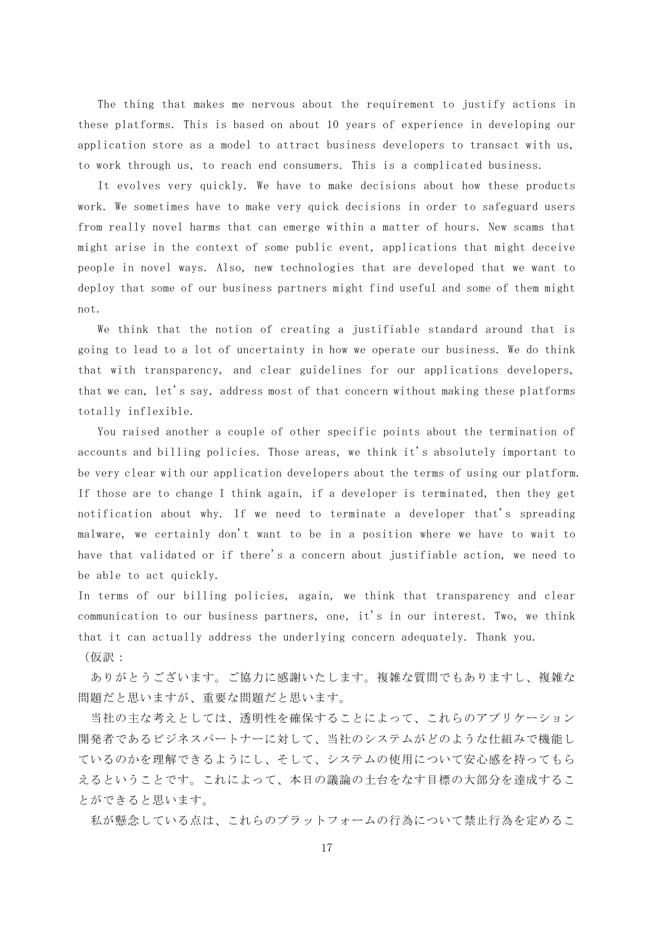The thing that makes me nervous about the requirement to justify actions in these platforms. This is based on about 10 years of experience in developing our application store as a model to attract business developers to transact with us, to work through us, to reach end consumers. This is a complicated business.

It evolves very quickly. We have to make decisions about how these products work. We sometimes have to make very quick decisions in order to safeguard users from really novel harms that can emerge within a matter of hours. New scams that might arise in the context of some public event, applications that might deceive people in novel ways. Also, new technologies that are developed that we want to deploy that some of our business partners might find useful and some of them might not.

We think that the notion of creating a justifiable standard around that is going to lead to a lot of uncertainty in how we operate our business. We do think that with transparency, and clear guidelines for our applications developers, that we can, let's say, address most of that concern without making these platforms totally inflexible.

You raised another a couple of other specific points about the termination of accounts and billing policies. Those areas, we think it's absolutely important to be very clear with our application developers about the terms of using our platform. If those are to change I think again, if a developer is terminated, then they get notification about why. If we need to terminate a developer that's spreading malware, we certainly don't want to be in a position where we have to wait to have that validated or if there's a concern about justifiable action, we need to be able to act quickly.

In terms of our billing policies, again, we think that transparency and clear communication to our business partners, one, it's in our interest. Two, we think that it can actually address the underlying concern adequately. Thank you. (仮訳:

ありがとうございます。ご協力に感謝いたします。複雑な質問でもありますし、複雑な 問題だと思いますが、重要な問題だと思います。

当社の主な考えとしては、透明性を確保することによって、これらのアプリケーション 開発者であるビジネスパートナーに対して、当社のシステムがどのような仕組みで機能し ているのかを理解できるようにし、そして、システムの使用について安心感を持ってもら えるということです。これによって、本日の議論の土台をなす目標の大部分を達成するこ とができると思います。

私が懸念している点は、これらのプラットフォームの行為について禁止行為を定めるこ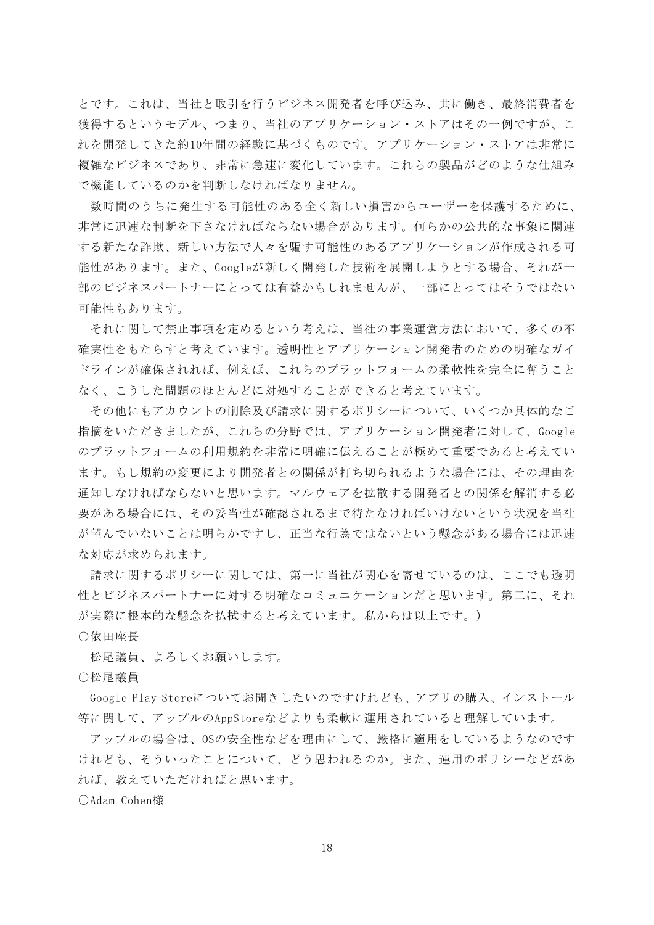とです。これは、当社と取引を行うビジネス開発者を呼び込み、共に働き、最終消費者を 獲得するというモデル、つまり、当社のアプリケーション・ストアはその一例ですが、こ れを開発してきた約10年間の経験に基づくものです。アプリケーション・ストアは非常に 複雑なビジネスであり、非常に急速に変化しています。これらの製品がどのような仕組み で機能しているのかを判断しなければなりません。

数時間のうちに発生する可能性のある全く新しい損害からユーザーを保護するために、 非常に迅速な判断を下さなければならない場合があります。何らかの公共的な事象に関連 する新たな詐欺、新しい方法で人々を騙す可能性のあるアプリケーションが作成される可 能性があります。また、Googleが新しく開発した技術を展開しようとする場合、それが一 部のビジネスパートナーにとっては有益かもしれませんが、一部にとってはそうではない 可能性もあります。

それに関して禁止事項を定めるという考えは、当社の事業運営方法において、多くの不 確実性をもたらすと考えています。透明性とアプリケーション開発者のための明確なガイ ドラインが確保されれば、例えば、これらのプラットフォームの柔軟性を完全に奪うこと なく、こうした問題のほとんどに対処することができると考えています。

その他にもアカウントの削除及び請求に関するポリシーについて、いくつか具体的なご 指摘をいただきましたが、これらの分野では、アプリケーション開発者に対して、Google のプラットフォームの利用規約を非常に明確に伝えることが極めて重要であると考えてい ます。もし規約の変更により開発者との関係が打ち切られるような場合には、その理由を 通知しなければならないと思います。マルウェアを拡散する開発者との関係を解消する必 要がある場合には、その妥当性が確認されるまで待たなければいけないという状況を当社 が望んでいないことは明らかですし、正当な行為ではないという懸念がある場合には迅速 な対応が求められます。

請求に関するポリシーに関しては、第一に当社が関心を寄せているのは、ここでも透明 性とビジネスパートナーに対する明確なコミュニケーションだと思います。第二に、それ が実際に根本的な懸念を払拭すると考えています。私からは以上です。)

○依田座長

松尾議員、よろしくお願いします。

○松尾議員

Google Play Storeについてお聞きしたいのですけれども、アプリの購入、インストール 等に関して、アップルのAppStoreなどよりも柔軟に運用されていると理解しています。

アップルの場合は、OSの安全性などを理由にして、厳格に適用をしているようなのです けれども、そういったことについて、どう思われるのか。また、運用のポリシーなどがあ れば、教えていただければと思います。

○Adam Cohen様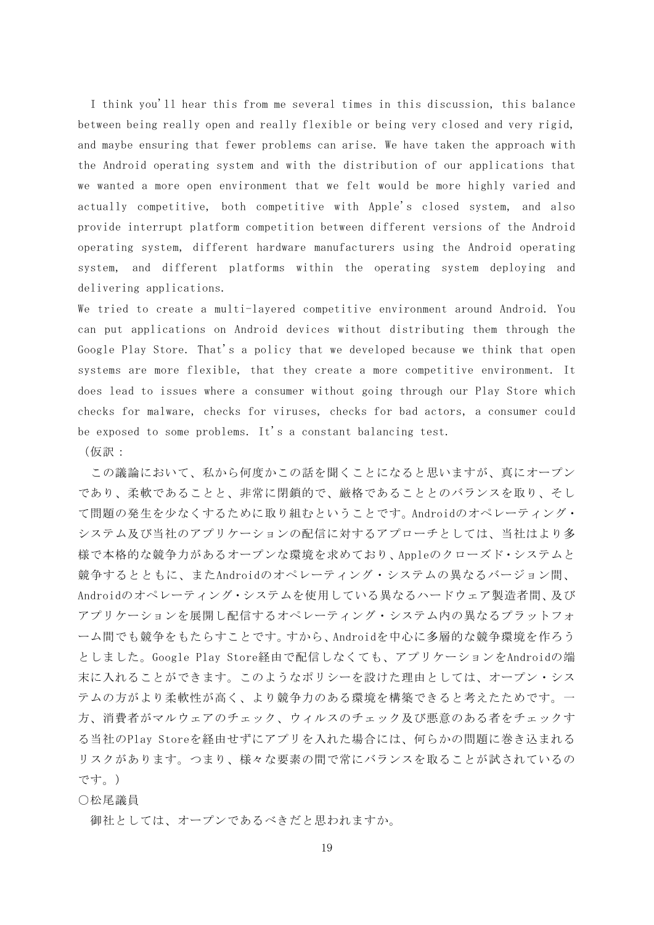I think you'll hear this from me several times in this discussion, this balance between being really open and really flexible or being very closed and very rigid, and maybe ensuring that fewer problems can arise. We have taken the approach with the Android operating system and with the distribution of our applications that we wanted a more open environment that we felt would be more highly varied and actually competitive, both competitive with Apple's closed system, and also provide interrupt platform competition between different versions of the Android operating system, different hardware manufacturers using the Android operating system, and different platforms within the operating system deploying and delivering applications.

We tried to create a multi-layered competitive environment around Android. You can put applications on Android devices without distributing them through the Google Play Store. That's a policy that we developed because we think that open systems are more flexible, that they create a more competitive environment. It does lead to issues where a consumer without going through our Play Store which checks for malware, checks for viruses, checks for bad actors, a consumer could be exposed to some problems. It's a constant balancing test.

(仮訳:

この議論において、私から何度かこの話を聞くことになると思いますが、真にオープン であり、柔軟であることと、非常に閉鎖的で、厳格であることとのバランスを取り、そし て問題の発生を少なくするために取り組むということです。Androidのオペレーティング・ システム及び当社のアプリケーションの配信に対するアプローチとしては、当社はより多 様で本格的な競争力があるオープンな環境を求めており、Appleのクローズド・システムと 競争するとともに、またAndroidのオペレーティング・システムの異なるバージョン間、 Androidのオペレーティング・システムを使用している異なるハードウェア製造者間、及び アプリケーションを展開し配信するオペレーティング・システム内の異なるプラットフォ ーム間でも競争をもたらすことです。すから、Androidを中心に多層的な競争環境を作ろう としました。Google Play Store経由で配信しなくても、アプリケーションをAndroidの端 末に入れることができます。このようなポリシーを設けた理由としては、オープン・シス テムの方がより柔軟性が高く、より競争力のある環境を構築できると考えたためです。一 方、消費者がマルウェアのチェック、ウィルスのチェック及び悪意のある者をチェックす る当社のPlay Storeを経由せずにアプリを入れた場合には、何らかの問題に巻き込まれる リスクがあります。つまり、様々な要素の間で常にバランスを取ることが試されているの です。)

## ○松尾議員

御社としては、オープンであるべきだと思われますか。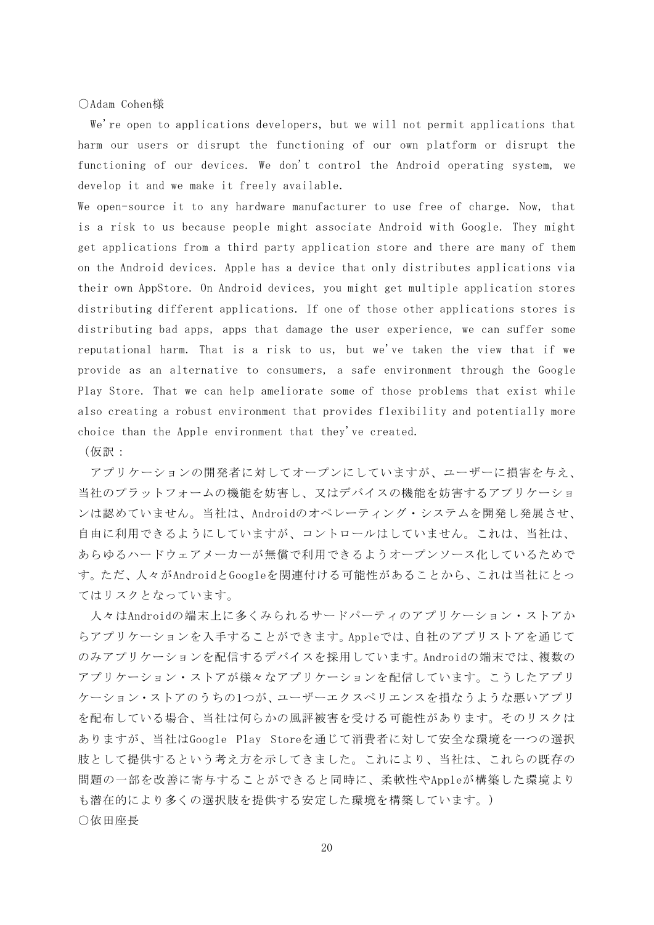○Adam Cohen様

We're open to applications developers, but we will not permit applications that harm our users or disrupt the functioning of our own platform or disrupt the functioning of our devices. We don't control the Android operating system, we develop it and we make it freely available.

We open-source it to any hardware manufacturer to use free of charge. Now, that is a risk to us because people might associate Android with Google. They might get applications from a third party application store and there are many of them on the Android devices. Apple has a device that only distributes applications via their own AppStore. On Android devices, you might get multiple application stores distributing different applications. If one of those other applications stores is distributing bad apps, apps that damage the user experience, we can suffer some reputational harm. That is a risk to us, but we've taken the view that if we provide as an alternative to consumers, a safe environment through the Google Play Store. That we can help ameliorate some of those problems that exist while also creating a robust environment that provides flexibility and potentially more choice than the Apple environment that they've created.

(仮訳:

アプリケーションの開発者に対してオープンにしていますが、ユーザーに損害を与え、 当社のプラットフォームの機能を妨害し、又はデバイスの機能を妨害するアプリケーショ ンは認めていません。当社は、Androidのオペレーティング・システムを開発し発展させ、 自由に利用できるようにしていますが、コントロールはしていません。これは、当社は、 あらゆるハードウェアメーカーが無償で利用できるようオープンソース化しているためで す。ただ、人々がAndroidとGoogleを関連付ける可能性があることから、これは当社にとっ てはリスクとなっています。

人々はAndroidの端末上に多くみられるサードパーティのアプリケーション・ストアか らアプリケーションを入手することができます。Appleでは、自社のアプリストアを通じて のみアプリケーションを配信するデバイスを採用しています。Androidの端末では、複数の アプリケーション・ストアが様々なアプリケーションを配信しています。こうしたアプリ ケーション・ストアのうちの1つが、ユーザーエクスペリエンスを損なうような悪いアプリ を配布している場合、当社は何らかの風評被害を受ける可能性があります。そのリスクは ありますが、当社はGoogle Play Storeを通じて消費者に対して安全な環境を一つの選択 肢として提供するという考え方を示してきました。これにより、当社は、これらの既存の 問題の一部を改善に寄与することができると同時に、柔軟性やAppleが構築した環境より も潜在的により多くの選択肢を提供する安定した環境を構築しています。) ○依田座長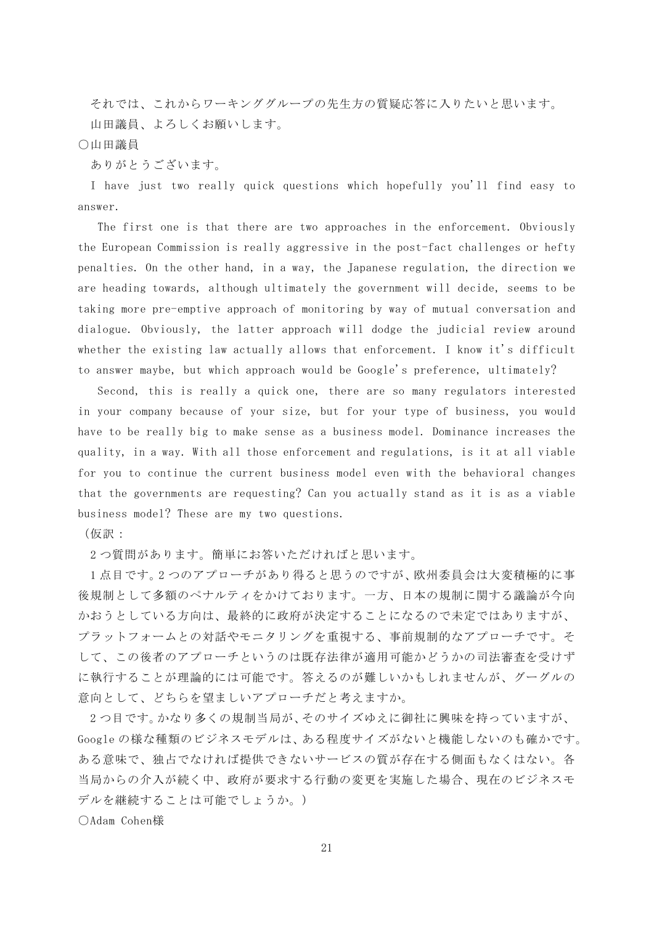それでは、これからワーキンググループの先生方の質疑応答に入りたいと思います。 山田議員、よろしくお願いします。

## ○山田議員

ありがとうございます。

I have just two really quick questions which hopefully you'll find easy to answer.

The first one is that there are two approaches in the enforcement. Obviously the European Commission is really aggressive in the post-fact challenges or hefty penalties. On the other hand, in a way, the Japanese regulation, the direction we are heading towards, although ultimately the government will decide, seems to be taking more pre-emptive approach of monitoring by way of mutual conversation and dialogue. Obviously, the latter approach will dodge the judicial review around whether the existing law actually allows that enforcement. I know it's difficult to answer maybe, but which approach would be Google's preference, ultimately?

Second, this is really a quick one, there are so many regulators interested in your company because of your size, but for your type of business, you would have to be really big to make sense as a business model. Dominance increases the quality, in a way. With all those enforcement and regulations, is it at all viable for you to continue the current business model even with the behavioral changes that the governments are requesting? Can you actually stand as it is as a viable business model? These are my two questions.

(仮訳:

2 つ質問があります。簡単にお答いただければと思います。

1 点目です。2 つのアプローチがあり得ると思うのですが、欧州委員会は大変積極的に事 後規制として多額のペナルティをかけております。一方、日本の規制に関する議論が今向 かおうとしている方向は、最終的に政府が決定することになるので未定ではありますが、 プラットフォームとの対話やモニタリングを重視する、事前規制的なアプローチです。そ して、この後者のアプローチというのは既存法律が適用可能かどうかの司法審査を受けず に執行することが理論的には可能です。答えるのが難しいかもしれませんが、グーグルの 意向として、どちらを望ましいアプローチだと考えますか。

2 つ目です。かなり多くの規制当局が、そのサイズゆえに御社に興味を持っていますが、 Google の様な種類のビジネスモデルは、ある程度サイズがないと機能しないのも確かです。 ある意味で、独占でなければ提供できないサービスの質が存在する側面もなくはない。各 当局からの介入が続く中、政府が要求する行動の変更を実施した場合、現在のビジネスモ デルを継続することは可能でしょうか。)

○Adam Cohen様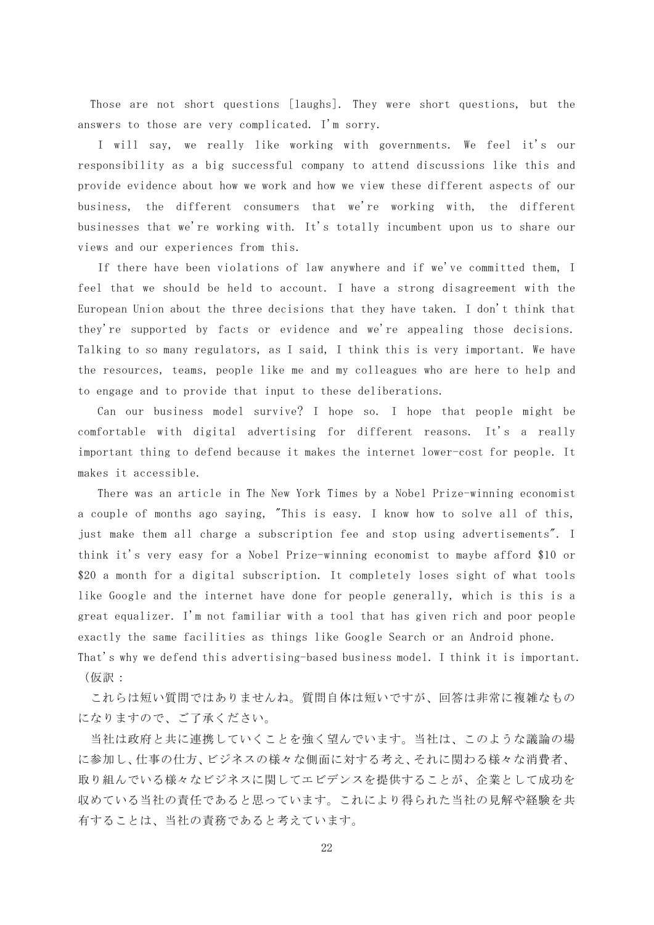Those are not short questions [laughs]. They were short questions, but the answers to those are very complicated. I'm sorry.

I will say, we really like working with governments. We feel it's our responsibility as a big successful company to attend discussions like this and provide evidence about how we work and how we view these different aspects of our business, the different consumers that we're working with, the different businesses that we're working with. It's totally incumbent upon us to share our views and our experiences from this.

If there have been violations of law anywhere and if we've committed them, I feel that we should be held to account. I have a strong disagreement with the European Union about the three decisions that they have taken. I don't think that they're supported by facts or evidence and we're appealing those decisions. Talking to so many regulators, as I said, I think this is very important. We have the resources, teams, people like me and my colleagues who are here to help and to engage and to provide that input to these deliberations.

Can our business model survive? I hope so. I hope that people might be comfortable with digital advertising for different reasons. It's a really important thing to defend because it makes the internet lower-cost for people. It makes it accessible.

There was an article in The New York Times by a Nobel Prize-winning economist a couple of months ago saying, "This is easy. I know how to solve all of this, just make them all charge a subscription fee and stop using advertisements". I think it's very easy for a Nobel Prize-winning economist to maybe afford \$10 or \$20 a month for a digital subscription. It completely loses sight of what tools like Google and the internet have done for people generally, which is this is a great equalizer. I'm not familiar with a tool that has given rich and poor people exactly the same facilities as things like Google Search or an Android phone. That's why we defend this advertising-based business model. I think it is important. (仮訳:

これらは短い質問ではありませんね。質問自体は短いですが、回答は非常に複雑なもの になりますので、ご了承ください。

当社は政府と共に連携していくことを強く望んでいます。当社は、このような議論の場 に参加し、仕事の仕方、ビジネスの様々な側面に対する考え、それに関わる様々な消費者、 取り組んでいる様々なビジネスに関してエビデンスを提供することが、企業として成功を 収めている当社の責任であると思っています。これにより得られた当社の見解や経験を共 有することは、当社の責務であると考えています。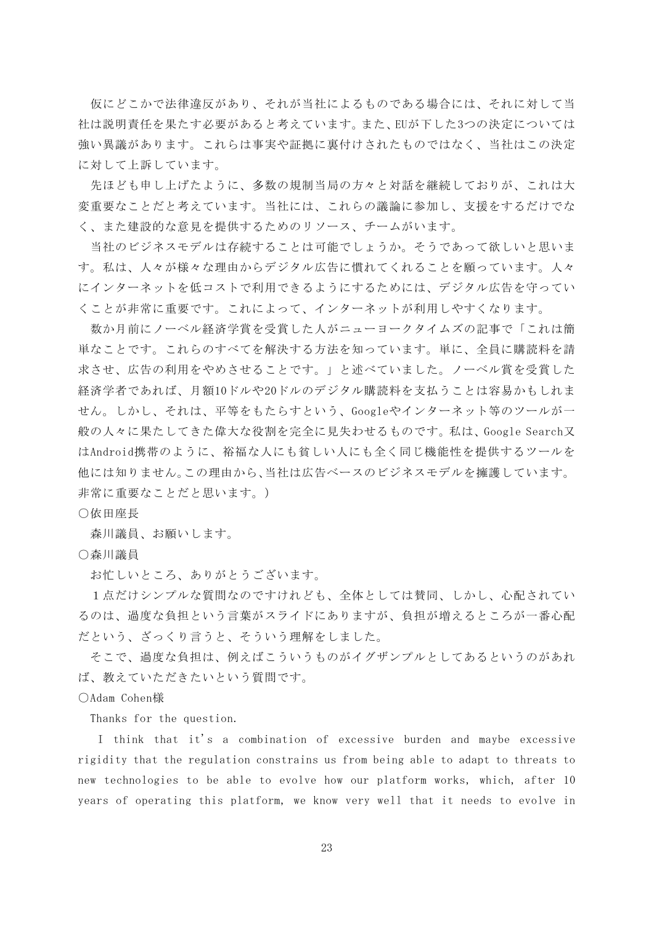仮にどこかで法律違反があり、それが当社によるものである場合には、それに対して当 社は説明責任を果たす必要があると考えています。また、EUが下した3つの決定については 強い異議があります。これらは事実や証拠に裏付けされたものではなく、当社はこの決定 に対して上訴しています。

先ほども申し上げたように、多数の規制当局の方々と対話を継続しておりが、これは大 変重要なことだと考えています。当社には、これらの議論に参加し、支援をするだけでな く、また建設的な意見を提供するためのリソース、チームがいます。

当社のビジネスモデルは存続することは可能でしょうか。そうであって欲しいと思いま す。私は、人々が様々な理由からデジタル広告に慣れてくれることを願っています。人々 にインターネットを低コストで利用できるようにするためには、デジタル広告を守ってい くことが非常に重要です。これによって、インターネットが利用しやすくなります。

数か月前にノーベル経済学賞を受賞した人がニューヨークタイムズの記事で「これは簡 単なことです。これらのすべてを解決する方法を知っています。単に、全員に購読料を請 求させ、広告の利用をやめさせることです。」と述べていました。ノーベル賞を受賞した 経済学者であれば、月額10ドルや20ドルのデジタル購読料を支払うことは容易かもしれま せん。しかし、それは、平等をもたらすという、Googleやインターネット等のツールが一 般の人々に果たしてきた偉大な役割を完全に見失わせるものです。私は、Google Search又 はAndroid携帯のように、裕福な人にも貧しい人にも全く同じ機能性を提供するツールを 他には知りません。この理由から、当社は広告ベースのビジネスモデルを擁護しています。 非常に重要なことだと思います。)

○依田座長

森川議員、お願いします。

○森川議員

お忙しいところ、ありがとうございます。

1点だけシンプルな質問なのですけれども、全体としては賛同、しかし、心配されてい るのは、過度な負担という言葉がスライドにありますが、負担が増えるところが一番心配 だという、ざっくり言うと、そういう理解をしました。

そこで、過度な負担は、例えばこういうものがイグザンプルとしてあるというのがあれ ば、教えていただきたいという質問です。

○Adam Cohen様

Thanks for the question.

I think that it's a combination of excessive burden and maybe excessive rigidity that the regulation constrains us from being able to adapt to threats to new technologies to be able to evolve how our platform works, which, after 10 years of operating this platform, we know very well that it needs to evolve in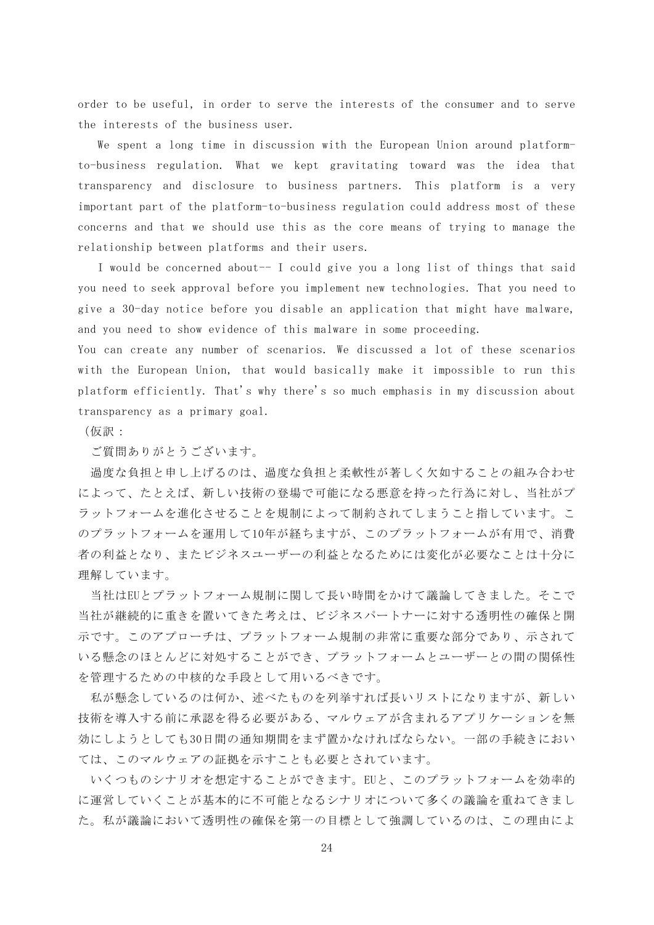order to be useful, in order to serve the interests of the consumer and to serve the interests of the business user.

We spent a long time in discussion with the European Union around platformto-business regulation. What we kept gravitating toward was the idea that transparency and disclosure to business partners. This platform is a very important part of the platform-to-business regulation could address most of these concerns and that we should use this as the core means of trying to manage the relationship between platforms and their users.

I would be concerned about-- I could give you a long list of things that said you need to seek approval before you implement new technologies. That you need to give a 30-day notice before you disable an application that might have malware, and you need to show evidence of this malware in some proceeding.

You can create any number of scenarios. We discussed a lot of these scenarios with the European Union, that would basically make it impossible to run this platform efficiently. That's why there's so much emphasis in my discussion about transparency as a primary goal.

(仮訳:

ご質問ありがとうございます。

過度な負担と申し上げるのは、過度な負担と柔軟性が著しく欠如することの組み合わせ によって、たとえば、新しい技術の登場で可能になる悪意を持った行為に対し、当社がプ ラットフォームを進化させることを規制によって制約されてしまうこと指しています。こ のプラットフォームを運用して10年が経ちますが、このプラットフォームが有用で、消費 者の利益となり、またビジネスユーザーの利益となるためには変化が必要なことは十分に 理解しています。

当社はEUとプラットフォーム規制に関して長い時間をかけて議論してきました。そこで 当社が継続的に重きを置いてきた考えは、ビジネスパートナーに対する透明性の確保と開 示です。このアプローチは、プラットフォーム規制の非常に重要な部分であり、示されて いる懸念のほとんどに対処することができ、プラットフォームとユーザーとの間の関係性 を管理するための中核的な手段として用いるべきです。

私が懸念しているのは何か、述べたものを列挙すれば長いリストになりますが、新しい 技術を導入する前に承認を得る必要がある、マルウェアが含まれるアプリケーションを無 効にしようとしても30日間の通知期間をまず置かなければならない。一部の手続きにおい ては、このマルウェアの証拠を示すことも必要とされています。

いくつものシナリオを想定することができます。EUと、このプラットフォームを効率的 に運営していくことが基本的に不可能となるシナリオについて多くの議論を重ねてきまし た。私が議論において透明性の確保を第一の目標として強調しているのは、この理由によ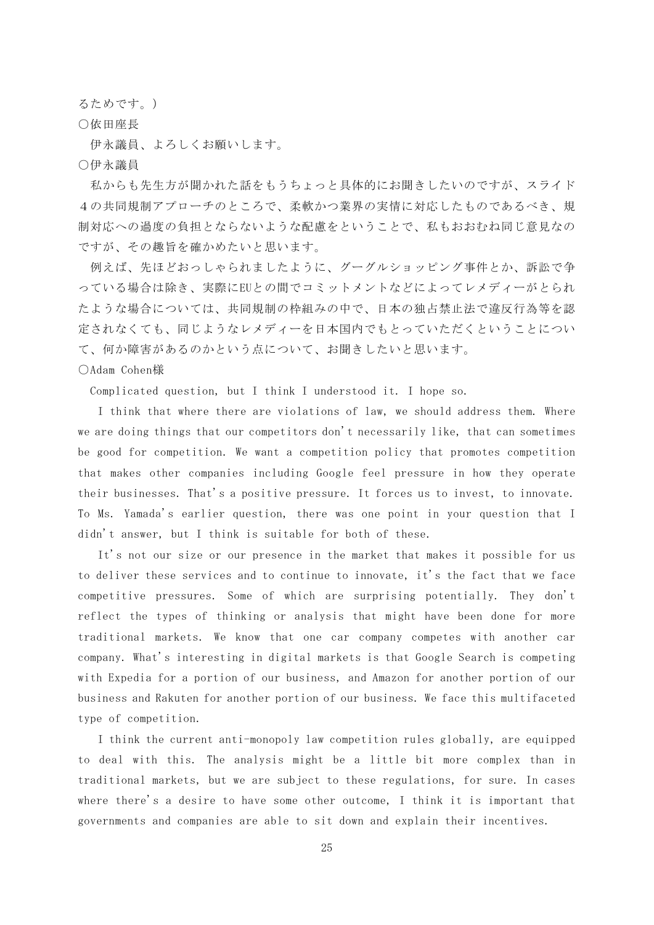るためです。)

○依田座長

伊永議員、よろしくお願いします。

○伊永議員

私からも先生方が聞かれた話をもうちょっと具体的にお聞きしたいのですが、スライド 4の共同規制アプローチのところで、柔軟かつ業界の実情に対応したものであるべき、規 制対応への過度の負担とならないような配慮をということで、私もおおむね同じ意見なの ですが、その趣旨を確かめたいと思います。

例えば、先ほどおっしゃられましたように、グーグルショッピング事件とか、訴訟で争 っている場合は除き、実際にEUとの間でコミットメントなどによってレメディーがとられ たような場合については、共同規制の枠組みの中で、日本の独占禁止法で違反行為等を認 定されなくても、同じようなレメディーを日本国内でもとっていただくということについ て、何か障害があるのかという点について、お聞きしたいと思います。

#### ○Adam Cohen様

Complicated question, but I think I understood it. I hope so.

I think that where there are violations of law, we should address them. Where we are doing things that our competitors don't necessarily like, that can sometimes be good for competition. We want a competition policy that promotes competition that makes other companies including Google feel pressure in how they operate their businesses. That's a positive pressure. It forces us to invest, to innovate. To Ms. Yamada's earlier question, there was one point in your question that I didn't answer, but I think is suitable for both of these.

It's not our size or our presence in the market that makes it possible for us to deliver these services and to continue to innovate, it's the fact that we face competitive pressures. Some of which are surprising potentially. They don't reflect the types of thinking or analysis that might have been done for more traditional markets. We know that one car company competes with another car company. What's interesting in digital markets is that Google Search is competing with Expedia for a portion of our business, and Amazon for another portion of our business and Rakuten for another portion of our business. We face this multifaceted type of competition.

I think the current anti-monopoly law competition rules globally, are equipped to deal with this. The analysis might be a little bit more complex than in traditional markets, but we are subject to these regulations, for sure. In cases where there's a desire to have some other outcome, I think it is important that governments and companies are able to sit down and explain their incentives.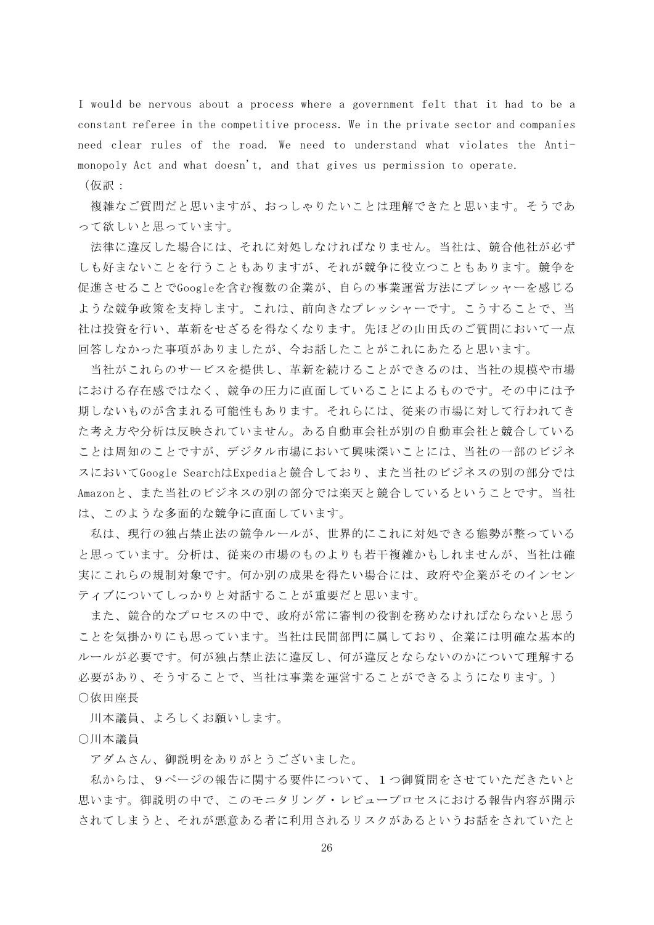I would be nervous about a process where a government felt that it had to be a constant referee in the competitive process. We in the private sector and companies need clear rules of the road. We need to understand what violates the Antimonopoly Act and what doesn't, and that gives us permission to operate.

(仮訳:

複雑なご質問だと思いますが、おっしゃりたいことは理解できたと思います。そうであ って欲しいと思っています。

法律に違反した場合には、それに対処しなければなりません。当社は、競合他社が必ず しも好まないことを行うこともありますが、それが競争に役立つこともあります。競争を 促進させることでGoogleを含む複数の企業が、自らの事業運営方法にプレッャーを感じる ような競争政策を支持します。これは、前向きなプレッシャーです。こうすることで、当 社は投資を行い、革新をせざるを得なくなります。先ほどの山田氏のご質問において一点 回答しなかった事項がありましたが、今お話したことがこれにあたると思います。

当社がこれらのサービスを提供し、革新を続けることができるのは、当社の規模や市場 における存在感ではなく、競争の圧力に直面していることによるものです。その中には予 期しないものが含まれる可能性もあります。それらには、従来の市場に対して行われてき た考え方や分析は反映されていません。ある自動車会社が別の自動車会社と競合している ことは周知のことですが、デジタル市場において興味深いことには、当社の一部のビジネ スにおいてGoogle SearchはExpediaと競合しており、また当社のビジネスの別の部分では Amazonと、また当社のビジネスの別の部分では楽天と競合しているということです。当社 は、このような多面的な競争に直面しています。

私は、現行の独占禁止法の競争ルールが、世界的にこれに対処できる態勢が整っている と思っています。分析は、従来の市場のものよりも若干複雑かもしれませんが、当社は確 実にこれらの規制対象です。何か別の成果を得たい場合には、政府や企業がそのインセン ティブについてしっかりと対話することが重要だと思います。

また、競合的なプロセスの中で、政府が常に審判の役割を務めなければならないと思う ことを気掛かりにも思っています。当社は民間部門に属しており、企業には明確な基本的 ルールが必要です。何が独占禁止法に違反し、何が違反とならないのかについて理解する 必要があり、そうすることで、当社は事業を運営することができるようになります。) ○依田座長

川本議員、よろしくお願いします。

○川本議員

アダムさん、御説明をありがとうございました。

私からは、9ページの報告に関する要件について、1つ御質問をさせていただきたいと 思います。御説明の中で、このモニタリング・レビュープロセスにおける報告内容が開示 されてしまうと、それが悪意ある者に利用されるリスクがあるというお話をされていたと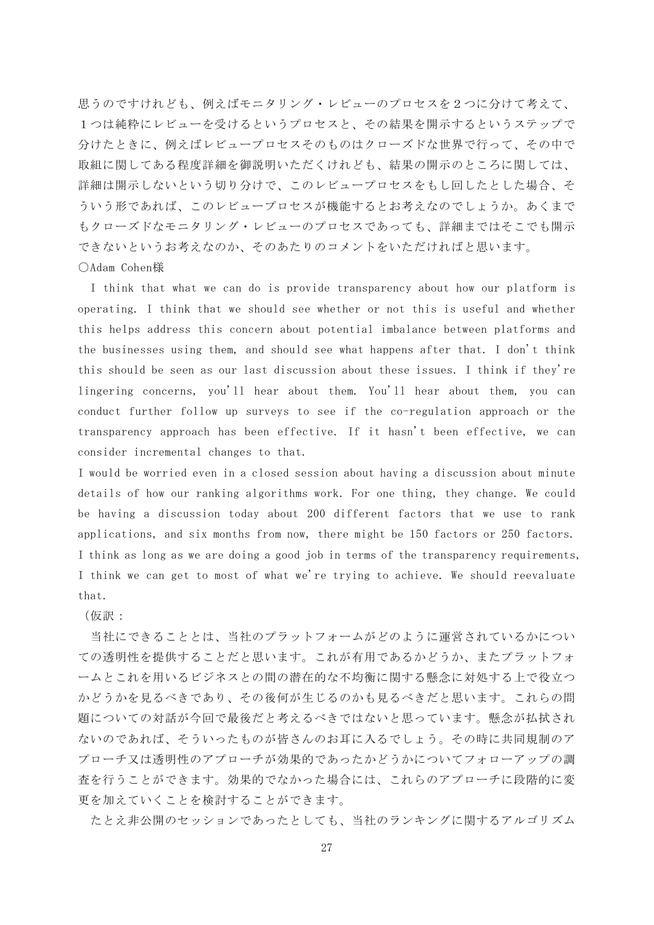思うのですけれども、例えばモニタリング・レビューのプロセスを2つに分けて考えて、 1つは純粋にレビューを受けるというプロセスと、その結果を開示するというステップで 分けたときに、例えばレビュープロセスそのものはクローズドな世界で行って、その中で 取組に関してある程度詳細を御説明いただくけれども、結果の開示のところに関しては、 詳細は開示しないという切り分けで、このレビュープロセスをもし回したとした場合、そ ういう形であれば、このレビュープロセスが機能するとお考えなのでしょうか。あくまで もクローズドなモニタリング・レビューのプロセスであっても、詳細まではそこでも開示 できないというお考えなのか、そのあたりのコメントをいただければと思います。 ○Adam Cohen様

I think that what we can do is provide transparency about how our platform is operating. I think that we should see whether or not this is useful and whether this helps address this concern about potential imbalance between platforms and the businesses using them, and should see what happens after that. I don't think this should be seen as our last discussion about these issues. I think if they're lingering concerns, you'll hear about them. You'll hear about them, you can conduct further follow up surveys to see if the co-regulation approach or the transparency approach has been effective. If it hasn't been effective, we can consider incremental changes to that.

I would be worried even in a closed session about having a discussion about minute details of how our ranking algorithms work. For one thing, they change. We could be having a discussion today about 200 different factors that we use to rank applications, and six months from now, there might be 150 factors or 250 factors. I think as long as we are doing a good job in terms of the transparency requirements, I think we can get to most of what we're trying to achieve. We should reevaluate that.

(仮訳:

当社にできることとは、当社のプラットフォームがどのように運営されているかについ ての透明性を提供することだと思います。これが有用であるかどうか、またプラットフォ ームとこれを用いるビジネスとの間の潜在的な不均衡に関する懸念に対処する上で役立つ かどうかを見るべきであり、その後何が生じるのかも見るべきだと思います。これらの問 題についての対話が今回で最後だと考えるべきではないと思っています。懸念が払拭され ないのであれば、そういったものが皆さんのお耳に入るでしょう。その時に共同規制のア プローチ又は透明性のアプローチが効果的であったかどうかについてフォローアップの調 査を行うことができます。効果的でなかった場合には、これらのアプローチに段階的に変 更を加えていくことを検討することができます。

たとえ非公開のセッションであったとしても、当社のランキングに関するアルゴリズム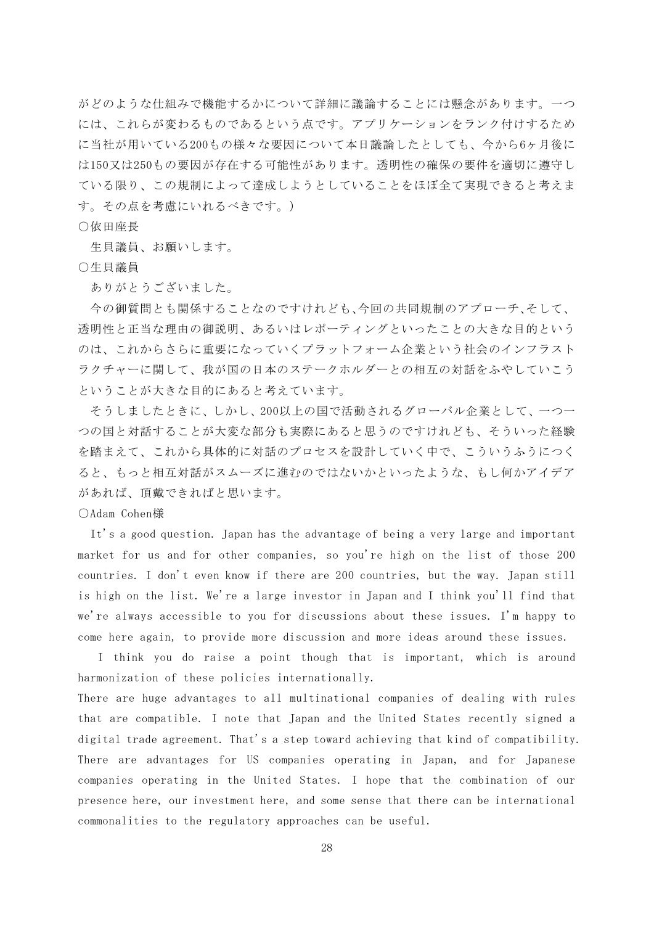がどのような仕組みで機能するかについて詳細に議論することには懸念があります。一つ には、これらが変わるものであるという点です。アプリケーションをランク付けするため に当社が用いている200もの様々な要因について本日議論したとしても、今から6ヶ月後に は150又は250もの要因が存在する可能性があります。透明性の確保の要件を適切に遵守し ている限り、この規制によって達成しようとしていることをほぼ全て実現できると考えま す。その点を考慮にいれるべきです。)

#### ○依田座長

生貝議員、お願いします。

○生貝議員

ありがとうございました。

今の御質問とも関係することなのですけれども、今回の共同規制のアプローチ、そして、 透明性と正当な理由の御説明、あるいはレポーティングといったことの大きな目的という のは、これからさらに重要になっていくプラットフォーム企業という社会のインフラスト ラクチャーに関して、我が国の日本のステークホルダーとの相互の対話をふやしていこう ということが大きな目的にあると考えています。

そうしましたときに、しかし、200以上の国で活動されるグローバル企業として、一つ一 つの国と対話することが大変な部分も実際にあると思うのですけれども、そういった経験 を踏まえて、これから具体的に対話のプロセスを設計していく中で、こういうふうにつく ると、もっと相互対話がスムーズに進むのではないかといったような、もし何かアイデア があれば、頂戴できればと思います。

○Adam Cohen様

It's a good question. Japan has the advantage of being a very large and important market for us and for other companies, so you're high on the list of those 200 countries. I don't even know if there are 200 countries, but the way. Japan still is high on the list. We're a large investor in Japan and I think you'll find that we're always accessible to you for discussions about these issues. I'm happy to come here again, to provide more discussion and more ideas around these issues.

I think you do raise a point though that is important, which is around harmonization of these policies internationally.

There are huge advantages to all multinational companies of dealing with rules that are compatible. I note that Japan and the United States recently signed a digital trade agreement. That's a step toward achieving that kind of compatibility. There are advantages for US companies operating in Japan, and for Japanese companies operating in the United States. I hope that the combination of our presence here, our investment here, and some sense that there can be international commonalities to the regulatory approaches can be useful.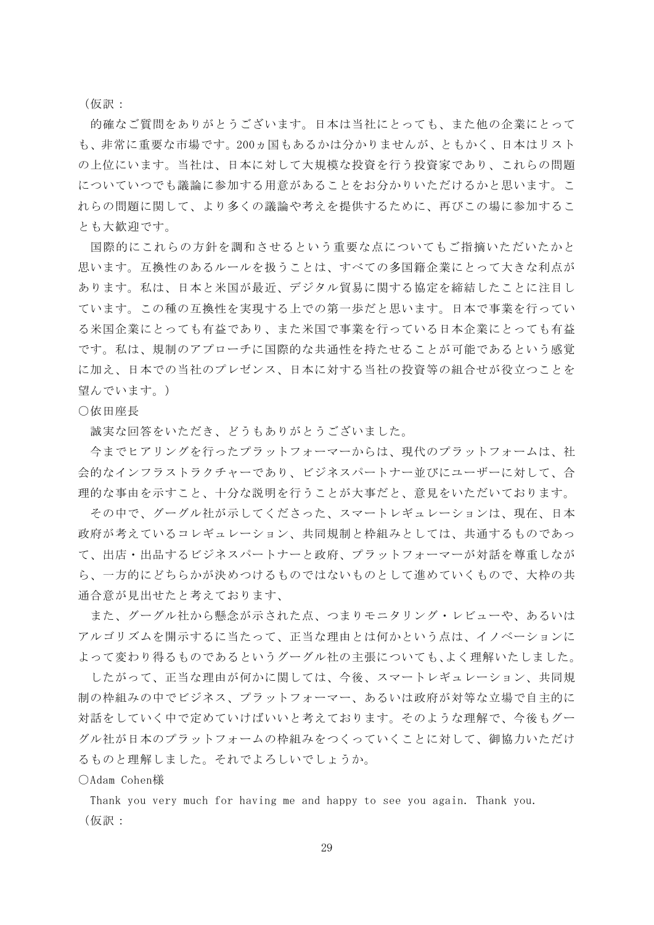(仮訳:

的確なご質問をありがとうございます。日本は当社にとっても、また他の企業にとって も、非常に重要な市場です。200ヵ国もあるかは分かりませんが、ともかく、日本はリスト の上位にいます。当社は、日本に対して大規模な投資を行う投資家であり、これらの問題 についていつでも議論に参加する用意があることをお分かりいただけるかと思います。こ れらの問題に関して、より多くの議論や考えを提供するために、再びこの場に参加するこ とも大歓迎です。

国際的にこれらの方針を調和させるという重要な点についてもご指摘いただいたかと 思います。互換性のあるルールを扱うことは、すべての多国籍企業にとって大きな利点が あります。私は、日本と米国が最近、デジタル貿易に関する協定を締結したことに注目し ています。この種の互換性を実現する上での第一歩だと思います。日本で事業を行ってい る米国企業にとっても有益であり、また米国で事業を行っている日本企業にとっても有益 です。私は、規制のアプローチに国際的な共通性を持たせることが可能であるという感覚 に加え、日本での当社のプレゼンス、日本に対する当社の投資等の組合せが役立つことを 望んでいます。)

## ○依田座長

誠実な回答をいただき、どうもありがとうございました。

今までヒアリングを行ったプラットフォーマーからは、現代のプラットフォームは、社 会的なインフラストラクチャーであり、ビジネスパートナー並びにユーザーに対して、合 理的な事由を示すこと、十分な説明を行うことが大事だと、意見をいただいております。

その中で、グーグル社が示してくださった、スマートレギュレーションは、現在、日本 政府が考えているコレギュレーション、共同規制と枠組みとしては、共通するものであっ て、出店・出品するビジネスパートナーと政府、プラットフォーマーが対話を尊重しなが ら、一方的にどちらかが決めつけるものではないものとして進めていくもので、大枠の共 通合意が見出せたと考えております、

また、グーグル社から懸念が示された点、つまりモニタリング・レビューや、あるいは アルゴリズムを開示するに当たって、正当な理由とは何かという点は、イノベーションに よって変わり得るものであるというグーグル社の主張についても、よく理解いたしました。

したがって、正当な理由が何かに関しては、今後、スマートレギュレーション、共同規 制の枠組みの中でビジネス、プラットフォーマー、あるいは政府が対等な立場で自主的に 対話をしていく中で定めていけばいいと考えております。そのような理解で、今後もグー グル社が日本のプラットフォームの枠組みをつくっていくことに対して、御協力いただけ るものと理解しました。それでよろしいでしょうか。

#### ○Adam Cohen様

Thank you very much for having me and happy to see you again. Thank you. (仮訳: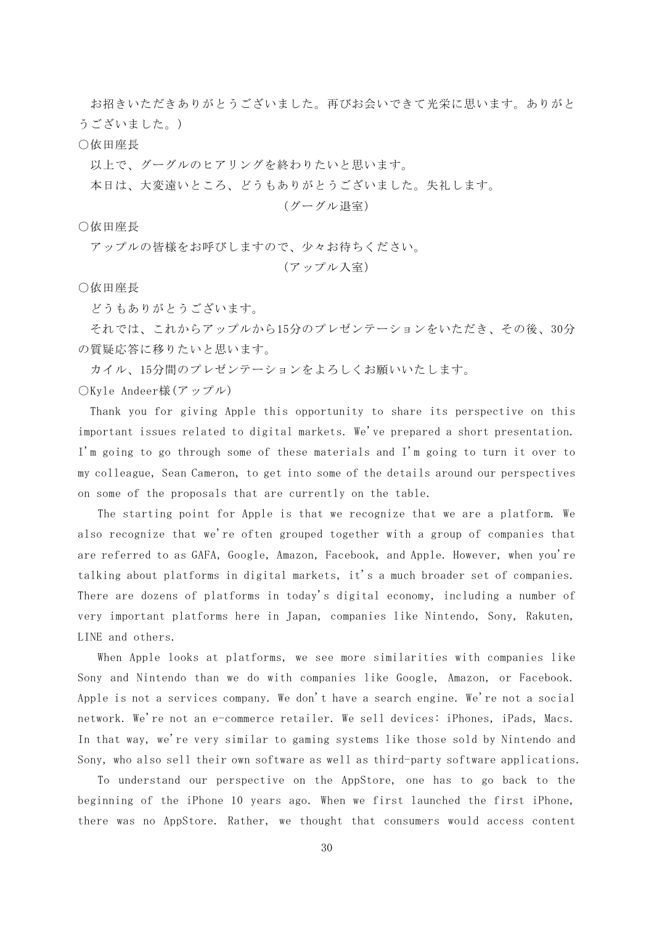お招きいただきありがとうございました。再びお会いできて光栄に思います。ありがと うございました。)

## ○依田座長

以上で、グーグルのヒアリングを終わりたいと思います。

本日は、大変遠いところ、どうもありがとうございました。失礼します。

# (グーグル退室)

○依田座長

アップルの皆様をお呼びしますので、少々お待ちください。

(アップル入室)

○依田座長

どうもありがとうございます。

それでは、これからアップルから15分のプレゼンテーションをいただき、その後、30分 の質疑応答に移りたいと思います。

カイル、15分間のプレゼンテーションをよろしくお願いいたします。 ○Kyle Andeer様(アップル)

Thank you for giving Apple this opportunity to share its perspective on this important issues related to digital markets. We've prepared a short presentation. I'm going to go through some of these materials and I'm going to turn it over to my colleague, Sean Cameron, to get into some of the details around our perspectives on some of the proposals that are currently on the table.

The starting point for Apple is that we recognize that we are a platform. We also recognize that we're often grouped together with a group of companies that are referred to as GAFA, Google, Amazon, Facebook, and Apple. However, when you're talking about platforms in digital markets, it's a much broader set of companies. There are dozens of platforms in today's digital economy, including a number of very important platforms here in Japan, companies like Nintendo, Sony, Rakuten, LINE and others.

When Apple looks at platforms, we see more similarities with companies like Sony and Nintendo than we do with companies like Google, Amazon, or Facebook. Apple is not a services company. We don't have a search engine. We're not a social network. We're not an e-commerce retailer. We sell devices: iPhones, iPads, Macs. In that way, we're very similar to gaming systems like those sold by Nintendo and Sony, who also sell their own software as well as third-party software applications.

To understand our perspective on the AppStore, one has to go back to the beginning of the iPhone 10 years ago. When we first launched the first iPhone, there was no AppStore. Rather, we thought that consumers would access content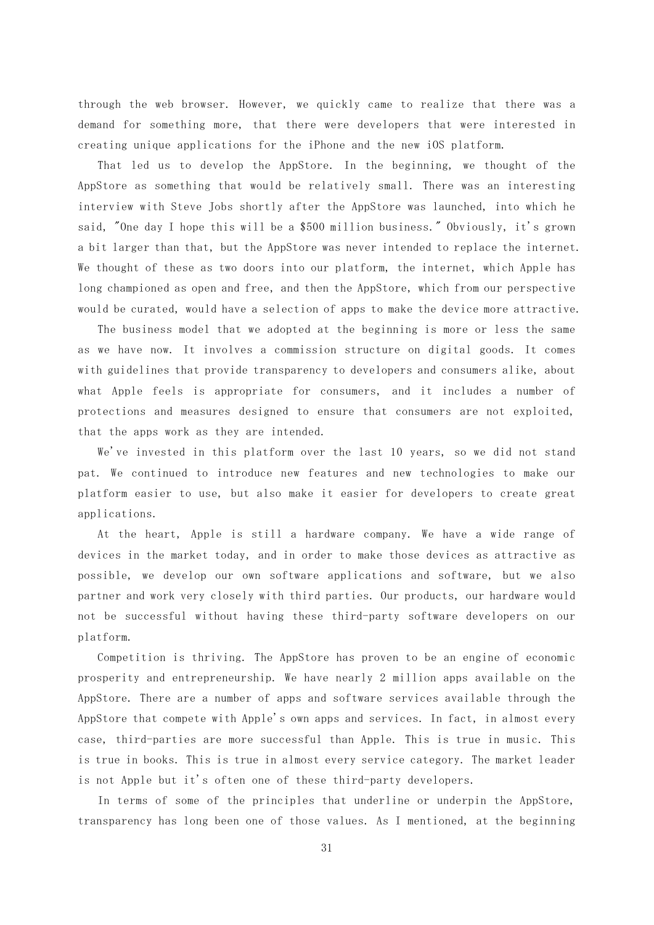through the web browser. However, we quickly came to realize that there was a demand for something more, that there were developers that were interested in creating unique applications for the iPhone and the new iOS platform.

That led us to develop the AppStore. In the beginning, we thought of the AppStore as something that would be relatively small. There was an interesting interview with Steve Jobs shortly after the AppStore was launched, into which he said, "One day I hope this will be a \$500 million business." Obviously, it's grown a bit larger than that, but the AppStore was never intended to replace the internet. We thought of these as two doors into our platform, the internet, which Apple has long championed as open and free, and then the AppStore, which from our perspective would be curated, would have a selection of apps to make the device more attractive.

The business model that we adopted at the beginning is more or less the same as we have now. It involves a commission structure on digital goods. It comes with guidelines that provide transparency to developers and consumers alike, about what Apple feels is appropriate for consumers, and it includes a number of protections and measures designed to ensure that consumers are not exploited, that the apps work as they are intended.

We've invested in this platform over the last 10 years, so we did not stand pat. We continued to introduce new features and new technologies to make our platform easier to use, but also make it easier for developers to create great applications.

At the heart, Apple is still a hardware company. We have a wide range of devices in the market today, and in order to make those devices as attractive as possible, we develop our own software applications and software, but we also partner and work very closely with third parties. Our products, our hardware would not be successful without having these third-party software developers on our platform.

Competition is thriving. The AppStore has proven to be an engine of economic prosperity and entrepreneurship. We have nearly 2 million apps available on the AppStore. There are a number of apps and software services available through the AppStore that compete with Apple's own apps and services. In fact, in almost every case, third-parties are more successful than Apple. This is true in music. This is true in books. This is true in almost every service category. The market leader is not Apple but it's often one of these third-party developers.

In terms of some of the principles that underline or underpin the AppStore, transparency has long been one of those values. As I mentioned, at the beginning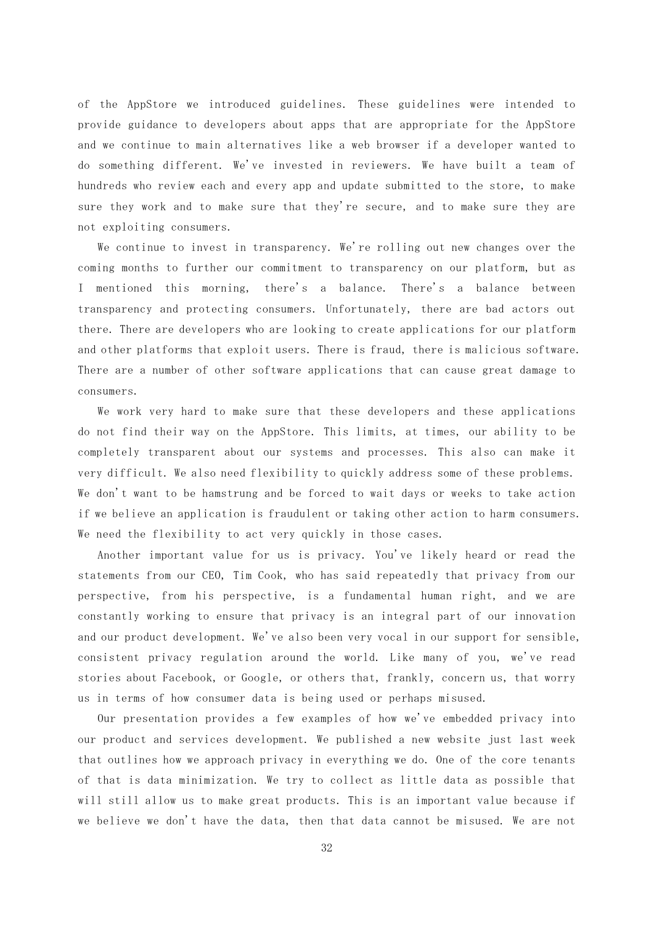of the AppStore we introduced guidelines. These guidelines were intended to provide guidance to developers about apps that are appropriate for the AppStore and we continue to main alternatives like a web browser if a developer wanted to do something different. We've invested in reviewers. We have built a team of hundreds who review each and every app and update submitted to the store, to make sure they work and to make sure that they're secure, and to make sure they are not exploiting consumers.

We continue to invest in transparency. We're rolling out new changes over the coming months to further our commitment to transparency on our platform, but as I mentioned this morning, there's a balance. There's a balance between transparency and protecting consumers. Unfortunately, there are bad actors out there. There are developers who are looking to create applications for our platform and other platforms that exploit users. There is fraud, there is malicious software. There are a number of other software applications that can cause great damage to consumers.

We work very hard to make sure that these developers and these applications do not find their way on the AppStore. This limits, at times, our ability to be completely transparent about our systems and processes. This also can make it very difficult. We also need flexibility to quickly address some of these problems. We don't want to be hamstrung and be forced to wait days or weeks to take action if we believe an application is fraudulent or taking other action to harm consumers. We need the flexibility to act very quickly in those cases.

Another important value for us is privacy. You've likely heard or read the statements from our CEO, Tim Cook, who has said repeatedly that privacy from our perspective, from his perspective, is a fundamental human right, and we are constantly working to ensure that privacy is an integral part of our innovation and our product development. We've also been very vocal in our support for sensible, consistent privacy regulation around the world. Like many of you, we've read stories about Facebook, or Google, or others that, frankly, concern us, that worry us in terms of how consumer data is being used or perhaps misused.

Our presentation provides a few examples of how we've embedded privacy into our product and services development. We published a new website just last week that outlines how we approach privacy in everything we do. One of the core tenants of that is data minimization. We try to collect as little data as possible that will still allow us to make great products. This is an important value because if we believe we don't have the data, then that data cannot be misused. We are not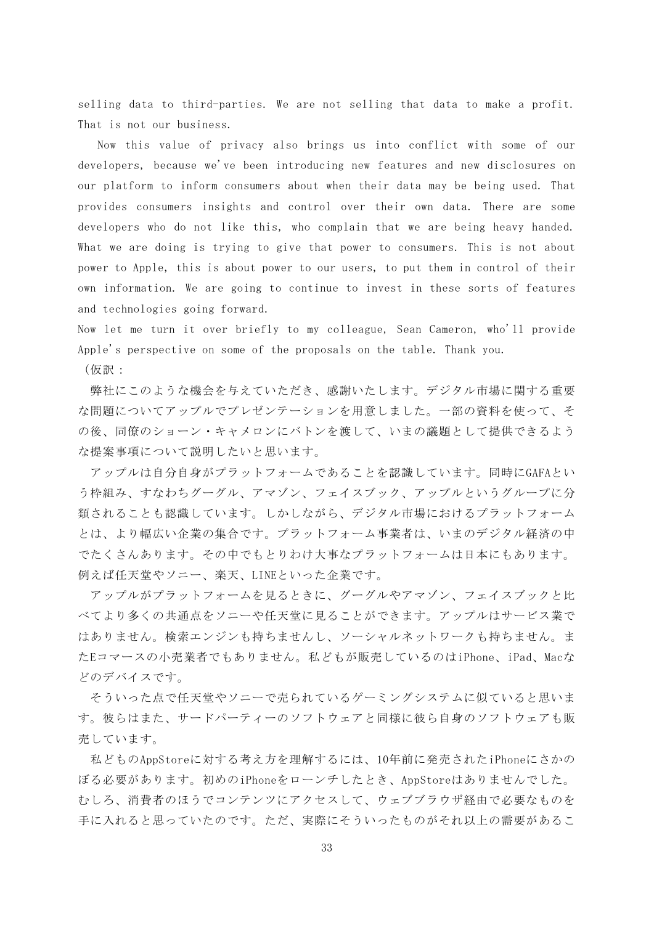selling data to third-parties. We are not selling that data to make a profit. That is not our business.

Now this value of privacy also brings us into conflict with some of our developers, because we've been introducing new features and new disclosures on our platform to inform consumers about when their data may be being used. That provides consumers insights and control over their own data. There are some developers who do not like this, who complain that we are being heavy handed. What we are doing is trying to give that power to consumers. This is not about power to Apple, this is about power to our users, to put them in control of their own information. We are going to continue to invest in these sorts of features and technologies going forward.

Now let me turn it over briefly to my colleague, Sean Cameron, who'll provide Apple's perspective on some of the proposals on the table. Thank you. (仮訳:

弊社にこのような機会を与えていただき、感謝いたします。デジタル市場に関する重要 な問題についてアップルでプレゼンテーションを用意しました。一部の資料を使って、そ の後、同僚のショーン・キャメロンにバトンを渡して、いまの議題として提供できるよう な提案事項について説明したいと思います。

アップルは自分自身がプラットフォームであることを認識しています。同時にGAFAとい う枠組み、すなわちグーグル、アマゾン、フェイスブック、アップルというグループに分 類されることも認識しています。しかしながら、デジタル市場におけるプラットフォーム とは、より幅広い企業の集合です。プラットフォーム事業者は、いまのデジタル経済の中 でたくさんあります。その中でもとりわけ大事なプラットフォームは日本にもあります。 例えば任天堂やソニー、楽天、LINEといった企業です。

アップルがプラットフォームを見るときに、グーグルやアマゾン、フェイスブックと比 べてより多くの共通点をソニーや任天堂に見ることができます。アップルはサービス業で はありません。検索エンジンも持ちませんし、ソーシャルネットワークも持ちません。ま たEコマースの小売業者でもありません。私どもが販売しているのはiPhone、iPad、Macな どのデバイスです。

そういった点で任天堂やソニーで売られているゲーミングシステムに似ていると思いま す。彼らはまた、サードパーティーのソフトウェアと同様に彼ら自身のソフトウェアも販 売しています。

私どものAppStoreに対する考え方を理解するには、10年前に発売されたiPhoneにさかの ぼる必要があります。初めのiPhoneをローンチしたとき、AppStoreはありませんでした。 むしろ、消費者のほうでコンテンツにアクセスして、ウェブブラウザ経由で必要なものを 手に入れると思っていたのです。ただ、実際にそういったものがそれ以上の需要があるこ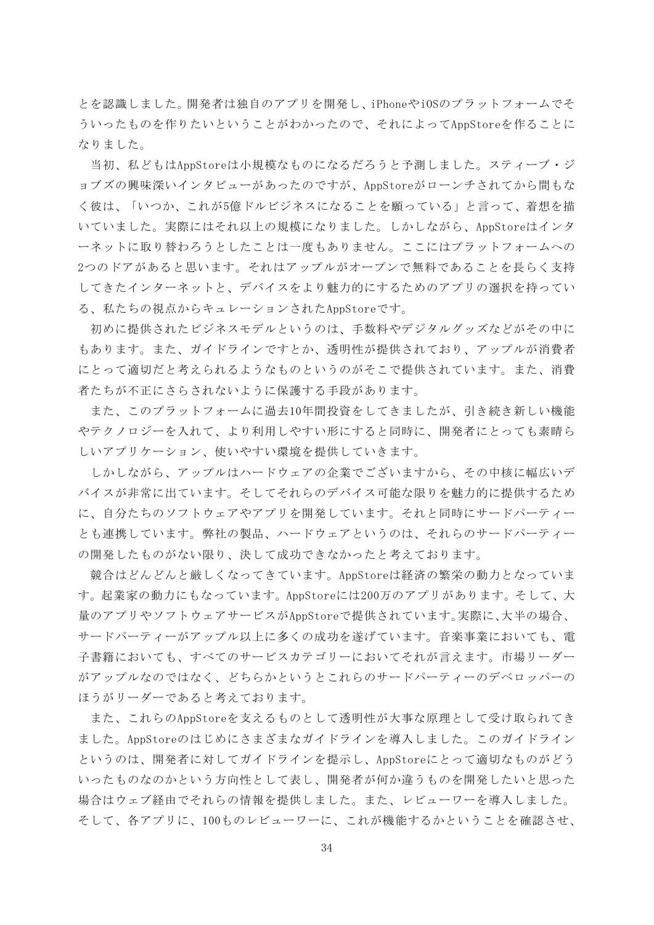とを認識しました。開発者は独自のアプリを開発し、iPhoneやiOSのプラットフォームでそ ういったものを作りたいということがわかったので、それによってAppStoreを作ることに なりました。

当初、私どもはAppStoreは小規模なものになるだろうと予測しました。スティーブ・ジ ョブズの興味深いインタビューがあったのですが、AppStoreがローンチされてから間もな く彼は、「いつか、これが5億ドルビジネスになることを願っている」と言って、着想を描 いていました。実際にはそれ以上の規模になりました。しかしながら、AppStoreはインタ ーネットに取り替わろうとしたことは一度もありません。ここにはプラットフォームへの 2つのドアがあると思います。それはアップルがオープンで無料であることを長らく支持 してきたインターネットと、デバイスをより魅力的にするためのアプリの選択を持ってい る、私たちの視点からキュレーションされたAppStoreです。

初めに提供されたビジネスモデルというのは、手数料やデジタルグッズなどがその中に もあります。また、ガイドラインですとか、透明性が提供されており、アップルが消費者 にとって適切だと考えられるようなものというのがそこで提供されています。また、消費 者たちが不正にさらされないように保護する手段があります。

また、このプラットフォームに過去10年間投資をしてきましたが、引き続き新しい機能 やテクノロジーを入れて、より利用しやすい形にすると同時に、開発者にとっても素晴ら しいアプリケーション、使いやすい環境を提供していきます。

しかしながら、アップルはハードウェアの企業でございますから、その中核に幅広いデ バイスが非常に出ています。そしてそれらのデバイス可能な限りを魅力的に提供するため に、自分たちのソフトウェアやアプリを開発しています。それと同時にサードパーティー とも連携しています。弊社の製品、ハードウェアというのは、それらのサードパーティー の開発したものがない限り、決して成功できなかったと考えております。

競合はどんどんと厳しくなってきています。AppStoreは経済の繁栄の動力となっていま す。起業家の動力にもなっています。AppStoreには200万のアプリがあります。そして、大 量のアプリやソフトウェアサービスがAppStoreで提供されています。実際に、大半の場合、 サードパーティーがアップル以上に多くの成功を遂げています。音楽事業においても、電 子書籍においても、すべてのサービスカテゴリーにおいてそれが言えます。市場リーダー がアップルなのではなく、どちらかというとこれらのサードパーティーのデベロッパーの ほうがリーダーであると考えております。

また、これらのAppStoreを支えるものとして透明性が大事な原理として受け取られてき ました。AppStoreのはじめにさまざまなガイドラインを導入しました。このガイドライン というのは、開発者に対してガイドラインを提示し、AppStoreにとって適切なものがどう いったものなのかという方向性として表し、開発者が何か違うものを開発したいと思った 場合はウェブ経由でそれらの情報を提供しました。また、レビューワーを導入しました。 そして、各アプリに、100ものレビューワーに、これが機能するかということを確認させ、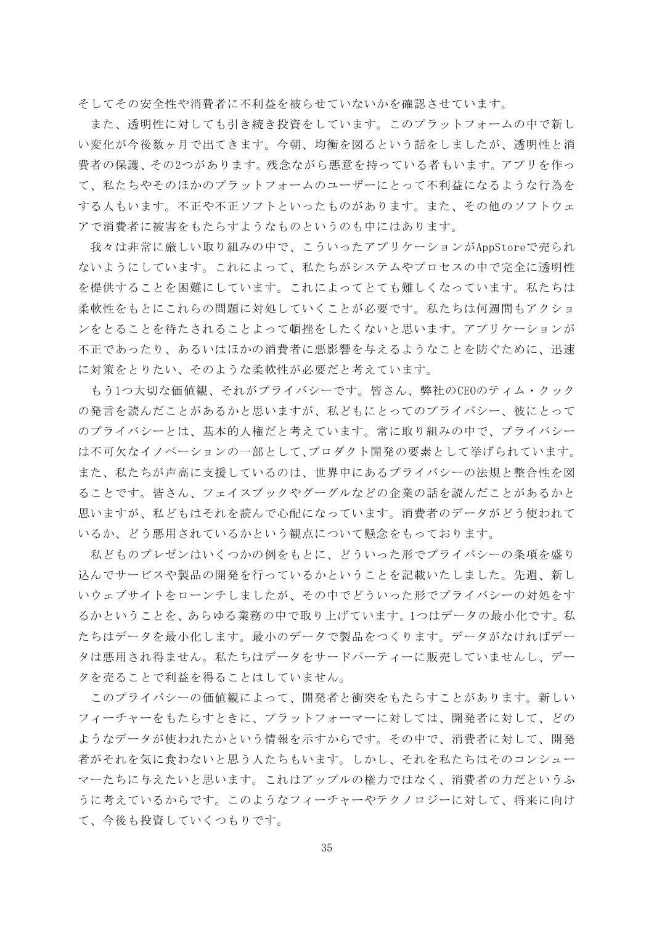そしてその安全性や消費者に不利益を被らせていないかを確認させています。

また、透明性に対しても引き続き投資をしています。このプラットフォームの中で新し い変化が今後数ヶ月で出てきます。今朝、均衡を図るという話をしましたが、透明性と消 費者の保護、その2つがあります。残念ながら悪意を持っている者もいます。アプリを作っ て、私たちやそのほかのプラットフォームのユーザーにとって不利益になるような行為を する人もいます。不正や不正ソフトといったものがあります。また、その他のソフトウェ アで消費者に被害をもたらすようなものというのも中にはあります。

我々は非常に厳しい取り組みの中で、こういったアプリケーションがAppStoreで売られ ないようにしています。これによって、私たちがシステムやプロセスの中で完全に透明性 を提供することを困難にしています。これによってとても難しくなっています。私たちは 柔軟性をもとにこれらの問題に対処していくことが必要です。私たちは何週間もアクショ ンをとることを待たされることよって頓挫をしたくないと思います。アプリケーションが 不正であったり、あるいはほかの消費者に悪影響を与えるようなことを防ぐために、迅速 に対策をとりたい、そのような柔軟性が必要だと考えています。

もう1つ大切な価値観、それがプライバシーです。皆さん、弊社のCEOのティム・クック の発言を読んだことがあるかと思いますが、私どもにとってのプライバシー、彼にとって のプライバシーとは、基本的人権だと考えています。常に取り組みの中で、プライバシー は不可欠なイノベーションの一部として、プロダクト開発の要素として挙げられています。 また、私たちが声高に支援しているのは、世界中にあるプライバシーの法規と整合性を図 ることです。皆さん、フェイスブックやグーグルなどの企業の話を読んだことがあるかと 思いますが、私どもはそれを読んで心配になっています。消費者のデータがどう使われて いるか、どう悪用されているかという観点について懸念をもっております。

私どものプレゼンはいくつかの例をもとに、どういった形でプライバシーの条項を盛り 込んでサービスや製品の開発を行っているかということを記載いたしました。先週、新し いウェブサイトをローンチしましたが、その中でどういった形でプライバシーの対処をす るかということを、あらゆる業務の中で取り上げています。1つはデータの最小化です。私 たちはデータを最小化します。最小のデータで製品をつくります。データがなければデー タは悪用され得ません。私たちはデータをサードパーティーに販売していませんし、デー タを売ることで利益を得ることはしていません。

このプライバシーの価値観によって、開発者と衝突をもたらすことがあります。新しい フィーチャーをもたらすときに、プラットフォーマーに対しては、開発者に対して、どの ようなデータが使われたかという情報を示すからです。その中で、消費者に対して、開発 者がそれを気に食わないと思う人たちもいます。しかし、それを私たちはそのコンシュー マーたちに与えたいと思います。これはアップルの権力ではなく、消費者の力だというふ うに考えているからです。このようなフィーチャーやテクノロジーに対して、将来に向け て、今後も投資していくつもりです。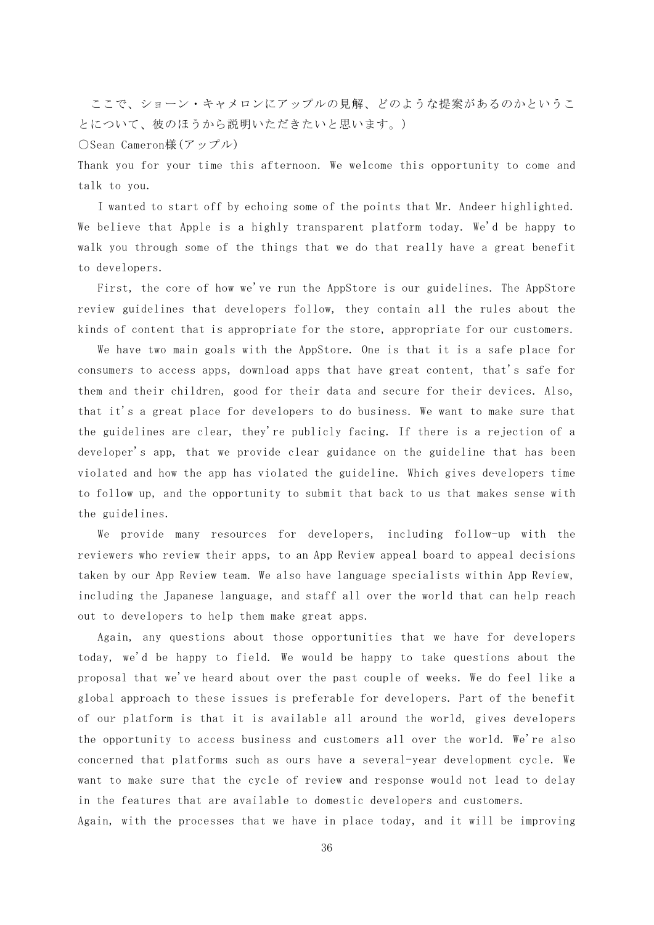ここで、ショーン・キャメロンにアップルの見解、どのような提案があるのかというこ とについて、彼のほうから説明いただきたいと思います。)

○Sean Cameron様(アップル)

Thank you for your time this afternoon. We welcome this opportunity to come and talk to you.

I wanted to start off by echoing some of the points that Mr. Andeer highlighted. We believe that Apple is a highly transparent platform today. We'd be happy to walk you through some of the things that we do that really have a great benefit to developers.

First, the core of how we've run the AppStore is our guidelines. The AppStore review guidelines that developers follow, they contain all the rules about the kinds of content that is appropriate for the store, appropriate for our customers.

We have two main goals with the AppStore. One is that it is a safe place for consumers to access apps, download apps that have great content, that's safe for them and their children, good for their data and secure for their devices. Also, that it's a great place for developers to do business. We want to make sure that the guidelines are clear, they're publicly facing. If there is a rejection of a developer's app, that we provide clear guidance on the guideline that has been violated and how the app has violated the guideline. Which gives developers time to follow up, and the opportunity to submit that back to us that makes sense with the guidelines.

We provide many resources for developers, including follow-up with the reviewers who review their apps, to an App Review appeal board to appeal decisions taken by our App Review team. We also have language specialists within App Review, including the Japanese language, and staff all over the world that can help reach out to developers to help them make great apps.

Again, any questions about those opportunities that we have for developers today, we'd be happy to field. We would be happy to take questions about the proposal that we've heard about over the past couple of weeks. We do feel like a global approach to these issues is preferable for developers. Part of the benefit of our platform is that it is available all around the world, gives developers the opportunity to access business and customers all over the world. We're also concerned that platforms such as ours have a several-year development cycle. We want to make sure that the cycle of review and response would not lead to delay in the features that are available to domestic developers and customers.

Again, with the processes that we have in place today, and it will be improving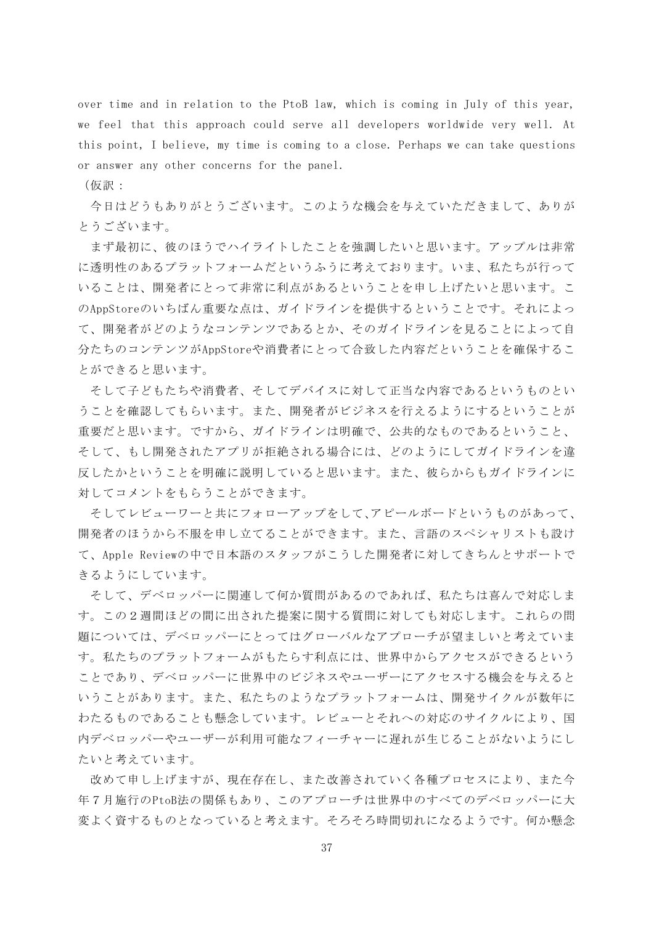over time and in relation to the PtoB law, which is coming in July of this year, we feel that this approach could serve all developers worldwide very well. At this point, I believe, my time is coming to a close. Perhaps we can take questions or answer any other concerns for the panel.

(仮訳:

今日はどうもありがとうございます。このような機会を与えていただきまして、ありが とうございます。

まず最初に、彼のほうでハイライトしたことを強調したいと思います。アップルは非常 に透明性のあるプラットフォームだというふうに考えております。いま、私たちが行って いることは、開発者にとって非常に利点があるということを申し上げたいと思います。こ のAppStoreのいちばん重要な点は、ガイドラインを提供するということです。それによっ て、開発者がどのようなコンテンツであるとか、そのガイドラインを見ることによって自 分たちのコンテンツがAppStoreや消費者にとって合致した内容だということを確保するこ とができると思います。

そして子どもたちや消費者、そしてデバイスに対して正当な内容であるというものとい うことを確認してもらいます。また、開発者がビジネスを行えるようにするということが 重要だと思います。ですから、ガイドラインは明確で、公共的なものであるということ、 そして、もし開発されたアプリが拒絶される場合には、どのようにしてガイドラインを違 反したかということを明確に説明していると思います。また、彼らからもガイドラインに 対してコメントをもらうことができます。

そしてレビューワーと共にフォローアップをして、アピールボードというものがあって、 開発者のほうから不服を申し立てることができます。また、言語のスペシャリストも設け て、Apple Reviewの中で日本語のスタッフがこうした開発者に対してきちんとサポートで きるようにしています。

そして、デベロッパーに関連して何か質問があるのであれば、私たちは喜んで対応しま す。この2週間ほどの間に出された提案に関する質問に対しても対応します。これらの問 題については、デベロッパーにとってはグローバルなアプローチが望ましいと考えていま す。私たちのプラットフォームがもたらす利点には、世界中からアクセスができるという ことであり、デベロッパーに世界中のビジネスやユーザーにアクセスする機会を与えると いうことがあります。また、私たちのようなプラットフォームは、開発サイクルが数年に わたるものであることも懸念しています。レビューとそれへの対応のサイクルにより、国 内デベロッパーやユーザーが利用可能なフィーチャーに遅れが生じることがないようにし たいと考えています。

改めて申し上げますが、現在存在し、また改善されていく各種プロセスにより、また今 年7月施行のPtoB法の関係もあり、このアプローチは世界中のすべてのデベロッパーに大 変よく資するものとなっていると考えます。そろそろ時間切れになるようです。何か懸念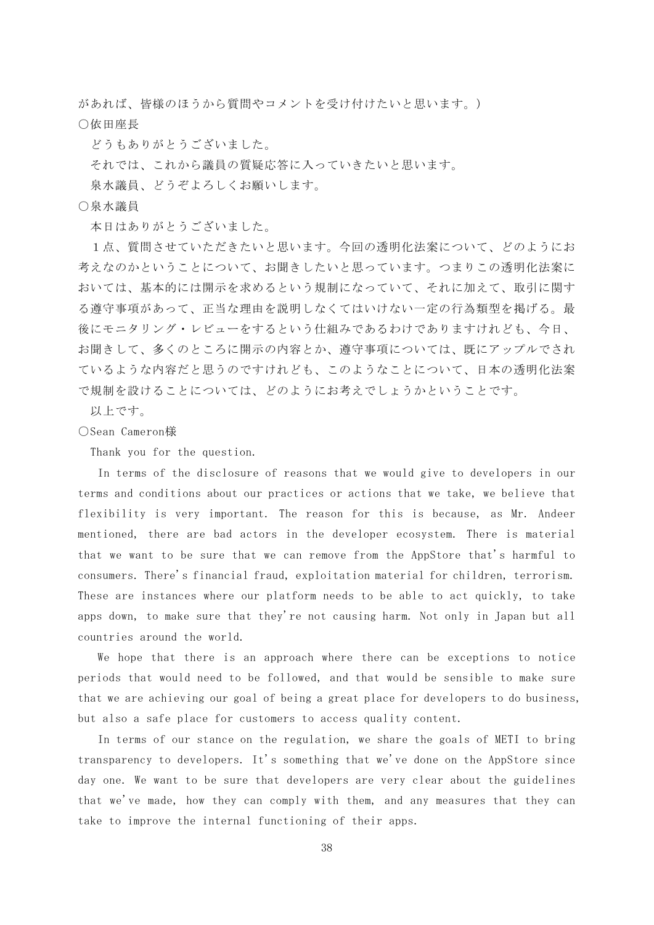があれば、皆様のほうから質問やコメントを受け付けたいと思います。) ○依田座長

どうもありがとうございました。

それでは、これから議員の質疑応答に入っていきたいと思います。

泉水議員、どうぞよろしくお願いします。

## ○泉水議員

本日はありがとうございました。

1点、質問させていただきたいと思います。今回の透明化法案について、どのようにお 考えなのかということについて、お聞きしたいと思っています。つまりこの透明化法案に おいては、基本的には開示を求めるという規制になっていて、それに加えて、取引に関す る遵守事項があって、正当な理由を説明しなくてはいけない一定の行為類型を掲げる。最 後にモニタリング・レビューをするという仕組みであるわけでありますけれども、今日、 お聞きして、多くのところに開示の内容とか、遵守事項については、既にアップルでされ ているような内容だと思うのですけれども、このようなことについて、日本の透明化法案 で規制を設けることについては、どのようにお考えでしょうかということです。

以上です。

# ○Sean Cameron様

Thank you for the question.

In terms of the disclosure of reasons that we would give to developers in our terms and conditions about our practices or actions that we take, we believe that flexibility is very important. The reason for this is because, as Mr. Andeer mentioned, there are bad actors in the developer ecosystem. There is material that we want to be sure that we can remove from the AppStore that's harmful to consumers. There's financial fraud, exploitation material for children, terrorism. These are instances where our platform needs to be able to act quickly, to take apps down, to make sure that they're not causing harm. Not only in Japan but all countries around the world.

We hope that there is an approach where there can be exceptions to notice periods that would need to be followed, and that would be sensible to make sure that we are achieving our goal of being a great place for developers to do business, but also a safe place for customers to access quality content.

In terms of our stance on the regulation, we share the goals of METI to bring transparency to developers. It's something that we've done on the AppStore since day one. We want to be sure that developers are very clear about the guidelines that we've made, how they can comply with them, and any measures that they can take to improve the internal functioning of their apps.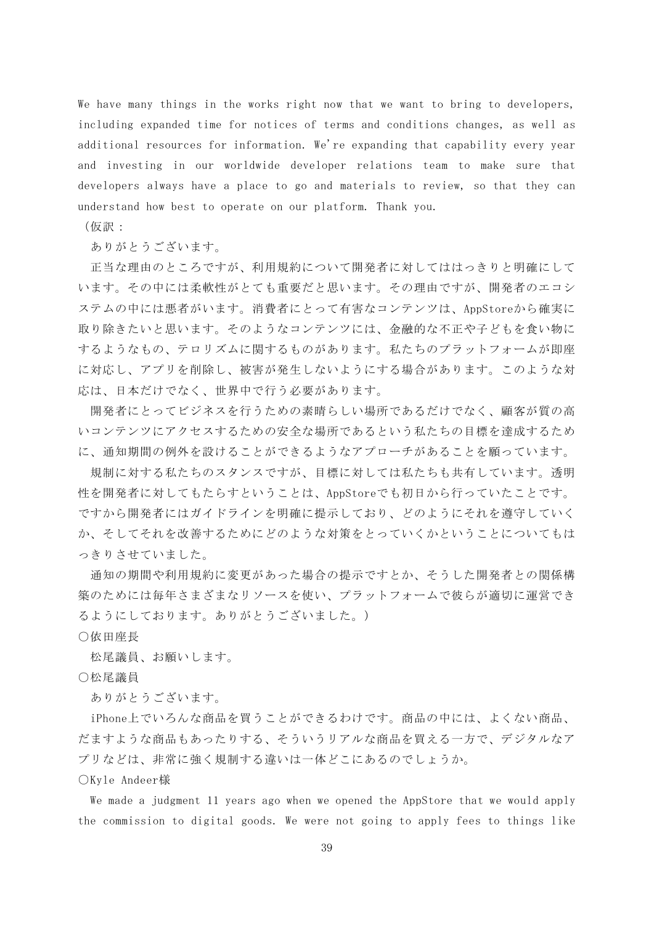We have many things in the works right now that we want to bring to developers, including expanded time for notices of terms and conditions changes, as well as additional resources for information. We're expanding that capability every year and investing in our worldwide developer relations team to make sure that developers always have a place to go and materials to review, so that they can understand how best to operate on our platform. Thank you.

(仮訳:

ありがとうございます。

正当な理由のところですが、利用規約について開発者に対してははっきりと明確にして います。その中には柔軟性がとても重要だと思います。その理由ですが、開発者のエコシ ステムの中には悪者がいます。消費者にとって有害なコンテンツは、AppStoreから確実に 取り除きたいと思います。そのようなコンテンツには、金融的な不正や子どもを食い物に するようなもの、テロリズムに関するものがあります。私たちのプラットフォームが即座 に対応し、アプリを削除し、被害が発生しないようにする場合があります。このような対 応は、日本だけでなく、世界中で行う必要があります。

開発者にとってビジネスを行うための素晴らしい場所であるだけでなく、顧客が質の高 いコンテンツにアクセスするための安全な場所であるという私たちの目標を達成するため に、通知期間の例外を設けることができるようなアプローチがあることを願っています。

規制に対する私たちのスタンスですが、目標に対しては私たちも共有しています。透明 性を開発者に対してもたらすということは、AppStoreでも初日から行っていたことです。 ですから開発者にはガイドラインを明確に提示しており、どのようにそれを遵守していく か、そしてそれを改善するためにどのような対策をとっていくかということについてもは っきりさせていました。

通知の期間や利用規約に変更があった場合の提示ですとか、そうした開発者との関係構 築のためには毎年さまざまなリソースを使い、プラットフォームで彼らが適切に運営でき るようにしております。ありがとうございました。)

○依田座長

松尾議員、お願いします。

○松尾議員

ありがとうございます。

iPhone上でいろんな商品を買うことができるわけです。商品の中には、よくない商品、 だますような商品もあったりする、そういうリアルな商品を買える一方で、デジタルなア プリなどは、非常に強く規制する違いは一体どこにあるのでしょうか。

○Kyle Andeer様

We made a judgment 11 years ago when we opened the AppStore that we would apply the commission to digital goods. We were not going to apply fees to things like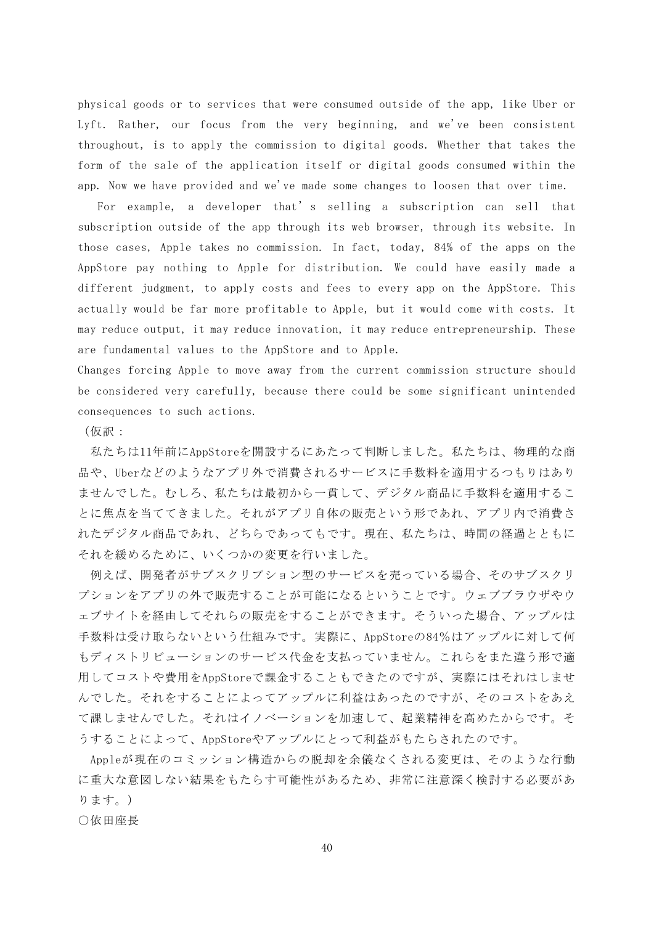physical goods or to services that were consumed outside of the app, like Uber or Lyft. Rather, our focus from the very beginning, and we've been consistent throughout, is to apply the commission to digital goods. Whether that takes the form of the sale of the application itself or digital goods consumed within the app. Now we have provided and we've made some changes to loosen that over time.

For example, a developer that's selling a subscription can sell that subscription outside of the app through its web browser, through its website. In those cases, Apple takes no commission. In fact, today, 84% of the apps on the AppStore pay nothing to Apple for distribution. We could have easily made a different judgment, to apply costs and fees to every app on the AppStore. This actually would be far more profitable to Apple, but it would come with costs. It may reduce output, it may reduce innovation, it may reduce entrepreneurship. These are fundamental values to the AppStore and to Apple.

Changes forcing Apple to move away from the current commission structure should be considered very carefully, because there could be some significant unintended consequences to such actions.

(仮訳:

私たちは11年前にAppStoreを開設するにあたって判断しました。私たちは、物理的な商 品や、Uberなどのようなアプリ外で消費されるサービスに手数料を適用するつもりはあり ませんでした。むしろ、私たちは最初から一貫して、デジタル商品に手数料を適用するこ とに焦点を当ててきました。それがアプリ自体の販売という形であれ、アプリ内で消費さ れたデジタル商品であれ、どちらであってもです。現在、私たちは、時間の経過とともに それを緩めるために、いくつかの変更を行いました。

例えば、開発者がサブスクリプション型のサービスを売っている場合、そのサブスクリ プションをアプリの外で販売することが可能になるということです。ウェブブラウザやウ ェブサイトを経由してそれらの販売をすることができます。そういった場合、アップルは 手数料は受け取らないという仕組みです。実際に、AppStoreの84%はアップルに対して何 もディストリビューションのサービス代金を支払っていません。これらをまた違う形で適 用してコストや費用をAppStoreで課金することもできたのですが、実際にはそれはしませ んでした。それをすることによってアップルに利益はあったのですが、そのコストをあえ て課しませんでした。それはイノベーションを加速して、起業精神を高めたからです。そ うすることによって、AppStoreやアップルにとって利益がもたらされたのです。

Appleが現在のコミッション構造からの脱却を余儀なくされる変更は、そのような行動 に重大な意図しない結果をもたらす可能性があるため、非常に注意深く検討する必要があ ります。)

○依田座長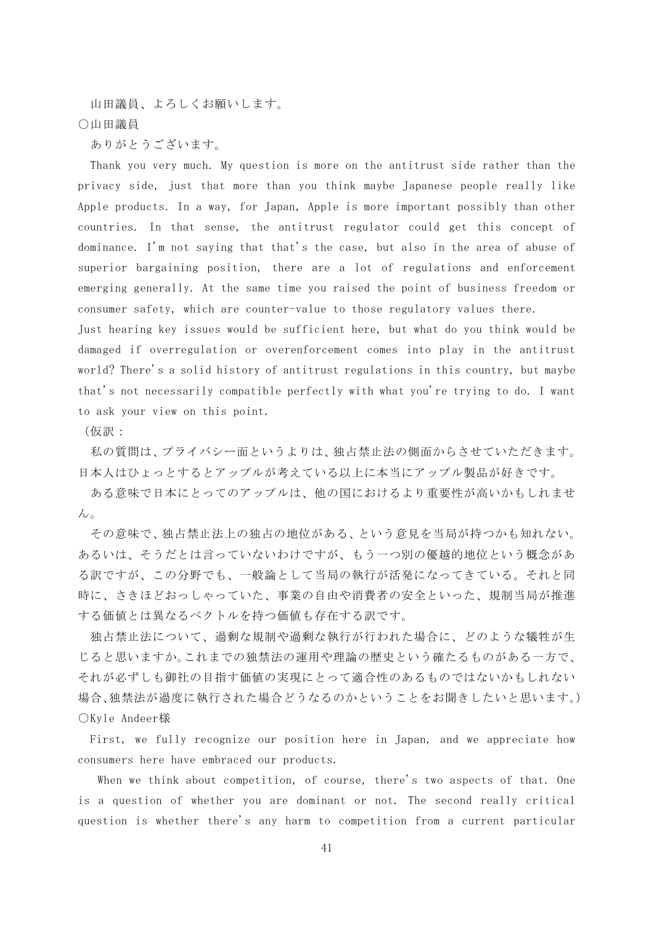山田議員、よろしくお願いします。 ○山田議員

ありがとうございます。

Thank you very much. My question is more on the antitrust side rather than the privacy side, just that more than you think maybe Japanese people really like Apple products. In a way, for Japan, Apple is more important possibly than other countries. In that sense, the antitrust regulator could get this concept of dominance. I'm not saying that that's the case, but also in the area of abuse of superior bargaining position, there are a lot of regulations and enforcement emerging generally. At the same time you raised the point of business freedom or consumer safety, which are counter-value to those regulatory values there.

Just hearing key issues would be sufficient here, but what do you think would be damaged if overregulation or overenforcement comes into play in the antitrust world? There's a solid history of antitrust regulations in this country, but maybe that's not necessarily compatible perfectly with what you're trying to do. I want to ask your view on this point.

(仮訳:

私の質問は、プライバシー面というよりは、独占禁止法の側面からさせていただきます。 日本人はひょっとするとアップルが考えている以上に本当にアップル製品が好きです。

ある意味で日本にとってのアップルは、他の国におけるより重要性が高いかもしれませ  $h_{\alpha}$ 

その意味で、独占禁止法上の独占の地位がある、という意見を当局が持つかも知れない。 あるいは、そうだとは言っていないわけですが、もう一つ別の優越的地位という概念があ る訳ですが、この分野でも、一般論として当局の執行が活発になってきている。それと同 時に、さきほどおっしゃっていた、事業の自由や消費者の安全といった、規制当局が推進 する価値とは異なるベクトルを持つ価値も存在する訳です。

独占禁止法について、過剰な規制や過剰な執行が行われた場合に、どのような犠牲が生 じると思いますか。これまでの独禁法の運用や理論の歴史という確たるものがある一方で、 それが必ずしも御社の目指す価値の実現にとって適合性のあるものではないかもしれない 場合、独禁法が過度に執行された場合どうなるのかということをお聞きしたいと思います。) ○Kyle Andeer様

First, we fully recognize our position here in Japan, and we appreciate how consumers here have embraced our products.

When we think about competition, of course, there's two aspects of that. One is a question of whether you are dominant or not. The second really critical question is whether there's any harm to competition from a current particular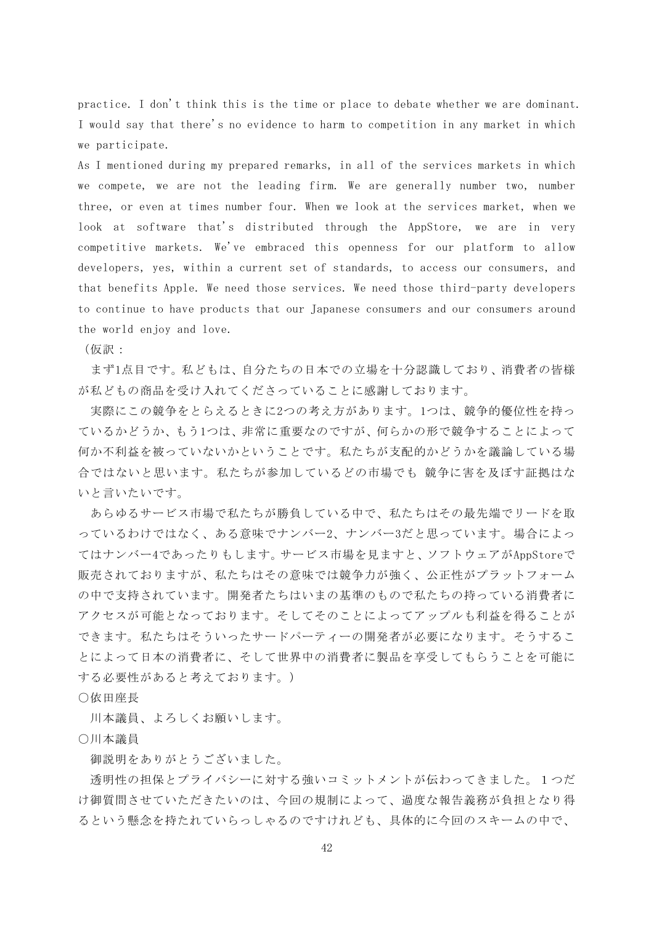practice. I don't think this is the time or place to debate whether we are dominant. I would say that there's no evidence to harm to competition in any market in which we participate.

As I mentioned during my prepared remarks, in all of the services markets in which we compete, we are not the leading firm. We are generally number two, number three, or even at times number four. When we look at the services market, when we look at software that's distributed through the AppStore, we are in very competitive markets. We've embraced this openness for our platform to allow developers, yes, within a current set of standards, to access our consumers, and that benefits Apple. We need those services. We need those third-party developers to continue to have products that our Japanese consumers and our consumers around the world enjoy and love.

(仮訳:

まず1点目です。私どもは、自分たちの日本での立場を十分認識しており、消費者の皆様 が私どもの商品を受け入れてくださっていることに感謝しております。

実際にこの競争をとらえるときに2つの考え方があります。1つは、競争的優位性を持っ ているかどうか、もう1つは、非常に重要なのですが、何らかの形で競争することによって 何か不利益を被っていないかということです。私たちが支配的かどうかを議論している場 合ではないと思います。私たちが参加しているどの市場でも 競争に害を及ぼす証拠はな いと言いたいです。

あらゆるサービス市場で私たちが勝負している中で、私たちはその最先端でリードを取 っているわけではなく、ある意味でナンバー2、ナンバー3だと思っています。場合によっ てはナンバー4であったりもします。サービス市場を見ますと、ソフトウェアがAppStoreで 販売されておりますが、私たちはその意味では競争力が強く、公正性がプラットフォーム の中で支持されています。開発者たちはいまの基準のもので私たちの持っている消費者に アクセスが可能となっております。そしてそのことによってアップルも利益を得ることが できます。私たちはそういったサードパーティーの開発者が必要になります。そうするこ とによって日本の消費者に、そして世界中の消費者に製品を享受してもらうことを可能に する必要性があると考えております。)

○依田座長

川本議員、よろしくお願いします。

○川本議員

御説明をありがとうございました。

透明性の担保とプライバシーに対する強いコミットメントが伝わってきました。1つだ け御質問させていただきたいのは、今回の規制によって、過度な報告義務が負担となり得 るという懸念を持たれていらっしゃるのですけれども、具体的に今回のスキームの中で、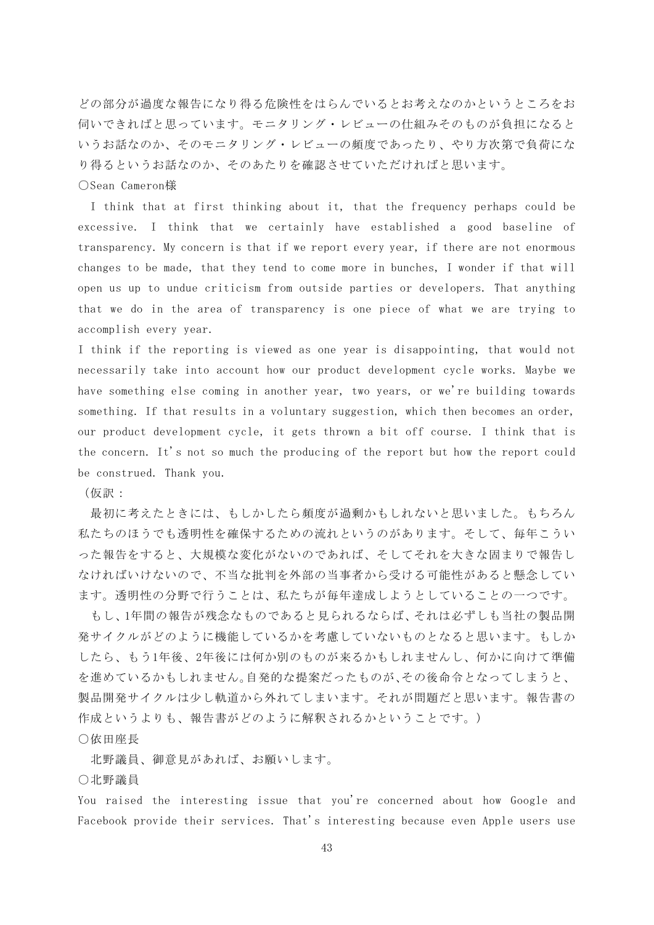どの部分が過度な報告になり得る危険性をはらんでいるとお考えなのかというところをお 伺いできればと思っています。モニタリング・レビューの仕組みそのものが負担になると いうお話なのか、そのモニタリング・レビューの頻度であったり、やり方次第で負荷にな り得るというお話なのか、そのあたりを確認させていただければと思います。

#### ○Sean Cameron様

I think that at first thinking about it, that the frequency perhaps could be excessive. I think that we certainly have established a good baseline of transparency. My concern is that if we report every year, if there are not enormous changes to be made, that they tend to come more in bunches, I wonder if that will open us up to undue criticism from outside parties or developers. That anything that we do in the area of transparency is one piece of what we are trying to accomplish every year.

I think if the reporting is viewed as one year is disappointing, that would not necessarily take into account how our product development cycle works. Maybe we have something else coming in another year, two years, or we're building towards something. If that results in a voluntary suggestion, which then becomes an order, our product development cycle, it gets thrown a bit off course. I think that is the concern. It's not so much the producing of the report but how the report could be construed. Thank you.

(仮訳:

最初に考えたときには、もしかしたら頻度が過剰かもしれないと思いました。もちろん 私たちのほうでも透明性を確保するための流れというのがあります。そして、毎年こうい った報告をすると、大規模な変化がないのであれば、そしてそれを大きな固まりで報告し なければいけないので、不当な批判を外部の当事者から受ける可能性があると懸念してい ます。透明性の分野で行うことは、私たちが毎年達成しようとしていることの一つです。

もし、1年間の報告が残念なものであると見られるならば、それは必ずしも当社の製品開 発サイクルがどのように機能しているかを考慮していないものとなると思います。もしか したら、もう1年後、2年後には何か別のものが来るかもしれませんし、何かに向けて準備 を進めているかもしれません。自発的な提案だったものが、その後命令となってしまうと、 製品開発サイクルは少し軌道から外れてしまいます。それが問題だと思います。報告書の 作成というよりも、報告書がどのように解釈されるかということです。)

○依田座長

北野議員、御意見があれば、お願いします。

#### ○北野議員

You raised the interesting issue that you're concerned about how Google and Facebook provide their services. That's interesting because even Apple users use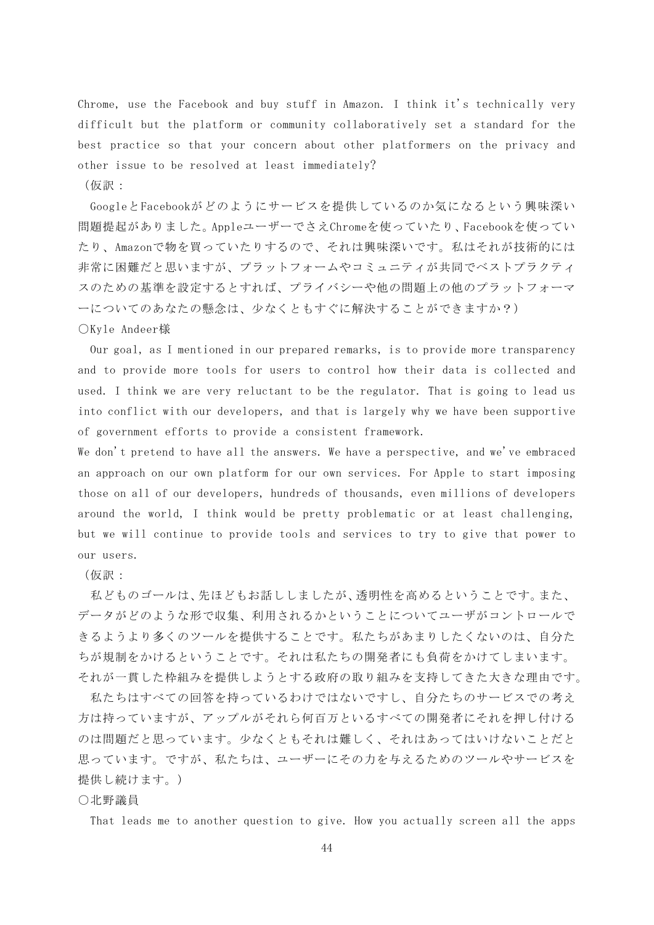Chrome, use the Facebook and buy stuff in Amazon. I think it's technically very difficult but the platform or community collaboratively set a standard for the best practice so that your concern about other platformers on the privacy and other issue to be resolved at least immediately?

(仮訳:

GoogleとFacebookがどのようにサービスを提供しているのか気になるという興味深い 問題提起がありました。AppleユーザーでさえChromeを使っていたり、Facebookを使ってい たり、Amazonで物を買っていたりするので、それは興味深いです。私はそれが技術的には 非常に困難だと思いますが、プラットフォームやコミュニティが共同でベストプラクティ スのための基準を設定するとすれば、プライバシーや他の問題上の他のプラットフォーマ ーについてのあなたの懸念は、少なくともすぐに解決することができますか?)

## ○Kyle Andeer様

Our goal, as I mentioned in our prepared remarks, is to provide more transparency and to provide more tools for users to control how their data is collected and used. I think we are very reluctant to be the regulator. That is going to lead us into conflict with our developers, and that is largely why we have been supportive of government efforts to provide a consistent framework.

We don't pretend to have all the answers. We have a perspective, and we've embraced an approach on our own platform for our own services. For Apple to start imposing those on all of our developers, hundreds of thousands, even millions of developers around the world, I think would be pretty problematic or at least challenging, but we will continue to provide tools and services to try to give that power to our users.

## (仮訳:

私どものゴールは、先ほどもお話ししましたが、透明性を高めるということです。また、 データがどのような形で収集、利用されるかということについてユーザがコントロールで きるようより多くのツールを提供することです。私たちがあまりしたくないのは、自分た ちが規制をかけるということです。それは私たちの開発者にも負荷をかけてしまいます。 それが一貫した枠組みを提供しようとする政府の取り組みを支持してきた大きな理由です。

私たちはすべての回答を持っているわけではないですし、自分たちのサービスでの考え 方は持っていますが、アップルがそれら何百万といるすべての開発者にそれを押し付ける のは問題だと思っています。少なくともそれは難しく、それはあってはいけないことだと 思っています。ですが、私たちは、ユーザーにその力を与えるためのツールやサービスを 提供し続けます。)

## ○北野議員

That leads me to another question to give. How you actually screen all the apps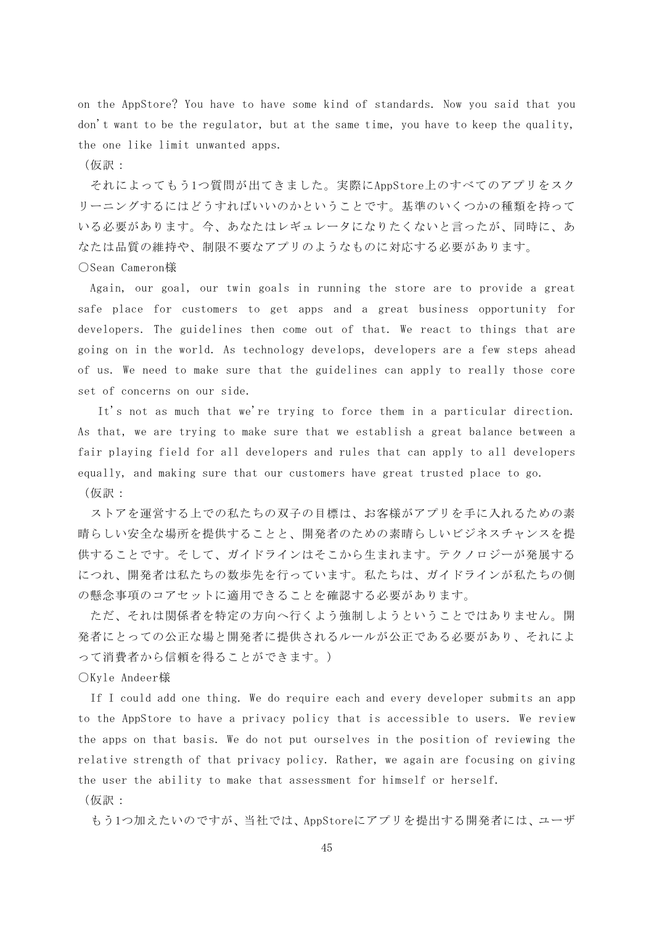on the AppStore? You have to have some kind of standards. Now you said that you don't want to be the regulator, but at the same time, you have to keep the quality, the one like limit unwanted apps.

(仮訳:

それによってもう1つ質問が出てきました。実際にAppStore上のすべてのアプリをスク リーニングするにはどうすればいいのかということです。基準のいくつかの種類を持って いる必要があります。今、あなたはレギュレータになりたくないと言ったが、同時に、あ なたは品質の維持や、制限不要なアプリのようなものに対応する必要があります。 ○Sean Cameron様

Again, our goal, our twin goals in running the store are to provide a great safe place for customers to get apps and a great business opportunity for developers. The guidelines then come out of that. We react to things that are going on in the world. As technology develops, developers are a few steps ahead of us. We need to make sure that the guidelines can apply to really those core set of concerns on our side.

It's not as much that we're trying to force them in a particular direction. As that, we are trying to make sure that we establish a great balance between a fair playing field for all developers and rules that can apply to all developers equally, and making sure that our customers have great trusted place to go. (仮訳:

ストアを運営する上での私たちの双子の目標は、お客様がアプリを手に入れるための素 晴らしい安全な場所を提供することと、開発者のための素晴らしいビジネスチャンスを提 供することです。そして、ガイドラインはそこから生まれます。テクノロジーが発展する につれ、開発者は私たちの数歩先を行っています。私たちは、ガイドラインが私たちの側 の懸念事項のコアセットに適用できることを確認する必要があります。

ただ、それは関係者を特定の方向へ行くよう強制しようということではありません。開 発者にとっての公正な場と開発者に提供されるルールが公正である必要があり、それによ って消費者から信頼を得ることができます。)

○Kyle Andeer様

If I could add one thing. We do require each and every developer submits an app to the AppStore to have a privacy policy that is accessible to users. We review the apps on that basis. We do not put ourselves in the position of reviewing the relative strength of that privacy policy. Rather, we again are focusing on giving the user the ability to make that assessment for himself or herself.

(仮訳:

もう1つ加えたいのですが、当社では、AppStoreにアプリを提出する開発者には、ユーザ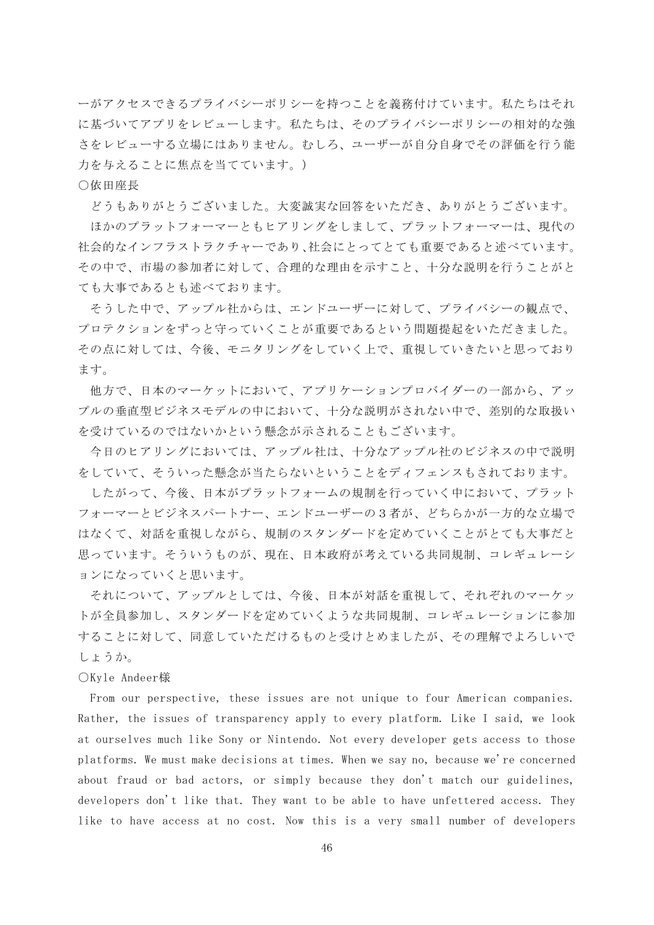ーがアクセスできるプライバシーポリシーを持つことを義務付けています。私たちはそれ に基づいてアプリをレビューします。私たちは、そのプライバシーポリシーの相対的な強 さをレビューする立場にはありません。むしろ、ユーザーが自分自身でその評価を行う能 力を与えることに焦点を当てています。)

# ○依田座長

どうもありがとうございました。大変誠実な回答をいただき、ありがとうございます。

ほかのプラットフォーマーともヒアリングをしまして、プラットフォーマーは、現代の 社会的なインフラストラクチャーであり、社会にとってとても重要であると述べています。 その中で、市場の参加者に対して、合理的な理由を示すこと、十分な説明を行うことがと ても大事であるとも述べております。

そうした中で、アップル社からは、エンドユーザーに対して、プライバシーの観点で、 プロテクションをずっと守っていくことが重要であるという問題提起をいただきました。 その点に対しては、今後、モニタリングをしていく上で、重視していきたいと思っており ます。

他方で、日本のマーケットにおいて、アプリケーションプロバイダーの一部から、アッ プルの垂直型ビジネスモデルの中において、十分な説明がされない中で、差別的な取扱い を受けているのではないかという懸念が示されることもございます。

今日のヒアリングにおいては、アップル社は、十分なアップル社のビジネスの中で説明 をしていて、そういった懸念が当たらないということをディフェンスもされております。

したがって、今後、日本がプラットフォームの規制を行っていく中において、プラット フォーマーとビジネスパートナー、エンドユーザーの3者が、どちらかが一方的な立場で はなくて、対話を重視しながら、規制のスタンダードを定めていくことがとても大事だと 思っています。そういうものが、現在、日本政府が考えている共同規制、コレギュレーシ ョンになっていくと思います。

それについて、アップルとしては、今後、日本が対話を重視して、それぞれのマーケッ トが全員参加し、スタンダードを定めていくような共同規制、コレギュレーションに参加 することに対して、同意していただけるものと受けとめましたが、その理解でよろしいで しょうか。

## ○Kyle Andeer様

From our perspective, these issues are not unique to four American companies. Rather, the issues of transparency apply to every platform. Like I said, we look at ourselves much like Sony or Nintendo. Not every developer gets access to those platforms. We must make decisions at times. When we say no, because we're concerned about fraud or bad actors, or simply because they don't match our guidelines, developers don't like that. They want to be able to have unfettered access. They like to have access at no cost. Now this is a very small number of developers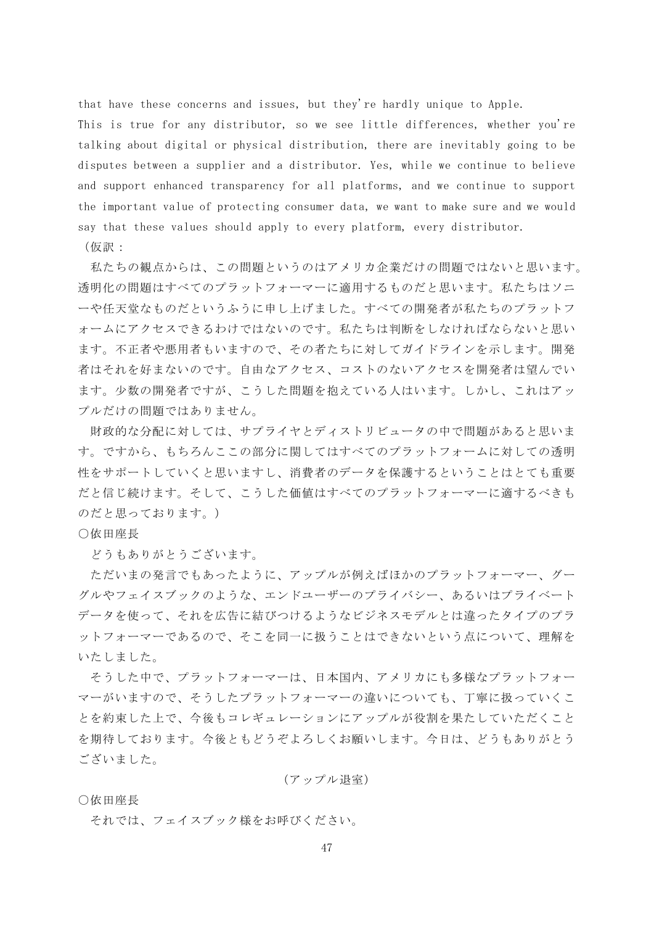that have these concerns and issues, but they're hardly unique to Apple.

This is true for any distributor, so we see little differences, whether you're talking about digital or physical distribution, there are inevitably going to be disputes between a supplier and a distributor. Yes, while we continue to believe and support enhanced transparency for all platforms, and we continue to support the important value of protecting consumer data, we want to make sure and we would say that these values should apply to every platform, every distributor.

(仮訳:

私たちの観点からは、この問題というのはアメリカ企業だけの問題ではないと思います。 透明化の問題はすべてのプラットフォーマーに適用するものだと思います。私たちはソニ ーや任天堂なものだというふうに申し上げました。すべての開発者が私たちのプラットフ ォームにアクセスできるわけではないのです。私たちは判断をしなければならないと思い ます。不正者や悪用者もいますので、その者たちに対してガイドラインを示します。開発 者はそれを好まないのです。自由なアクセス、コストのないアクセスを開発者は望んでい ます。少数の開発者ですが、こうした問題を抱えている人はいます。しかし、これはアッ プルだけの問題ではありません。

財政的な分配に対しては、サプライヤとディストリビュータの中で問題があると思いま す。ですから、もちろんここの部分に関してはすべてのプラットフォームに対しての透明 性をサポートしていくと思いますし、消費者のデータを保護するということはとても重要 だと信じ続けます。そして、こうした価値はすべてのプラットフォーマーに適するべきも のだと思っております。)

# ○依田座長

どうもありがとうございます。

ただいまの発言でもあったように、アップルが例えばほかのプラットフォーマー、グー グルやフェイスブックのような、エンドユーザーのプライバシー、あるいはプライベート データを使って、それを広告に結びつけるようなビジネスモデルとは違ったタイプのプラ ットフォーマーであるので、そこを同一に扱うことはできないという点について、理解を いたしました。

そうした中で、プラットフォーマーは、日本国内、アメリカにも多様なプラットフォー マーがいますので、そうしたプラットフォーマーの違いについても、丁寧に扱っていくこ とを約束した上で、今後もコレギュレーションにアップルが役割を果たしていただくこと を期待しております。今後ともどうぞよろしくお願いします。今日は、どうもありがとう ございました。

## (アップル退室)

○依田座長

それでは、フェイスブック様をお呼びください。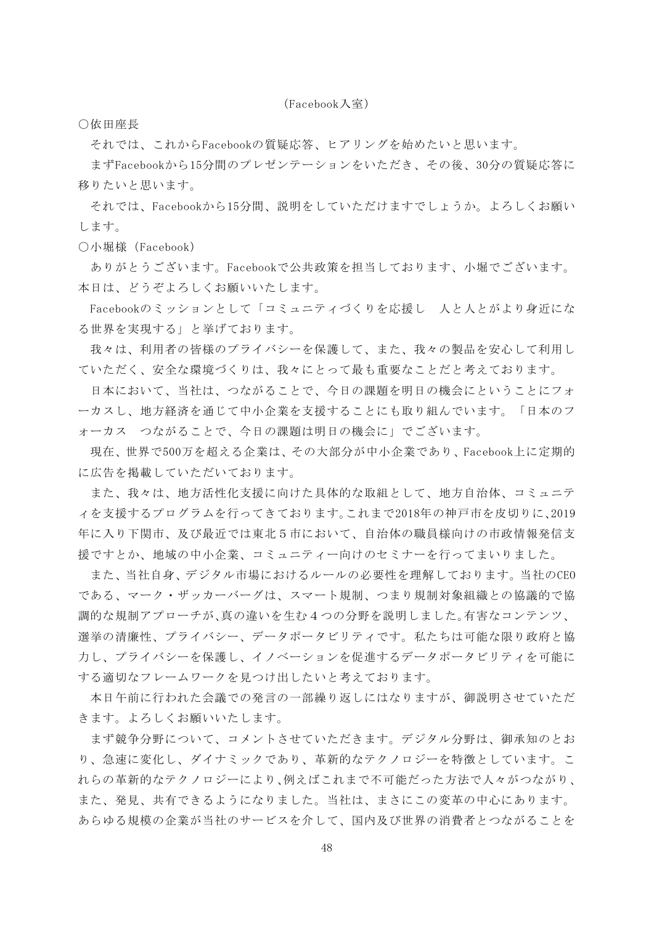(Facebook入室)

○依田座長

それでは、これからFacebookの質疑応答、ヒアリングを始めたいと思います。

まずFacebookから15分間のプレゼンテーションをいただき、その後、30分の質疑応答に 移りたいと思います。

それでは、Facebookから15分間、説明をしていただけますでしょうか。よろしくお願い します。

○小堀様(Facebook)

ありがとうございます。Facebookで公共政策を担当しております、小堀でございます。 本日は、どうぞよろしくお願いいたします。

Facebookのミッションとして「コミュニティづくりを応援し 人と人とがより身近にな る世界を実現する」と挙げております。

我々は、利用者の皆様のプライバシーを保護して、また、我々の製品を安心して利用し ていただく、安全な環境づくりは、我々にとって最も重要なことだと考えております。

日本において、当社は、つながることで、今日の課題を明日の機会にということにフォ ーカスし、地方経済を通じて中小企業を支援することにも取り組んでいます。「日本のフ ォーカス つながることで、今日の課題は明日の機会に」でございます。

現在、世界で500万を超える企業は、その大部分が中小企業であり、Facebook上に定期的 に広告を掲載していただいております。

また、我々は、地方活性化支援に向けた具体的な取組として、地方自治体、コミュニテ ィを支援するプログラムを行ってきております。これまで2018年の神戸市を皮切りに、2019 年に入り下関市、及び最近では東北5市において、自治体の職員様向けの市政情報発信支 援ですとか、地域の中小企業、コミュニティー向けのセミナーを行ってまいりました。

また、当社自身、デジタル市場におけるルールの必要性を理解しております。当社のCEO である、マーク・ザッカーバーグは、スマート規制、つまり規制対象組織との協議的で協 調的な規制アプローチが、真の違いを生む4つの分野を説明しました。有害なコンテンツ、 選挙の清廉性、プライバシー、データポータビリティです。私たちは可能な限り政府と協 力し、プライバシーを保護し、イノベーションを促進するデータポータビリティを可能に する適切なフレームワークを見つけ出したいと考えております。

本日午前に行われた会議での発言の一部繰り返しにはなりますが、御説明させていただ きます。よろしくお願いいたします。

まず競争分野について、コメントさせていただきます。デジタル分野は、御承知のとお り、急速に変化し、ダイナミックであり、革新的なテクノロジーを特徴としています。こ れらの革新的なテクノロジーにより、例えばこれまで不可能だった方法で人々がつながり、 また、発見、共有できるようになりました。当社は、まさにこの変革の中心にあります。 あらゆる規模の企業が当社のサービスを介して、国内及び世界の消費者とつながることを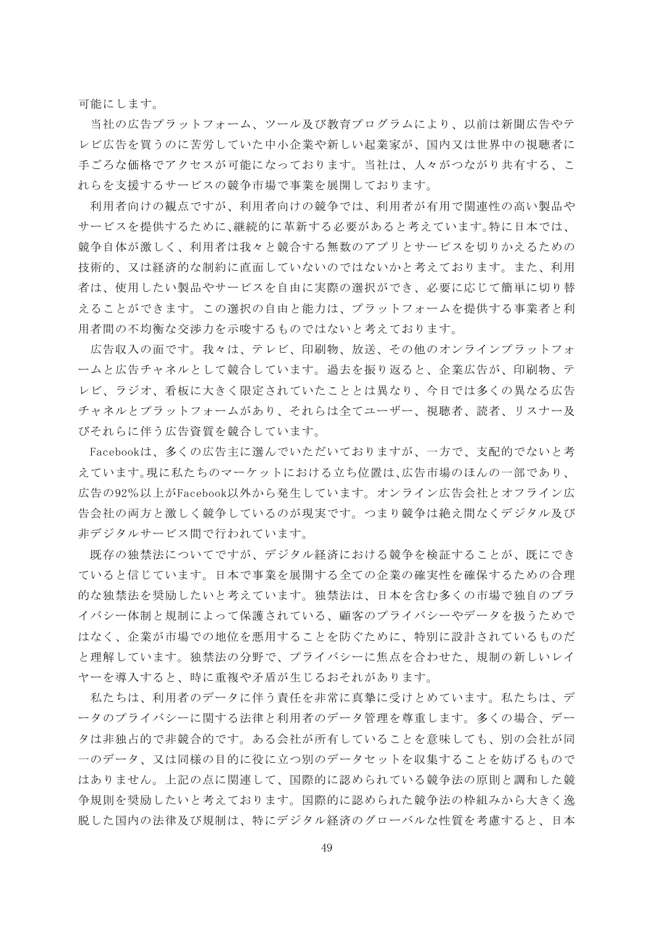可能にします。

当社の広告プラットフォーム、ツール及び教育プログラムにより、以前は新聞広告やテ レビ広告を買うのに苦労していた中小企業や新しい起業家が、国内又は世界中の視聴者に 手ごろな価格でアクセスが可能になっております。当社は、人々がつながり共有する、こ れらを支援するサービスの競争市場で事業を展開しております。

利用者向けの観点ですが、利用者向けの競争では、利用者が有用で関連性の高い製品や サービスを提供するために、継続的に革新する必要があると考えています。特に日本では、 競争自体が激しく、利用者は我々と競合する無数のアプリとサービスを切りかえるための 技術的、又は経済的な制約に直面していないのではないかと考えております。また、利用 者は、使用したい製品やサービスを自由に実際の選択ができ、必要に応じて簡単に切り替 えることができます。この選択の自由と能力は、プラットフォームを提供する事業者と利 用者間の不均衡な交渉力を示唆するものではないと考えております。

広告収入の面です。我々は、テレビ、印刷物、放送、その他のオンラインプラットフォ ームと広告チャネルとして競合しています。過去を振り返ると、企業広告が、印刷物、テ レビ、ラジオ、看板に大きく限定されていたこととは異なり、今日では多くの異なる広告 チャネルとプラットフォームがあり、それらは全てユーザー、視聴者、読者、リスナー及 びそれらに伴う広告資質を競合しています。

Facebookは、多くの広告主に選んでいただいておりますが、一方で、支配的でないと考 えています。現に私たちのマーケットにおける立ち位置は、広告市場のほんの一部であり、 広告の92%以上がFacebook以外から発生しています。オンライン広告会社とオフライン広 告会社の両方と激しく競争しているのが現実です。つまり競争は絶え間なくデジタル及び 非デジタルサービス間で行われています。

既存の独禁法についてですが、デジタル経済における競争を検証することが、既にでき ていると信じています。日本で事業を展開する全ての企業の確実性を確保するための合理 的な独禁法を奨励したいと考えています。独禁法は、日本を含む多くの市場で独自のプラ イバシー体制と規制によって保護されている、顧客のプライバシーやデータを扱うためで はなく、企業が市場での地位を悪用することを防ぐために、特別に設計されているものだ と理解しています。独禁法の分野で、プライバシーに焦点を合わせた、規制の新しいレイ ヤーを導入すると、時に重複や矛盾が生じるおそれがあります。

私たちは、利用者のデータに伴う責任を非常に真摯に受けとめています。私たちは、デ ータのプライバシーに関する法律と利用者のデータ管理を尊重します。多くの場合、デー タは非独占的で非競合的です。ある会社が所有していることを意味しても、別の会社が同 一のデータ、又は同様の目的に役に立つ別のデータセットを収集することを妨げるもので はありません。上記の点に関連して、国際的に認められている競争法の原則と調和した競 争規則を奨励したいと考えております。国際的に認められた競争法の枠組みから大きく逸 脱した国内の法律及び規制は、特にデジタル経済のグローバルな性質を考慮すると、日本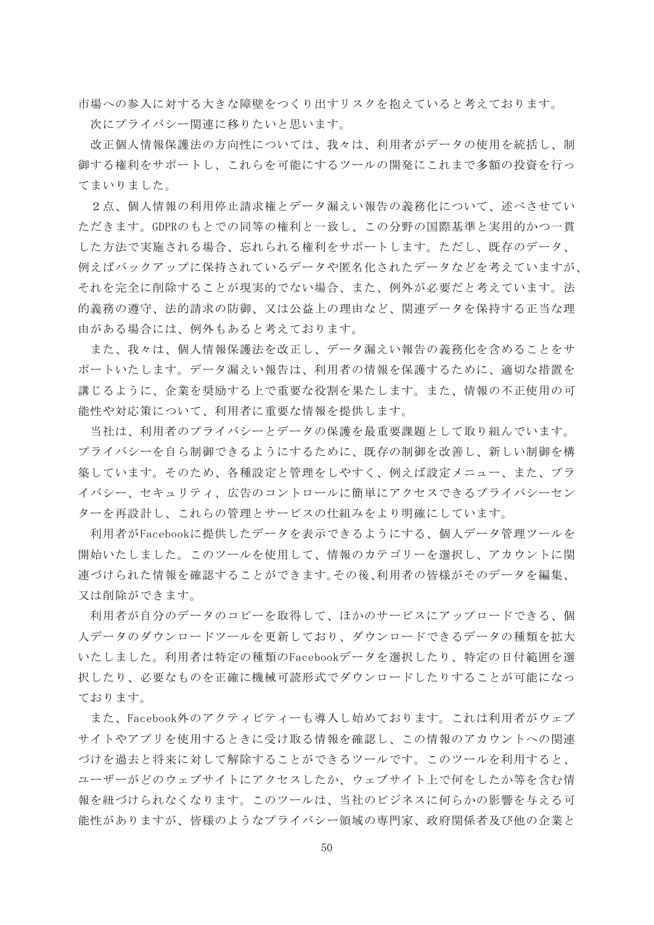市場への参入に対する大きな障壁をつくり出すリスクを抱えていると考えております。 次にプライバシー関連に移りたいと思います。

改正個人情報保護法の方向性については、我々は、利用者がデータの使用を統括し、制 御する権利をサポートし、これらを可能にするツールの開発にこれまで多額の投資を行っ てまいりました。

2点、個人情報の利用停止請求権とデータ漏えい報告の義務化について、述べさせてい ただきます。GDPRのもとでの同等の権利と一致し、この分野の国際基準と実用的かつ一貫 した方法で実施される場合、忘れられる権利をサポートします。ただし、既存のデータ、 例えばバックアップに保持されているデータや匿名化されたデータなどを考えていますが、 それを完全に削除することが現実的でない場合、また、例外が必要だと考えています。法 的義務の遵守、法的請求の防御、又は公益上の理由など、関連データを保持する正当な理 由がある場合には、例外もあると考えております。

また、我々は、個人情報保護法を改正し、データ漏えい報告の義務化を含めることをサ ポートいたします。データ漏えい報告は、利用者の情報を保護するために、適切な措置を 講じるように、企業を奨励する上で重要な役割を果たします。また、情報の不正使用の可 能性や対応策について、利用者に重要な情報を提供します。

当社は、利用者のプライバシーとデータの保護を最重要課題として取り組んでいます。 プライバシーを自ら制御できるようにするために、既存の制御を改善し、新しい制御を構 築しています。そのため、各種設定と管理をしやすく、例えば設定メニュー、また、プラ イバシー、セキュリティ、広告のコントロールに簡単にアクセスできるプライバシーセン ターを再設計し、これらの管理とサービスの仕組みをより明確にしています。

利用者がFacebookに提供したデータを表示できるようにする、個人データ管理ツールを 開始いたしました。このツールを使用して、情報のカテゴリーを選択し、アカウントに関 連づけられた情報を確認することができます。その後、利用者の皆様がそのデータを編集、 又は削除ができます。

利用者が自分のデータのコピーを取得して、ほかのサービスにアップロードできる、個 人データのダウンロードツールを更新しており、ダウンロードできるデータの種類を拡大 いたしました。利用者は特定の種類のFacebookデータを選択したり、特定の日付範囲を選 択したり、必要なものを正確に機械可読形式でダウンロードしたりすることが可能になっ ております。

また、Facebook外のアクティビティーも導入し始めております。これは利用者がウェブ サイトやアプリを使用するときに受け取る情報を確認し、この情報のアカウントへの関連 づけを過去と将来に対して解除することができるツールです。このツールを利用すると、 ユーザーがどのウェブサイトにアクセスしたか、ウェブサイト上で何をしたか等を含む情 報を紐づけられなくなります。このツールは、当社のビジネスに何らかの影響を与える可 能性がありますが、皆様のようなプライバシー領域の専門家、政府関係者及び他の企業と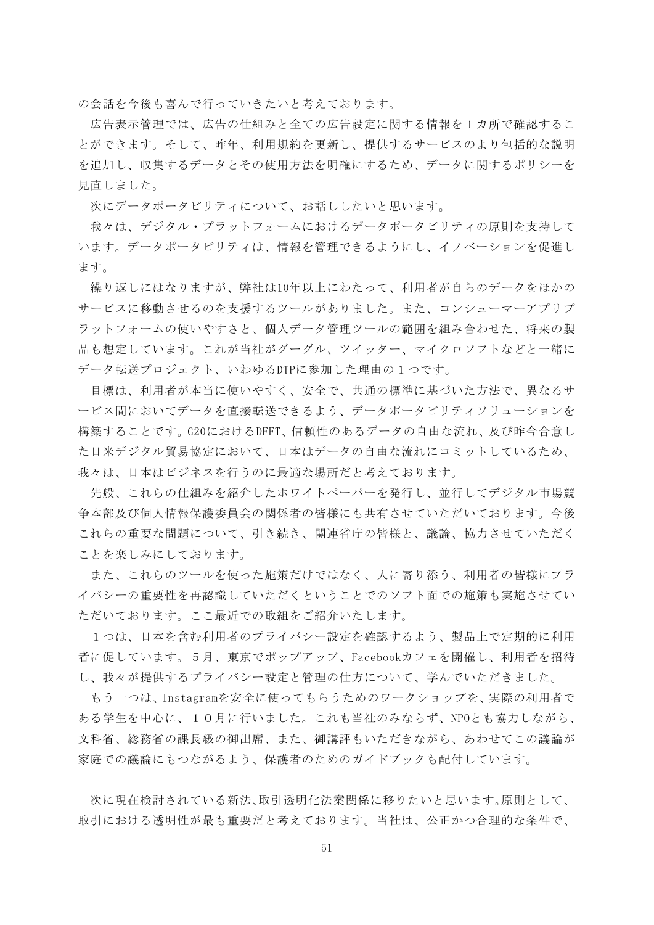の会話を今後も喜んで行っていきたいと考えております。

広告表示管理では、広告の仕組みと全ての広告設定に関する情報を1カ所で確認するこ とができます。そして、昨年、利用規約を更新し、提供するサービスのより包括的な説明 を追加し、収集するデータとその使用方法を明確にするため、データに関するポリシーを 見直しました。

次にデータポータビリティについて、お話ししたいと思います。

我々は、デジタル・プラットフォームにおけるデータポータビリティの原則を支持して います。データポータビリティは、情報を管理できるようにし、イノベーションを促進し ます。

繰り返しにはなりますが、弊社は10年以上にわたって、利用者が自らのデータをほかの サービスに移動させるのを支援するツールがありました。また、コンシューマーアプリプ ラットフォームの使いやすさと、個人データ管理ツールの範囲を組み合わせた、将来の製 品も想定しています。これが当社がグーグル、ツイッター、マイクロソフトなどと一緒に データ転送プロジェクト、いわゆるDTPに参加した理由の1つです。

目標は、利用者が本当に使いやすく、安全で、共通の標準に基づいた方法で、異なるサ ービス間においてデータを直接転送できるよう、データポータビリティソリューションを 構築することです。G20におけるDFFT、信頼性のあるデータの自由な流れ、及び昨今合意し た日米デジタル貿易協定において、日本はデータの自由な流れにコミットしているため、 我々は、日本はビジネスを行うのに最適な場所だと考えております。

先般、これらの仕組みを紹介したホワイトペーパーを発行し、並行してデジタル市場競 争本部及び個人情報保護委員会の関係者の皆様にも共有させていただいております。今後 これらの重要な問題について、引き続き、関連省庁の皆様と、議論、協力させていただく ことを楽しみにしております。

また、これらのツールを使った施策だけではなく、人に寄り添う、利用者の皆様にプラ イバシーの重要性を再認識していただくということでのソフト面での施策も実施させてい ただいております。ここ最近での取組をご紹介いたします。

1つは、日本を含む利用者のプライバシー設定を確認するよう、製品上で定期的に利用 者に促しています。5月、東京でポップアップ、Facebookカフェを開催し、利用者を招待 し、我々が提供するプライバシー設定と管理の仕方について、学んでいただきました。

もう一つは、Instagramを安全に使ってもらうためのワークショップを、実際の利用者で ある学生を中心に、10月に行いました。これも当社のみならず、NPOとも協力しながら、 文科省、総務省の課長級の御出席、また、御講評もいただきながら、あわせてこの議論が 家庭での議論にもつながるよう、保護者のためのガイドブックも配付しています。

次に現在検討されている新法、取引透明化法案関係に移りたいと思います。原則として、 取引における透明性が最も重要だと考えております。当社は、公正かつ合理的な条件で、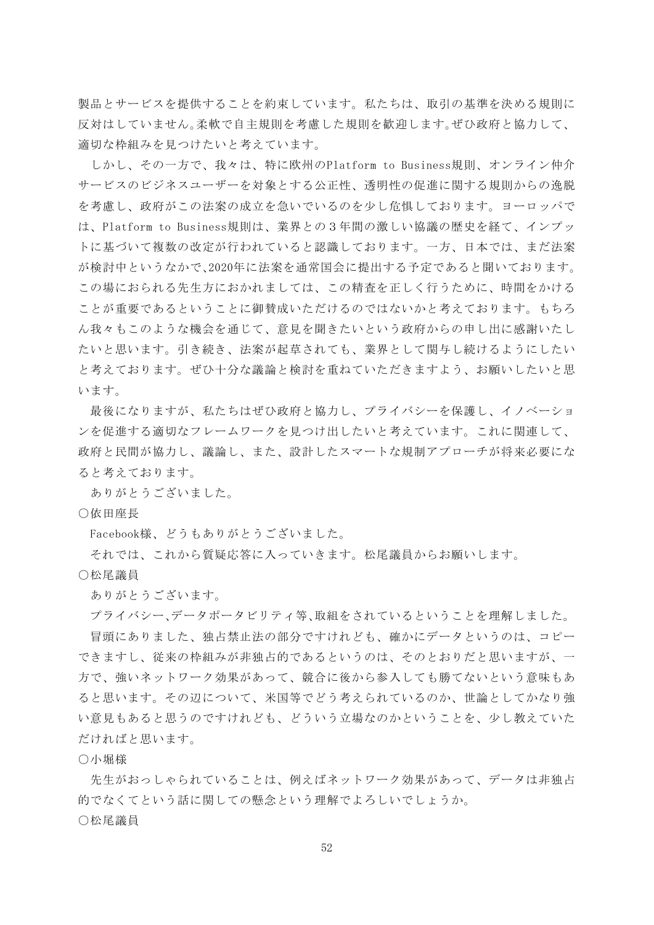製品とサービスを提供することを約束しています。私たちは、取引の基準を決める規則に 反対はしていません。柔軟で自主規則を考慮した規則を歓迎します。ぜひ政府と協力して、 適切な枠組みを見つけたいと考えています。

しかし、その一方で、我々は、特に欧州のPlatform to Business規則、オンライン仲介 サービスのビジネスユーザーを対象とする公正性、透明性の促進に関する規則からの逸脱 を考慮し、政府がこの法案の成立を急いでいるのを少し危惧しております。ヨーロッパで は、Platform to Business規則は、業界との3年間の激しい協議の歴史を経て、インプッ トに基づいて複数の改定が行われていると認識しております。一方、日本では、まだ法案 が検討中というなかで、2020年に法案を通常国会に提出する予定であると聞いております。 この場におられる先生方におかれましては、この精査を正しく行うために、時間をかける ことが重要であるということに御賛成いただけるのではないかと考えております。もちろ ん我々もこのような機会を通じて、意見を聞きたいという政府からの申し出に感謝いたし たいと思います。引き続き、法案が起草されても、業界として関与し続けるようにしたい と考えております。ぜひ十分な議論と検討を重ねていただきますよう、お願いしたいと思 います。

最後になりますが、私たちはぜひ政府と協力し、プライバシーを保護し、イノベーショ ンを促進する適切なフレームワークを見つけ出したいと考えています。これに関連して、 政府と民間が協力し、議論し、また、設計したスマートな規制アプローチが将来必要にな ると考えております。

ありがとうございました。

○依田座長

Facebook様、どうもありがとうございました。

それでは、これから質疑応答に入っていきます。松尾議員からお願いします。

○松尾議員

ありがとうございます。

プライバシー、データポータビリティ等、取組をされているということを理解しました。 冒頭にありました、独占禁止法の部分ですけれども、確かにデータというのは、コピー できますし、従来の枠組みが非独占的であるというのは、そのとおりだと思いますが、一 方で、強いネットワーク効果があって、競合に後から参入しても勝てないという意味もあ ると思います。その辺について、米国等でどう考えられているのか、世論としてかなり強 い意見もあると思うのですけれども、どういう立場なのかということを、少し教えていた だければと思います。

○小堀様

先生がおっしゃられていることは、例えばネットワーク効果があって、データは非独占 的でなくてという話に関しての懸念という理解でよろしいでしょうか。

○松尾議員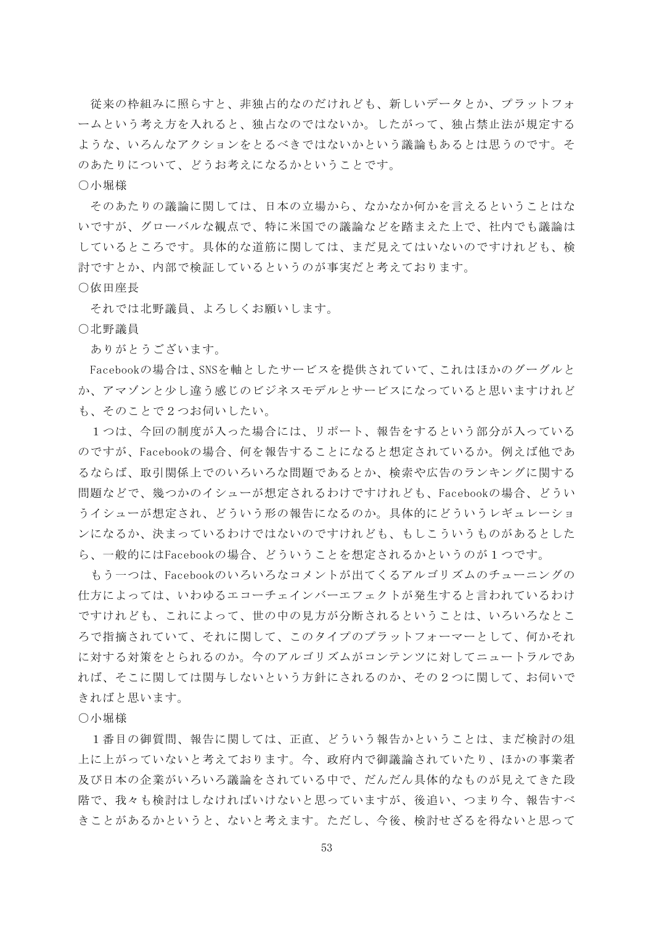従来の枠組みに照らすと、非独占的なのだけれども、新しいデータとか、プラットフォ ームという考え方を入れると、独占なのではないか。したがって、独占禁止法が規定する ような、いろんなアクションをとるべきではないかという議論もあるとは思うのです。そ のあたりについて、どうお考えになるかということです。

○小堀様

そのあたりの議論に関しては、日本の立場から、なかなか何かを言えるということはな いですが、グローバルな観点で、特に米国での議論などを踏まえた上で、社内でも議論は しているところです。具体的な道筋に関しては、まだ見えてはいないのですけれども、検 討ですとか、内部で検証しているというのが事実だと考えております。

## ○依田座長

それでは北野議員、よろしくお願いします。

#### ○北野議員

ありがとうございます。

Facebookの場合は、SNSを軸としたサービスを提供されていて、これはほかのグーグルと か、アマゾンと少し違う感じのビジネスモデルとサービスになっていると思いますけれど も、そのことで2つお伺いしたい。

1つは、今回の制度が入った場合には、リポート、報告をするという部分が入っている のですが、Facebookの場合、何を報告することになると想定されているか。例えば他であ るならば、取引関係上でのいろいろな問題であるとか、検索や広告のランキングに関する 問題などで、幾つかのイシューが想定されるわけですけれども、Facebookの場合、どうい うイシューが想定され、どういう形の報告になるのか。具体的にどういうレギュレーショ ンになるか、決まっているわけではないのですけれども、もしこういうものがあるとした ら、一般的にはFacebookの場合、どういうことを想定されるかというのが1つです。

もう一つは、Facebookのいろいろなコメントが出てくるアルゴリズムのチューニングの 仕方によっては、いわゆるエコーチェインバーエフェクトが発生すると言われているわけ ですけれども、これによって、世の中の見方が分断されるということは、いろいろなとこ ろで指摘されていて、それに関して、このタイプのプラットフォーマーとして、何かそれ に対する対策をとられるのか。今のアルゴリズムがコンテンツに対してニュートラルであ れば、そこに関しては関与しないという方針にされるのか、その2つに関して、お伺いで きればと思います。

○小堀様

1番目の御質問、報告に関しては、正直、どういう報告かということは、まだ検討の俎 上に上がっていないと考えております。今、政府内で御議論されていたり、ほかの事業者 及び日本の企業がいろいろ議論をされている中で、だんだん具体的なものが見えてきた段 階で、我々も検討はしなければいけないと思っていますが、後追い、つまり今、報告すべ きことがあるかというと、ないと考えます。ただし、今後、検討せざるを得ないと思って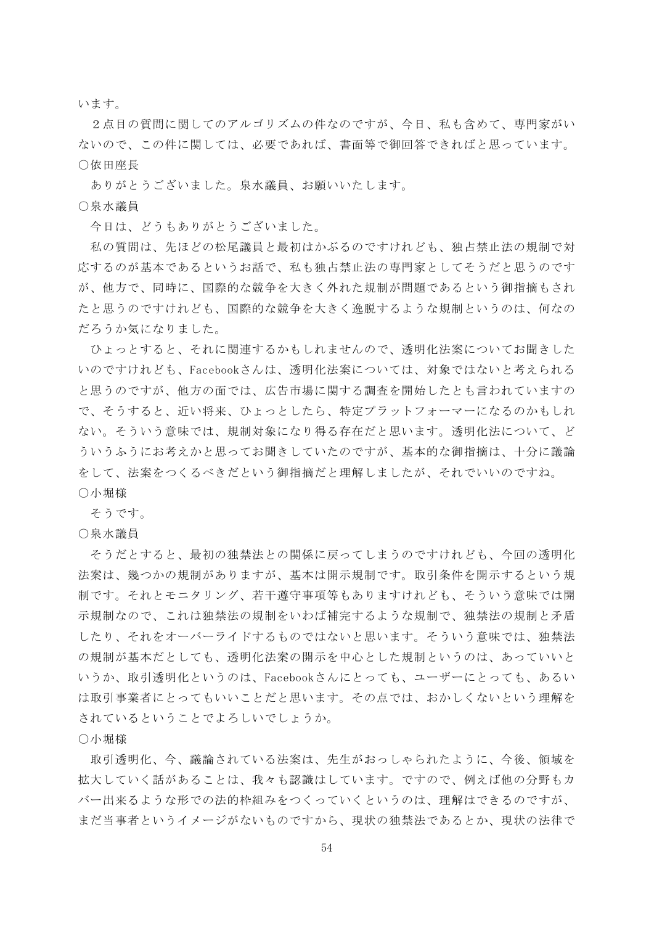います。

2点目の質問に関してのアルゴリズムの件なのですが、今日、私も含めて、専門家がい ないので、この件に関しては、必要であれば、書面等で御回答できればと思っています。 ○依田座長

ありがとうございました。泉水議員、お願いいたします。

○泉水議員

今日は、どうもありがとうございました。

私の質問は、先ほどの松尾議員と最初はかぶるのですけれども、独占禁止法の規制で対 応するのが基本であるというお話で、私も独占禁止法の専門家としてそうだと思うのです が、他方で、同時に、国際的な競争を大きく外れた規制が問題であるという御指摘もされ たと思うのですけれども、国際的な競争を大きく逸脱するような規制というのは、何なの だろうか気になりました。

ひょっとすると、それに関連するかもしれませんので、透明化法案についてお聞きした いのですけれども、Facebookさんは、透明化法案については、対象ではないと考えられる と思うのですが、他方の面では、広告市場に関する調査を開始したとも言われていますの で、そうすると、近い将来、ひょっとしたら、特定プラットフォーマーになるのかもしれ ない。そういう意味では、規制対象になり得る存在だと思います。透明化法について、ど ういうふうにお考えかと思ってお聞きしていたのですが、基本的な御指摘は、十分に議論 をして、法案をつくるべきだという御指摘だと理解しましたが、それでいいのですね。 ○小堀様

そうです。

○泉水議員

そうだとすると、最初の独禁法との関係に戻ってしまうのですけれども、今回の透明化 法案は、幾つかの規制がありますが、基本は開示規制です。取引条件を開示するという規 制です。それとモニタリング、若干遵守事項等もありますけれども、そういう意味では開 示規制なので、これは独禁法の規制をいわば補完するような規制で、独禁法の規制と矛盾 したり、それをオーバーライドするものではないと思います。そういう意味では、独禁法 の規制が基本だとしても、透明化法案の開示を中心とした規制というのは、あっていいと いうか、取引透明化というのは、Facebookさんにとっても、ユーザーにとっても、あるい は取引事業者にとってもいいことだと思います。その点では、おかしくないという理解を されているということでよろしいでしょうか。

○小堀様

取引透明化、今、議論されている法案は、先生がおっしゃられたように、今後、領域を 拡大していく話があることは、我々も認識はしています。ですので、例えば他の分野もカ バー出来るような形での法的枠組みをつくっていくというのは、理解はできるのですが、 まだ当事者というイメージがないものですから、現状の独禁法であるとか、現状の法律で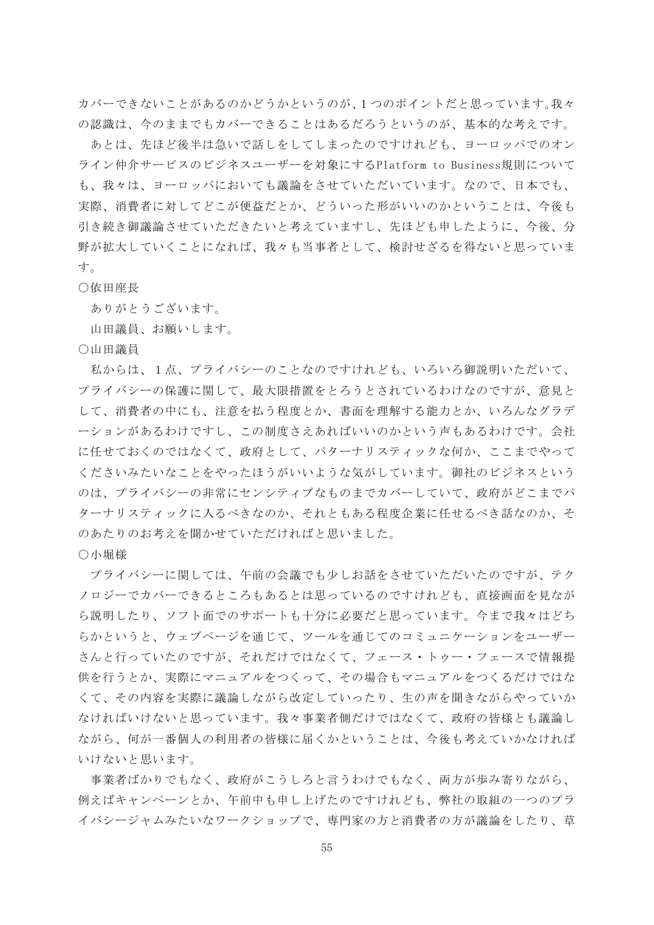カバーできないことがあるのかどうかというのが、1つのポイントだと思っています。我々 の認識は、今のままでもカバーできることはあるだろうというのが、基本的な考えです。

あとは、先ほど後半は急いで話しをしてしまったのですけれども、ヨーロッパでのオン ライン仲介サービスのビジネスユーザーを対象にするPlatform to Business規則について も、我々は、ヨーロッパにおいても議論をさせていただいています。なので、日本でも、 実際、消費者に対してどこが便益だとか、どういった形がいいのかということは、今後も 引き続き御議論させていただきたいと考えていますし、先ほども申したように、今後、分 野が拡大していくことになれば、我々も当事者として、検討せざるを得ないと思っていま す。

## ○依田座長

ありがとうございます。

山田議員、お願いします。

○山田議員

私からは、1点、プライバシーのことなのですけれども、いろいろ御説明いただいて、 プライバシーの保護に関して、最大限措置をとろうとされているわけなのですが、意見と して、消費者の中にも、注意を払う程度とか、書面を理解する能力とか、いろんなグラデ ーションがあるわけですし、この制度さえあればいいのかという声もあるわけです。会社 に任せておくのではなくて、政府として、パターナリスティックな何か、ここまでやって くださいみたいなことをやったほうがいいような気がしています。御社のビジネスという のは、プライバシーの非常にセンシティブなものまでカバーしていて、政府がどこまでパ ターナリスティックに入るべきなのか、それともある程度企業に任せるべき話なのか、そ のあたりのお考えを聞かせていただければと思いました。

○小堀様

プライバシーに関しては、午前の会議でも少しお話をさせていただいたのですが、テク ノロジーでカバーできるところもあるとは思っているのですけれども、直接画面を見なが ら説明したり、ソフト面でのサポートも十分に必要だと思っています。今まで我々はどち らかというと、ウェブページを通じて、ツールを通じてのコミュニケーションをユーザー さんと行っていたのですが、それだけではなくて、フェース・トゥー・フェースで情報提 供を行うとか、実際にマニュアルをつくって、その場合もマニュアルをつくるだけではな くて、その内容を実際に議論しながら改定していったり、生の声を聞きながらやっていか なければいけないと思っています。我々事業者側だけではなくて、政府の皆様とも議論し ながら、何が一番個人の利用者の皆様に届くかということは、今後も考えていかなければ いけないと思います。

事業者ばかりでもなく、政府がこうしろと言うわけでもなく、両方が歩み寄りながら、 例えばキャンペーンとか、午前中も申し上げたのですけれども、弊社の取組の一つのプラ イバシージャムみたいなワークショップで、専門家の方と消費者の方が議論をしたり、草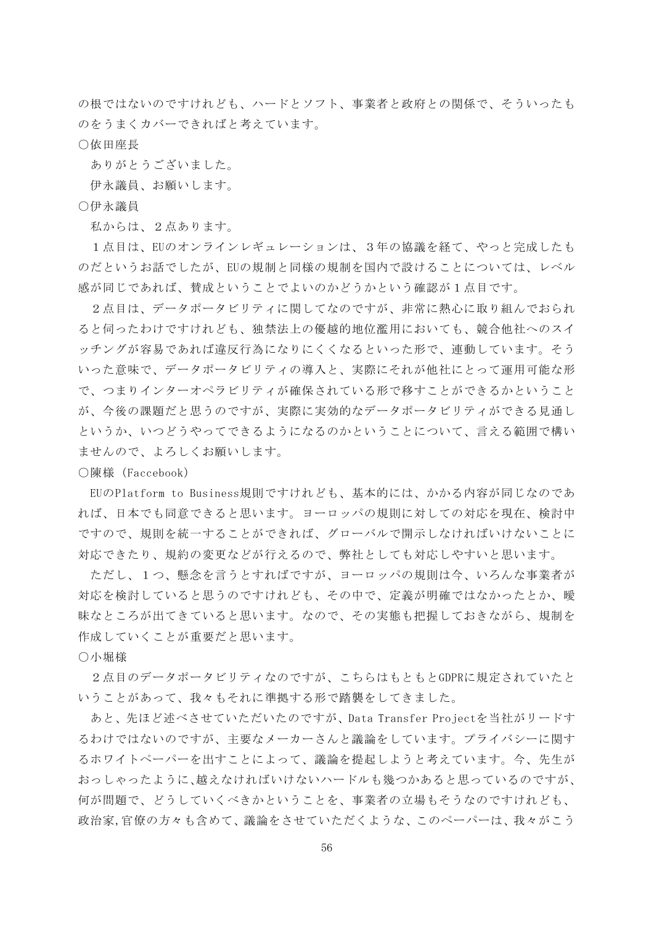の根ではないのですけれども、ハードとソフト、事業者と政府との関係で、そういったも のをうまくカバーできればと考えています。

○依田座長

ありがとうございました。

伊永議員、お願いします。

○伊永議員

私からは、2点あります。

1点目は、EUのオンラインレギュレーションは、3年の協議を経て、やっと完成したも のだというお話でしたが、EUの規制と同様の規制を国内で設けることについては、レベル 感が同じであれば、賛成ということでよいのかどうかという確認が1点目です。

2点目は、データポータビリティに関してなのですが、非常に熱心に取り組んでおられ ると伺ったわけですけれども、独禁法上の優越的地位濫用においても、競合他社へのスイ ッチングが容易であれば違反行為になりにくくなるといった形で、連動しています。そう いった意味で、データポータビリティの導入と、実際にそれが他社にとって運用可能な形 で、つまりインターオペラビリティが確保されている形で移すことができるかということ が、今後の課題だと思うのですが、実際に実効的なデータポータビリティができる見通し というか、いつどうやってできるようになるのかということについて、言える範囲で構い ませんので、よろしくお願いします。

○陳様(Faccebook)

EUのPlatform to Business規則ですけれども、基本的には、かかる内容が同じなのであ れば、日本でも同意できると思います。ヨーロッパの規則に対しての対応を現在、検討中 ですので、規則を統一することができれば、グローバルで開示しなければいけないことに 対応できたり、規約の変更などが行えるので、弊社としても対応しやすいと思います。

ただし、1つ、懸念を言うとすればですが、ヨーロッパの規則は今、いろんな事業者が 対応を検討していると思うのですけれども、その中で、定義が明確ではなかったとか、曖 昧なところが出てきていると思います。なので、その実態も把握しておきながら、規制を 作成していくことが重要だと思います。

○小堀様

2点目のデータポータビリティなのですが、こちらはもともとGDPRに規定されていたと いうことがあって、我々もそれに準拠する形で踏襲をしてきました。

あと、先ほど述べさせていただいたのですが、Data Transfer Projectを当社がリードす るわけではないのですが、主要なメーカーさんと議論をしています。プライバシーに関す るホワイトペーパーを出すことによって、議論を提起しようと考えています。今、先生が おっしゃったように、越えなければいけないハードルも幾つかあると思っているのですが、 何が問題で、どうしていくべきかということを、事業者の立場もそうなのですけれども、 政治家,官僚の方々も含めて、議論をさせていただくような、このペーパーは、我々がこう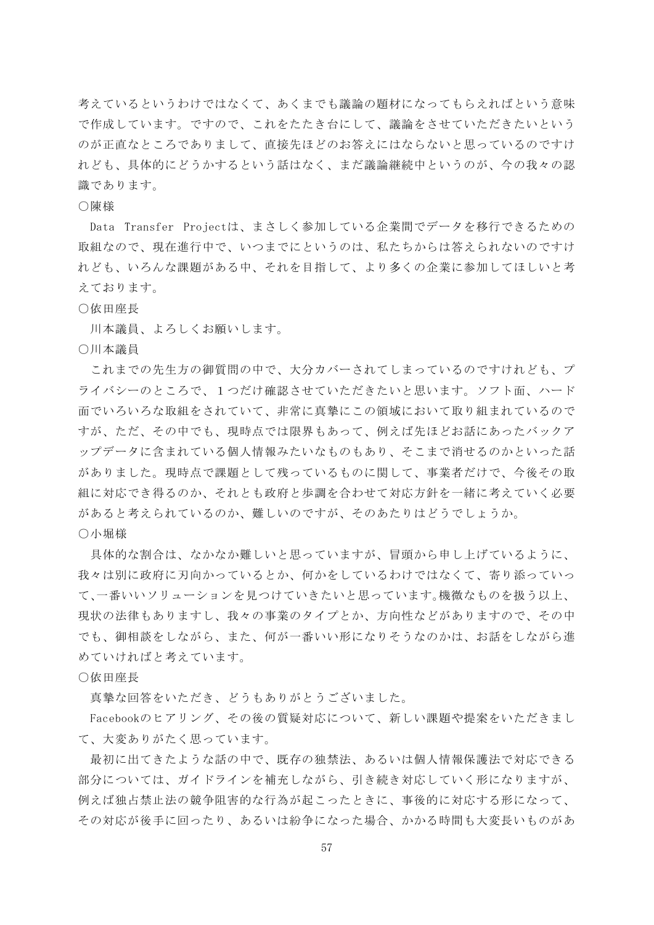考えているというわけではなくて、あくまでも議論の題材になってもらえればという意味 で作成しています。ですので、これをたたき台にして、議論をさせていただきたいという のが正直なところでありまして、直接先ほどのお答えにはならないと思っているのですけ れども、具体的にどうかするという話はなく、まだ議論継続中というのが、今の我々の認 識であります。

## ○陳様

Data Transfer Projectは、まさしく参加している企業間でデータを移行できるための 取組なので、現在進行中で、いつまでにというのは、私たちからは答えられないのですけ れども、いろんな課題がある中、それを目指して、より多くの企業に参加してほしいと考 えております。

## ○依田座長

川本議員、よろしくお願いします。

○川本議員

これまでの先生方の御質問の中で、大分カバーされてしまっているのですけれども、プ ライバシーのところで、1つだけ確認させていただきたいと思います。ソフト面、ハード 面でいろいろな取組をされていて、非常に真摯にこの領域において取り組まれているので すが、ただ、その中でも、現時点では限界もあって、例えば先ほどお話にあったバックア ップデータに含まれている個人情報みたいなものもあり、そこまで消せるのかといった話 がありました。現時点で課題として残っているものに関して、事業者だけで、今後その取 組に対応でき得るのか、それとも政府と歩調を合わせて対応方針を一緒に考えていく必要 があると考えられているのか、難しいのですが、そのあたりはどうでしょうか。

○小堀様

具体的な割合は、なかなか難しいと思っていますが、冒頭から申し上げているように、 我々は別に政府に刃向かっているとか、何かをしているわけではなくて、寄り添っていっ て、一番いいソリューションを見つけていきたいと思っています。機微なものを扱う以上、 現状の法律もありますし、我々の事業のタイプとか、方向性などがありますので、その中 でも、御相談をしながら、また、何が一番いい形になりそうなのかは、お話をしながら進 めていければと考えています。

○依田座長

真摯な回答をいただき、どうもありがとうございました。

Facebookのヒアリング、その後の質疑対応について、新しい課題や提案をいただきまし て、大変ありがたく思っています。

最初に出てきたような話の中で、既存の独禁法、あるいは個人情報保護法で対応できる 部分については、ガイドラインを補充しながら、引き続き対応していく形になりますが、 例えば独占禁止法の競争阻害的な行為が起こったときに、事後的に対応する形になって、 その対応が後手に回ったり、あるいは紛争になった場合、かかる時間も大変長いものがあ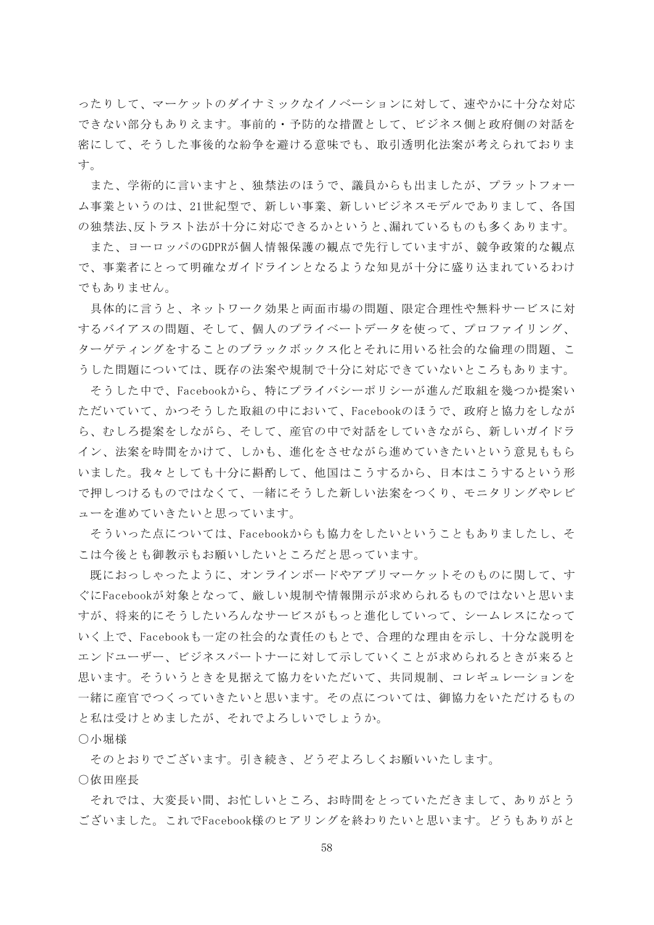ったりして、マーケットのダイナミックなイノベーションに対して、速やかに十分な対応 できない部分もありえます。事前的・予防的な措置として、ビジネス側と政府側の対話を 密にして、そうした事後的な紛争を避ける意味でも、取引透明化法案が考えられておりま す。

また、学術的に言いますと、独禁法のほうで、議員からも出ましたが、プラットフォー ム事業というのは、21世紀型で、新しい事業、新しいビジネスモデルでありまして、各国 の独禁法、反トラスト法が十分に対応できるかというと、漏れているものも多くあります。

また、ヨーロッパのGDPRが個人情報保護の観点で先行していますが、競争政策的な観点 で、事業者にとって明確なガイドラインとなるような知見が十分に盛り込まれているわけ でもありません。

具体的に言うと、ネットワーク効果と両面市場の問題、限定合理性や無料サービスに対 するバイアスの問題、そして、個人のプライベートデータを使って、プロファイリング、 ターゲティングをすることのブラックボックス化とそれに用いる社会的な倫理の問題、こ うした問題については、既存の法案や規制で十分に対応できていないところもあります。

そうした中で、Facebookから、特にプライバシーポリシーが進んだ取組を幾つか提案い ただいていて、かつそうした取組の中において、Facebookのほうで、政府と協力をしなが ら、むしろ提案をしながら、そして、産官の中で対話をしていきながら、新しいガイドラ イン、法案を時間をかけて、しかも、進化をさせながら進めていきたいという意見ももら いました。我々としても十分に斟酌して、他国はこうするから、日本はこうするという形 で押しつけるものではなくて、一緒にそうした新しい法案をつくり、モニタリングやレビ ューを進めていきたいと思っています。

そういった点については、Facebookからも協力をしたいということもありましたし、そ こは今後とも御教示もお願いしたいところだと思っています。

既におっしゃったように、オンラインボードやアプリマーケットそのものに関して、す ぐにFacebookが対象となって、厳しい規制や情報開示が求められるものではないと思いま すが、将来的にそうしたいろんなサービスがもっと進化していって、シームレスになって いく上で、Facebookも一定の社会的な責任のもとで、合理的な理由を示し、十分な説明を エンドユーザー、ビジネスパートナーに対して示していくことが求められるときが来ると 思います。そういうときを見据えて協力をいただいて、共同規制、コレギュレーションを 一緒に産官でつくっていきたいと思います。その点については、御協力をいただけるもの と私は受けとめましたが、それでよろしいでしょうか。

○小堀様

そのとおりでございます。引き続き、どうぞよろしくお願いいたします。

○依田座長

それでは、大変長い間、お忙しいところ、お時間をとっていただきまして、ありがとう ございました。これでFacebook様のヒアリングを終わりたいと思います。どうもありがと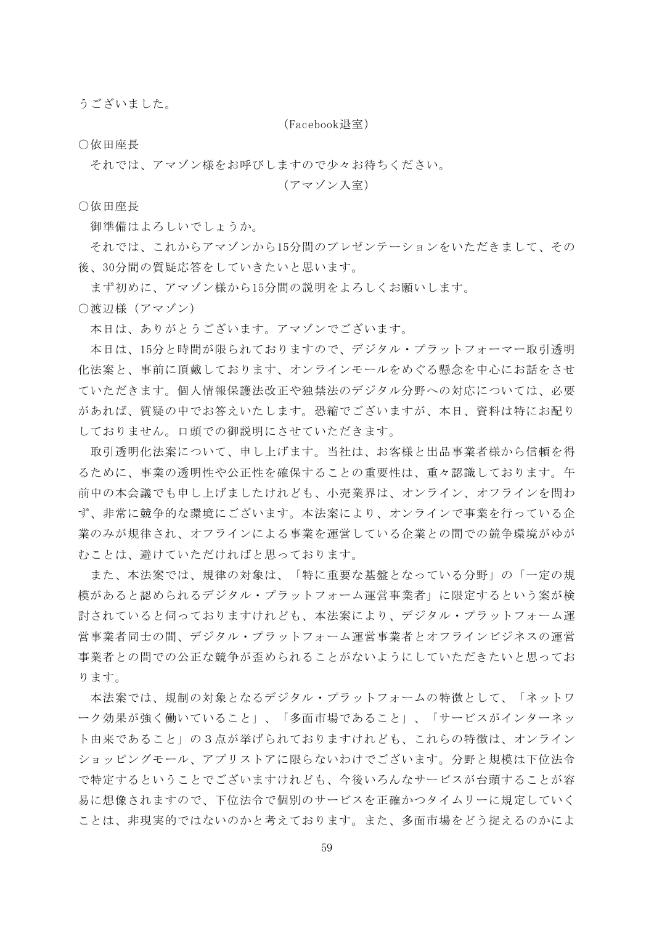うございました。

(Facebook退室)

○依田座長

それでは、アマゾン様をお呼びしますので少々お待ちください。

(アマゾン入室)

○依田座長

御準備はよろしいでしょうか。

それでは、これからアマゾンから15分間のプレゼンテーションをいただきまして、その 後、30分間の質疑応答をしていきたいと思います。

まず初めに、アマゾン様から15分間の説明をよろしくお願いします。

○渡辺様(アマゾン)

本日は、ありがとうございます。アマゾンでございます。

本日は、15分と時間が限られておりますので、デジタル・プラットフォーマー取引透明 化法案と、事前に頂戴しております、オンラインモールをめぐる懸念を中心にお話をさせ ていただきます。個人情報保護法改正や独禁法のデジタル分野への対応については、必要 があれば、質疑の中でお答えいたします。恐縮でございますが、本日、資料は特にお配り しておりません。口頭での御説明にさせていただきます。

取引透明化法案について、申し上げます。当社は、お客様と出品事業者様から信頼を得 るために、事業の透明性や公正性を確保することの重要性は、重々認識しております。午 前中の本会議でも申し上げましたけれども、小売業界は、オンライン、オフラインを問わ ず、非常に競争的な環境にございます。本法案により、オンラインで事業を行っている企 業のみが規律され、オフラインによる事業を運営している企業との間での競争環境がゆが むことは、避けていただければと思っております。

また、本法案では、規律の対象は、「特に重要な基盤となっている分野」の「一定の規 模があると認められるデジタル・プラットフォーム運営事業者」に限定するという案が検 討されていると伺っておりますけれども、本法案により、デジタル・プラットフォーム運 営事業者同士の間、デジタル・プラットフォーム運営事業者とオフラインビジネスの運営 事業者との間での公正な競争が歪められることがないようにしていただきたいと思ってお ります。

本法案では、規制の対象となるデジタル・プラットフォームの特徴として、「ネットワ ーク効果が強く働いていること」、「多面市場であること」、「サービスがインターネッ ト由来であること」の3点が挙げられておりますけれども、これらの特徴は、オンライン ショッピングモール、アプリストアに限らないわけでございます。分野と規模は下位法令 で特定するということでございますけれども、今後いろんなサービスが台頭することが容 易に想像されますので、下位法令で個別のサービスを正確かつタイムリーに規定していく ことは、非現実的ではないのかと考えております。また、多面市場をどう捉えるのかによ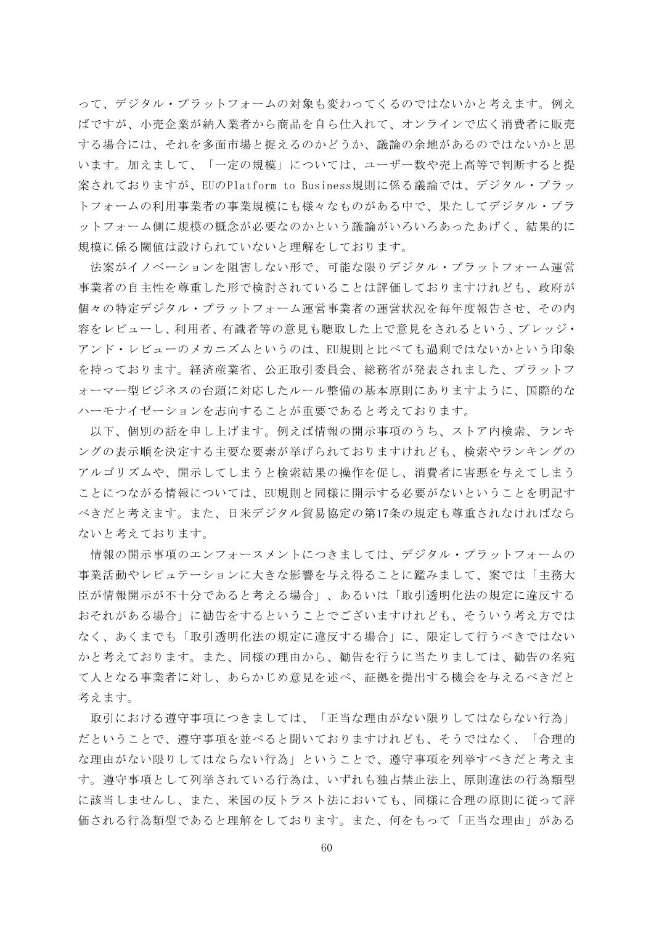って、デジタル・プラットフォームの対象も変わってくるのではないかと考えます。例え ばですが、小売企業が納入業者から商品を自ら仕入れて、オンラインで広く消費者に販売 する場合には、それを多面市場と捉えるのかどうか、議論の余地があるのではないかと思 います。加えまして、「一定の規模」については、ユーザー数や売上高等で判断すると提 案されておりますが、EUのPlatform to Business規則に係る議論では、デジタル・プラッ トフォームの利用事業者の事業規模にも様々なものがある中で、果たしてデジタル・プラ ットフォーム側に規模の概念が必要なのかという議論がいろいろあったあげく、結果的に 規模に係る閾値は設けられていないと理解をしております。

法案がイノベーションを阻害しない形で、可能な限りデジタル・プラットフォーム運営 事業者の自主性を尊重した形で検討されていることは評価しておりますけれども、政府が 個々の特定デジタル・プラットフォーム運営事業者の運営状況を毎年度報告させ、その内 容をレビューし、利用者、有識者等の意見も聴取した上で意見をされるという、プレッジ・ アンド・レビューのメカニズムというのは、EU規則と比べても過剰ではないかという印象 を持っております。経済産業省、公正取引委員会、総務省が発表されました、プラットフ ォーマー型ビジネスの台頭に対応したルール整備の基本原則にありますように、国際的な ハーモナイゼーションを志向することが重要であると考えております。

以下、個別の話を申し上げます。例えば情報の開示事項のうち、ストア内検索、ランキ ングの表示順を決定する主要な要素が挙げられておりますけれども、検索やランキングの アルゴリズムや、開示してしまうと検索結果の操作を促し、消費者に害悪を与えてしまう ことにつながる情報については、EU規則と同様に開示する必要がないということを明記す べきだと考えます。また、日米デジタル貿易協定の第17条の規定も尊重されなければなら ないと考えております。

情報の開示事項のエンフォースメントにつきましては、デジタル・プラットフォームの 事業活動やレピュテーションに大きな影響を与え得ることに鑑みまして、案では「主務大 臣が情報開示が不十分であると考える場合」、あるいは「取引透明化法の規定に違反する おそれがある場合」に勧告をするということでございますけれども、そういう考え方では なく、あくまでも「取引透明化法の規定に違反する場合」に、限定して行うべきではない かと考えております。また、同様の理由から、勧告を行うに当たりましては、勧告の名宛 て人となる事業者に対し、あらかじめ意見を述べ、証拠を提出する機会を与えるべきだと 考えます。

取引における遵守事項につきましては、「正当な理由がない限りしてはならない行為」 だということで、遵守事項を並べると聞いておりますけれども、そうではなく、「合理的 な理由がない限りしてはならない行為」ということで、遵守事項を列挙すべきだと考えま す。遵守事項として列挙されている行為は、いずれも独占禁止法上、原則違法の行為類型 に該当しませんし、また、米国の反トラスト法においても、同様に合理の原則に従って評 価される行為類型であると理解をしております。また、何をもって「正当な理由」がある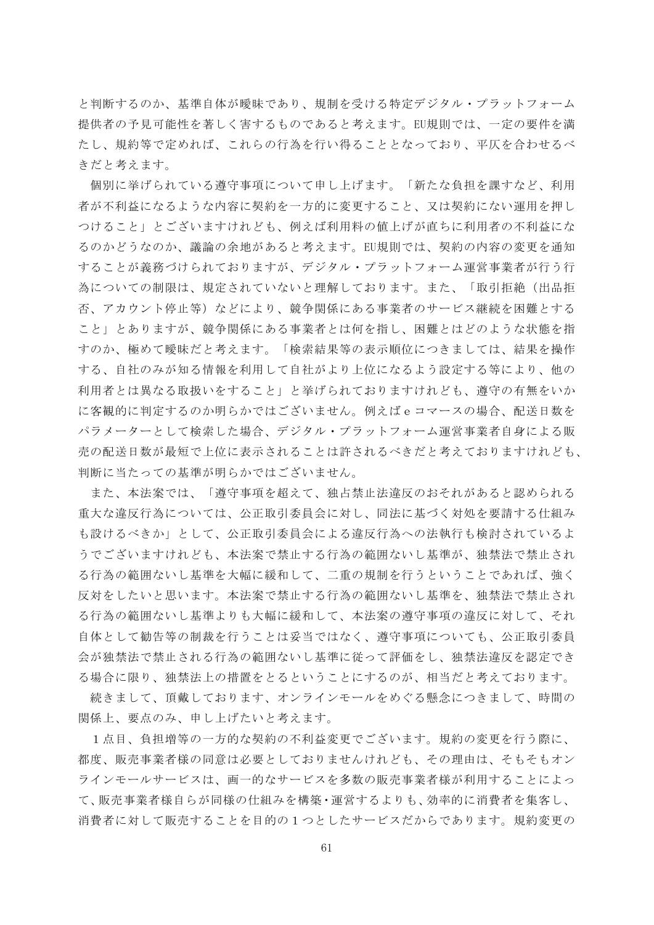と判断するのか、基準自体が曖昧であり、規制を受ける特定デジタル・プラットフォーム 提供者の予見可能性を著しく害するものであると考えます。EU規則では、一定の要件を満 たし、規約等で定めれば、これらの行為を行い得ることとなっており、平仄を合わせるべ きだと考えます。

個別に挙げられている遵守事項について申し上げます。「新たな負担を課すなど、利用 者が不利益になるような内容に契約を一方的に変更すること、又は契約にない運用を押し つけること」とございますけれども、例えば利用料の値上げが直ちに利用者の不利益にな るのかどうなのか、議論の余地があると考えます。EU規則では、契約の内容の変更を通知 することが義務づけられておりますが、デジタル・プラットフォーム運営事業者が行う行 為についての制限は、規定されていないと理解しております。また、「取引拒絶(出品拒 否、アカウント停止等)などにより、競争関係にある事業者のサービス継続を困難とする こと」とありますが、競争関係にある事業者とは何を指し、困難とはどのような状態を指 すのか、極めて曖昧だと考えます。「検索結果等の表示順位につきましては、結果を操作 する、自社のみが知る情報を利用して自社がより上位になるよう設定する等により、他の 利用者とは異なる取扱いをすること」と挙げられておりますけれども、遵守の有無をいか に客観的に判定するのか明らかではございません。例えばeコマースの場合、配送日数を パラメーターとして検索した場合、デジタル・プラットフォーム運営事業者自身による販 売の配送日数が最短で上位に表示されることは許されるべきだと考えておりますけれども、 判断に当たっての基準が明らかではございません。

また、本法案では、「遵守事項を超えて、独占禁止法違反のおそれがあると認められる 重大な違反行為については、公正取引委員会に対し、同法に基づく対処を要請する仕組み も設けるべきか」として、公正取引委員会による違反行為への法執行も検討されているよ うでございますけれども、本法案で禁止する行為の範囲ないし基準が、独禁法で禁止され る行為の範囲ないし基準を大幅に緩和して、二重の規制を行うということであれば、強く 反対をしたいと思います。本法案で禁止する行為の範囲ないし基準を、独禁法で禁止され る行為の範囲ないし基準よりも大幅に緩和して、本法案の遵守事項の違反に対して、それ 自体として勧告等の制裁を行うことは妥当ではなく、遵守事項についても、公正取引委員 会が独禁法で禁止される行為の範囲ないし基準に従って評価をし、独禁法違反を認定でき る場合に限り、独禁法上の措置をとるということにするのが、相当だと考えております。

続きまして、頂戴しております、オンラインモールをめぐる懸念につきまして、時間の 関係上、要点のみ、申し上げたいと考えます。

1点目、負担増等の一方的な契約の不利益変更でございます。規約の変更を行う際に、 都度、販売事業者様の同意は必要としておりませんけれども、その理由は、そもそもオン ラインモールサービスは、画一的なサービスを多数の販売事業者様が利用することによっ て、販売事業者様自らが同様の仕組みを構築・運営するよりも、効率的に消費者を集客し、 消費者に対して販売することを目的の1つとしたサービスだからであります。規約変更の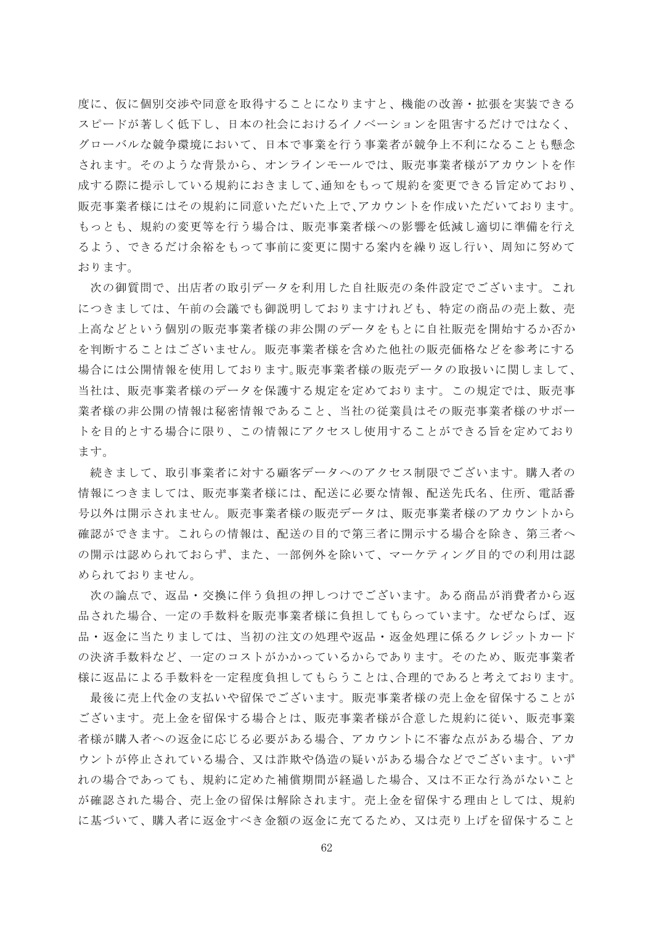度に、仮に個別交渉や同意を取得することになりますと、機能の改善・拡張を実装できる スピードが著しく低下し、日本の社会におけるイノベーションを阻害するだけではなく、 グローバルな競争環境において、日本で事業を行う事業者が競争上不利になることも懸念 されます。そのような背景から、オンラインモールでは、販売事業者様がアカウントを作 成する際に提示している規約におきまして、通知をもって規約を変更できる旨定めており、 販売事業者様にはその規約に同意いただいた上で、アカウントを作成いただいております。 もっとも、規約の変更等を行う場合は、販売事業者様への影響を低減し適切に準備を行え るよう、できるだけ余裕をもって事前に変更に関する案内を繰り返し行い、周知に努めて おります。

次の御質問で、出店者の取引データを利用した自社販売の条件設定でございます。これ につきましては、午前の会議でも御説明しておりますけれども、特定の商品の売上数、売 上高などという個別の販売事業者様の非公開のデータをもとに自社販売を開始するか否か を判断することはございません。販売事業者様を含めた他社の販売価格などを参考にする 場合には公開情報を使用しております。販売事業者様の販売データの取扱いに関しまして、 当社は、販売事業者様のデータを保護する規定を定めております。この規定では、販売事 業者様の非公開の情報は秘密情報であること、当社の従業員はその販売事業者様のサポー トを目的とする場合に限り、この情報にアクセスし使用することができる旨を定めており ます。

続きまして、取引事業者に対する顧客データへのアクセス制限でございます。購入者の 情報につきましては、販売事業者様には、配送に必要な情報、配送先氏名、住所、電話番 号以外は開示されません。販売事業者様の販売データは、販売事業者様のアカウントから 確認ができます。これらの情報は、配送の目的で第三者に開示する場合を除き、第三者へ の開示は認められておらず、また、一部例外を除いて、マーケティング目的での利用は認 められておりません。

次の論点で、返品・交換に伴う負担の押しつけでございます。ある商品が消費者から返 品された場合、一定の手数料を販売事業者様に負担してもらっています。なぜならば、返 品・返金に当たりましては、当初の注文の処理や返品・返金処理に係るクレジットカード の決済手数料など、一定のコストがかかっているからであります。そのため、販売事業者 様に返品による手数料を一定程度負担してもらうことは、合理的であると考えております。

最後に売上代金の支払いや留保でございます。販売事業者様の売上金を留保することが ございます。売上金を留保する場合とは、販売事業者様が合意した規約に従い、販売事業 者様が購入者への返金に応じる必要がある場合、アカウントに不審な点がある場合、アカ ウントが停止されている場合、又は詐欺や偽造の疑いがある場合などでございます。いず れの場合であっても、規約に定めた補償期間が経過した場合、又は不正な行為がないこと が確認された場合、売上金の留保は解除されます。売上金を留保する理由としては、規約 に基づいて、購入者に返金すべき金額の返金に充てるため、又は売り上げを留保すること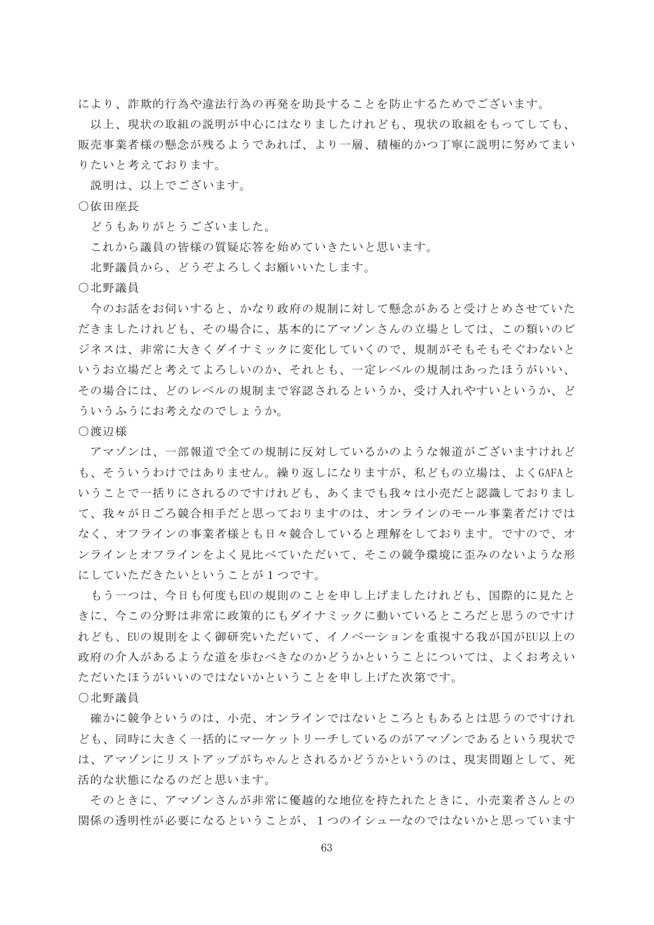により、詐欺的行為や違法行為の再発を助長することを防止するためでございます。

以上、現状の取組の説明が中心にはなりましたけれども、現状の取組をもってしても、 販売事業者様の懸念が残るようであれば、より一層、積極的かつ丁寧に説明に努めてまい りたいと考えております。

説明は、以上でございます。

## ○依田座長

どうもありがとうございました。

これから議員の皆様の質疑応答を始めていきたいと思います。

北野議員から、どうぞよろしくお願いいたします。

○北野議員

今のお話をお伺いすると、かなり政府の規制に対して懸念があると受けとめさせていた だきましたけれども、その場合に、基本的にアマゾンさんの立場としては、この類いのビ ジネスは、非常に大きくダイナミックに変化していくので、規制がそもそもそぐわないと いうお立場だと考えてよろしいのか、それとも、一定レベルの規制はあったほうがいい、 その場合には、どのレベルの規制まで容認されるというか、受け入れやすいというか、ど ういうふうにお考えなのでしょうか。

#### ○渡辺様

アマゾンは、一部報道で全ての規制に反対しているかのような報道がございますけれど も、そういうわけではありません。繰り返しになりますが、私どもの立場は、よくGAFAと いうことで一括りにされるのですけれども、あくまでも我々は小売だと認識しておりまし て、我々が日ごろ競合相手だと思っておりますのは、オンラインのモール事業者だけでは なく、オフラインの事業者様とも日々競合していると理解をしております。ですので、オ ンラインとオフラインをよく見比べていただいて、そこの競争環境に歪みのないような形 にしていただきたいということが1つです。

もう一つは、今日も何度もEUの規則のことを申し上げましたけれども、国際的に見たと きに、今この分野は非常に政策的にもダイナミックに動いているところだと思うのですけ れども、EUの規則をよく御研究いただいて、イノベーションを重視する我が国がEU以上の 政府の介入があるような道を歩むべきなのかどうかということについては、よくお考えい ただいたほうがいいのではないかということを申し上げた次第です。

## ○北野議員

確かに競争というのは、小売、オンラインではないところともあるとは思うのですけれ ども、同時に大きく一括的にマーケットリーチしているのがアマゾンであるという現状で は、アマゾンにリストアップがちゃんとされるかどうかというのは、現実問題として、死 活的な状態になるのだと思います。

そのときに、アマゾンさんが非常に優越的な地位を持たれたときに、小売業者さんとの 関係の透明性が必要になるということが、1つのイシューなのではないかと思っています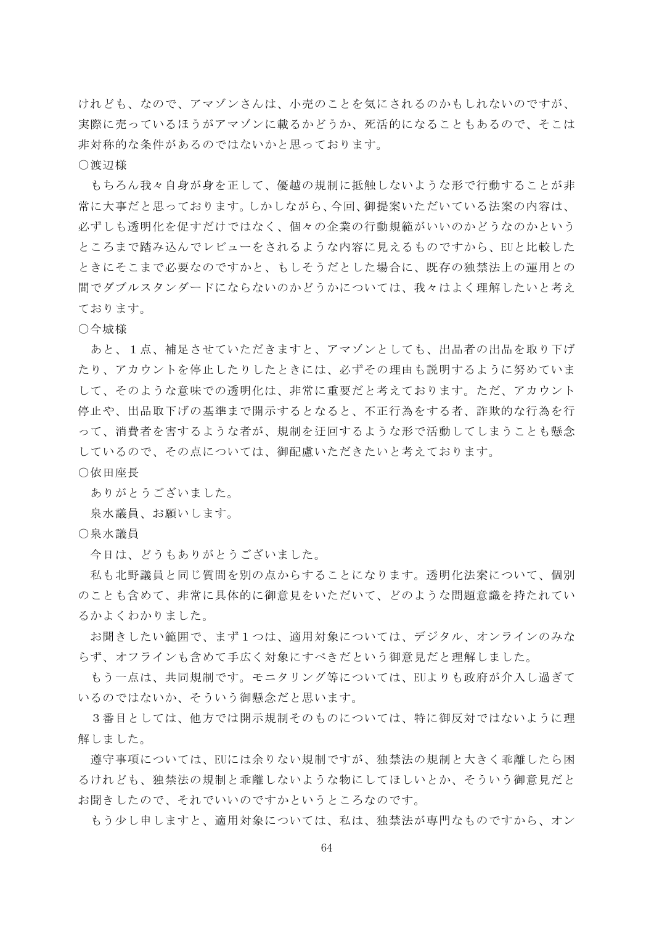けれども、なので、アマゾンさんは、小売のことを気にされるのかもしれないのですが、 実際に売っているほうがアマゾンに載るかどうか、死活的になることもあるので、そこは 非対称的な条件があるのではないかと思っております。

○渡辺様

もちろん我々自身が身を正して、優越の規制に抵触しないような形で行動することが非 常に大事だと思っております。しかしながら、今回、御提案いただいている法案の内容は、 必ずしも透明化を促すだけではなく、個々の企業の行動規範がいいのかどうなのかという ところまで踏み込んでレビューをされるような内容に見えるものですから、EUと比較した ときにそこまで必要なのですかと、もしそうだとした場合に、既存の独禁法上の運用との 間でダブルスタンダードにならないのかどうかについては、我々はよく理解したいと考え ております。

## ○今城様

あと、1点、補足させていただきますと、アマゾンとしても、出品者の出品を取り下げ たり、アカウントを停止したりしたときには、必ずその理由も説明するように努めていま して、そのような意味での透明化は、非常に重要だと考えております。ただ、アカウント 停止や、出品取下げの基準まで開示するとなると、不正行為をする者、詐欺的な行為を行 って、消費者を害するような者が、規制を迂回するような形で活動してしまうことも懸念 しているので、その点については、御配慮いただきたいと考えております。

#### ○依田座長

ありがとうございました。

泉水議員、お願いします。

○泉水議員

今日は、どうもありがとうございました。

私も北野議員と同じ質問を別の点からすることになります。透明化法案について、個別 のことも含めて、非常に具体的に御意見をいただいて、どのような問題意識を持たれてい るかよくわかりました。

お聞きしたい範囲で、まず1つは、適用対象については、デジタル、オンラインのみな らず、オフラインも含めて手広く対象にすべきだという御意見だと理解しました。

もう一点は、共同規制です。モニタリング等については、EUよりも政府が介入し過ぎて いるのではないか、そういう御懸念だと思います。

3番目としては、他方では開示規制そのものについては、特に御反対ではないように理 解しました。

遵守事項については、EUには余りない規制ですが、独禁法の規制と大きく乖離したら困 るけれども、独禁法の規制と乖離しないような物にしてほしいとか、そういう御意見だと お聞きしたので、それでいいのですかというところなのです。

もう少し申しますと、適用対象については、私は、独禁法が専門なものですから、オン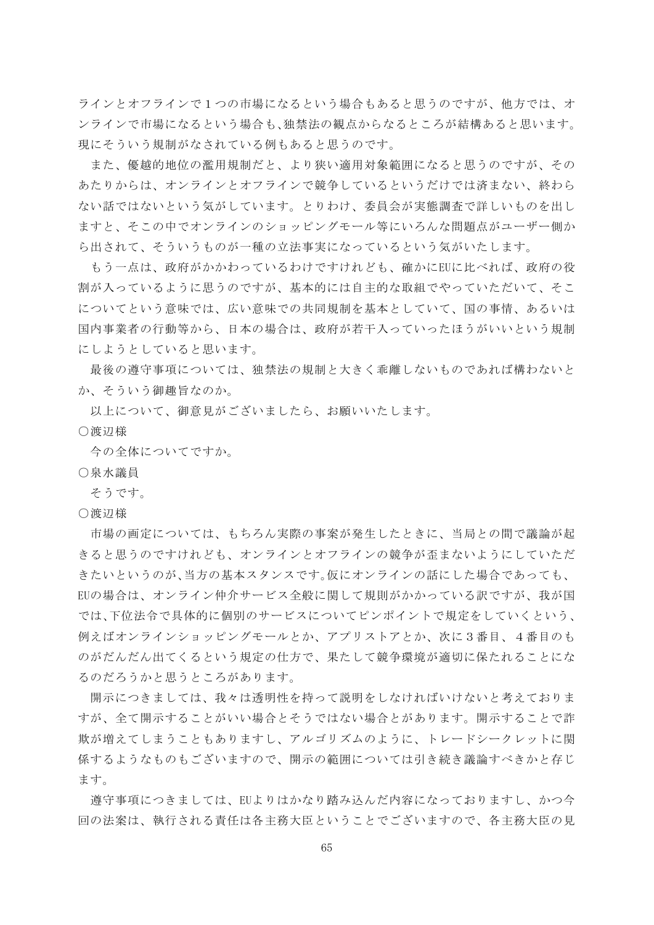ラインとオフラインで1つの市場になるという場合もあると思うのですが、他方では、オ ンラインで市場になるという場合も、独禁法の観点からなるところが結構あると思います。 現にそういう規制がなされている例もあると思うのです。

また、優越的地位の濫用規制だと、より狭い適用対象範囲になると思うのですが、その あたりからは、オンラインとオフラインで競争しているというだけでは済まない、終わら ない話ではないという気がしています。とりわけ、委員会が実態調査で詳しいものを出し ますと、そこの中でオンラインのショッピングモール等にいろんな問題点がユーザー側か ら出されて、そういうものが一種の立法事実になっているという気がいたします。

もう一点は、政府がかかわっているわけですけれども、確かにEUに比べれば、政府の役 割が入っているように思うのですが、基本的には自主的な取組でやっていただいて、そこ についてという意味では、広い意味での共同規制を基本としていて、国の事情、あるいは 国内事業者の行動等から、日本の場合は、政府が若干入っていったほうがいいという規制 にしようとしていると思います。

最後の遵守事項については、独禁法の規制と大きく乖離しないものであれば構わないと か、そういう御趣旨なのか。

以上について、御意見がございましたら、お願いいたします。

○渡辺様

今の全体についてですか。

○泉水議員

そうです。

○渡辺様

市場の画定については、もちろん実際の事案が発生したときに、当局との間で議論が起 きると思うのですけれども、オンラインとオフラインの競争が歪まないようにしていただ きたいというのが、当方の基本スタンスです。仮にオンラインの話にした場合であっても、 EUの場合は、オンライン仲介サービス全般に関して規則がかかっている訳ですが、我が国 では、下位法令で具体的に個別のサービスについてピンポイントで規定をしていくという、 例えばオンラインショッピングモールとか、アプリストアとか、次に3番目、4番目のも のがだんだん出てくるという規定の仕方で、果たして競争環境が適切に保たれることにな るのだろうかと思うところがあります。

開示につきましては、我々は透明性を持って説明をしなければいけないと考えておりま すが、全て開示することがいい場合とそうではない場合とがあります。開示することで詐 欺が増えてしまうこともありますし、アルゴリズムのように、トレードシークレットに関 係するようなものもございますので、開示の範囲については引き続き議論すべきかと存じ ます。

遵守事項につきましては、EUよりはかなり踏み込んだ内容になっておりますし、かつ今 回の法案は、執行される責任は各主務大臣ということでございますので、各主務大臣の見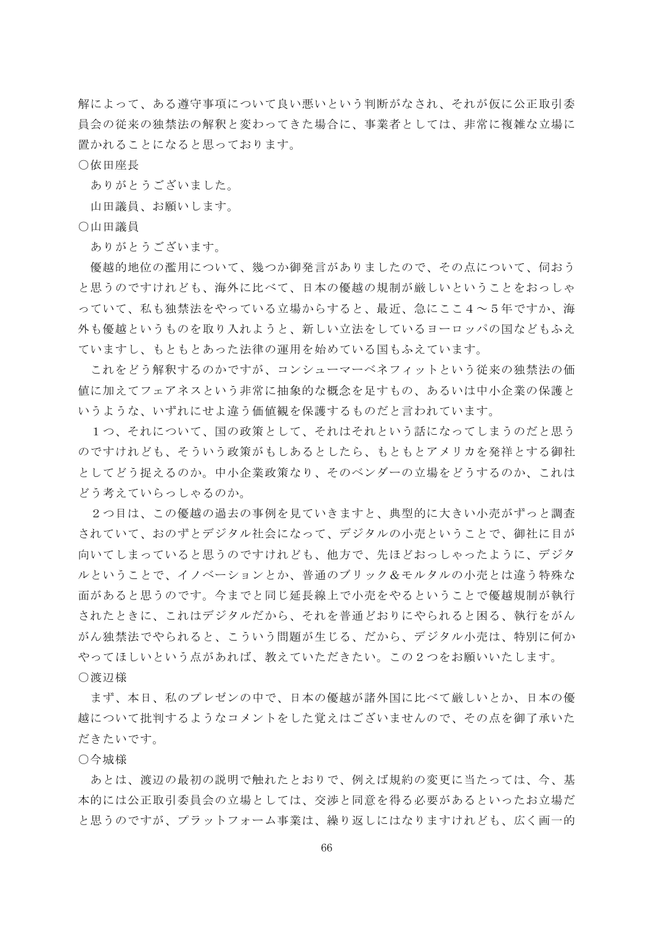解によって、ある遵守事項について良い悪いという判断がなされ、それが仮に公正取引委 員会の従来の独禁法の解釈と変わってきた場合に、事業者としては、非常に複雑な立場に 置かれることになると思っております。

○依田座長

ありがとうございました。

山田議員、お願いします。

○山田議員

ありがとうございます。

優越的地位の濫用について、幾つか御発言がありましたので、その点について、伺おう と思うのですけれども、海外に比べて、日本の優越の規制が厳しいということをおっしゃ っていて、私も独禁法をやっている立場からすると、最近、急にここ4~5年ですか、海 外も優越というものを取り入れようと、新しい立法をしているヨーロッパの国などもふえ ていますし、もともとあった法律の運用を始めている国もふえています。

これをどう解釈するのかですが、コンシューマーベネフィットという従来の独禁法の価 値に加えてフェアネスという非常に抽象的な概念を足すもの、あるいは中小企業の保護と いうような、いずれにせよ違う価値観を保護するものだと言われています。

1つ、それについて、国の政策として、それはそれという話になってしまうのだと思う のですけれども、そういう政策がもしあるとしたら、もともとアメリカを発祥とする御社 としてどう捉えるのか。中小企業政策なり、そのベンダーの立場をどうするのか、これは どう考えていらっしゃるのか。

2つ目は、この優越の過去の事例を見ていきますと、典型的に大きい小売がずっと調査 されていて、おのずとデジタル社会になって、デジタルの小売ということで、御社に目が 向いてしまっていると思うのですけれども、他方で、先ほどおっしゃったように、デジタ ルということで、イノベーションとか、普通のブリック&モルタルの小売とは違う特殊な 面があると思うのです。今までと同じ延長線上で小売をやるということで優越規制が執行 されたときに、これはデジタルだから、それを普通どおりにやられると困る、執行をがん がん独禁法でやられると、こういう問題が生じる、だから、デジタル小売は、特別に何か やってほしいという点があれば、教えていただきたい。この2つをお願いいたします。 ○渡辺様

まず、本日、私のプレゼンの中で、日本の優越が諸外国に比べて厳しいとか、日本の優 越について批判するようなコメントをした覚えはございませんので、その点を御了承いた だきたいです。

○今城様

あとは、渡辺の最初の説明で触れたとおりで、例えば規約の変更に当たっては、今、基 本的には公正取引委員会の立場としては、交渉と同意を得る必要があるといったお立場だ と思うのですが、プラットフォーム事業は、繰り返しにはなりますけれども、広く画一的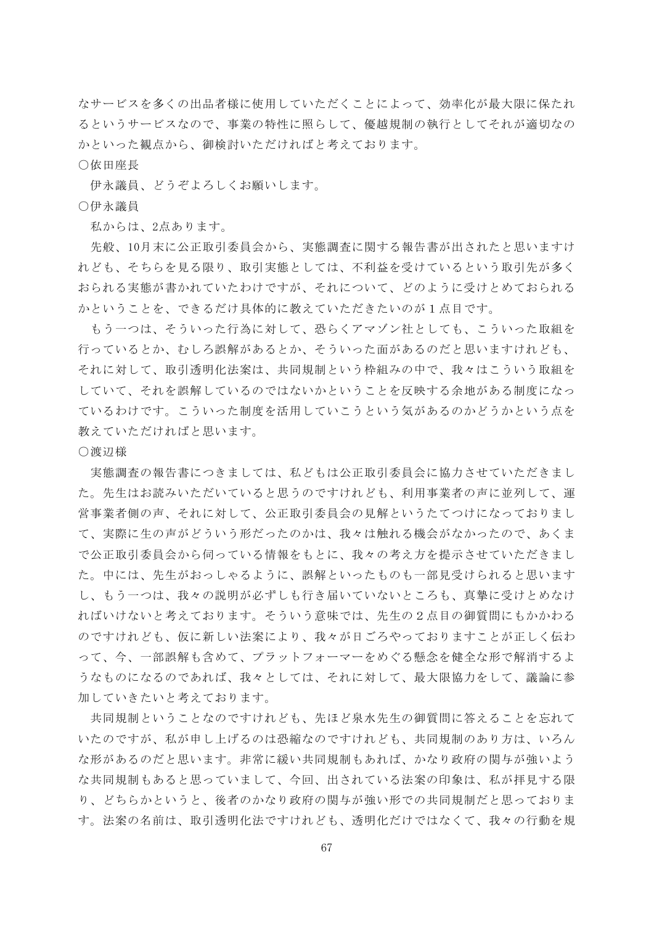なサービスを多くの出品者様に使用していただくことによって、効率化が最大限に保たれ るというサービスなので、事業の特性に照らして、優越規制の執行としてそれが適切なの かといった観点から、御検討いただければと考えております。

## ○依田座長

伊永議員、どうぞよろしくお願いします。

## ○伊永議員

私からは、2点あります。

先般、10月末に公正取引委員会から、実態調査に関する報告書が出されたと思いますけ れども、そちらを見る限り、取引実態としては、不利益を受けているという取引先が多く おられる実態が書かれていたわけですが、それについて、どのように受けとめておられる かということを、できるだけ具体的に教えていただきたいのが1点目です。

もう一つは、そういった行為に対して、恐らくアマゾン社としても、こういった取組を 行っているとか、むしろ誤解があるとか、そういった面があるのだと思いますけれども、 それに対して、取引透明化法案は、共同規制という枠組みの中で、我々はこういう取組を していて、それを誤解しているのではないかということを反映する余地がある制度になっ ているわけです。こういった制度を活用していこうという気があるのかどうかという点を 教えていただければと思います。

#### ○渡辺様

実態調査の報告書につきましては、私どもは公正取引委員会に協力させていただきまし た。先生はお読みいただいていると思うのですけれども、利用事業者の声に並列して、運 営事業者側の声、それに対して、公正取引委員会の見解というたてつけになっておりまし て、実際に生の声がどういう形だったのかは、我々は触れる機会がなかったので、あくま で公正取引委員会から伺っている情報をもとに、我々の考え方を提示させていただきまし た。中には、先生がおっしゃるように、誤解といったものも一部見受けられると思います し、もう一つは、我々の説明が必ずしも行き届いていないところも、真摯に受けとめなけ ればいけないと考えております。そういう意味では、先生の2点目の御質問にもかかわる のですけれども、仮に新しい法案により、我々が日ごろやっておりますことが正しく伝わ って、今、一部誤解も含めて、プラットフォーマーをめぐる懸念を健全な形で解消するよ うなものになるのであれば、我々としては、それに対して、最大限協力をして、議論に参 加していきたいと考えております。

共同規制ということなのですけれども、先ほど泉水先生の御質問に答えることを忘れて いたのですが、私が申し上げるのは恐縮なのですけれども、共同規制のあり方は、いろん な形があるのだと思います。非常に緩い共同規制もあれば、かなり政府の関与が強いよう な共同規制もあると思っていまして、今回、出されている法案の印象は、私が拝見する限 り、どちらかというと、後者のかなり政府の関与が強い形での共同規制だと思っておりま す。法案の名前は、取引透明化法ですけれども、透明化だけではなくて、我々の行動を規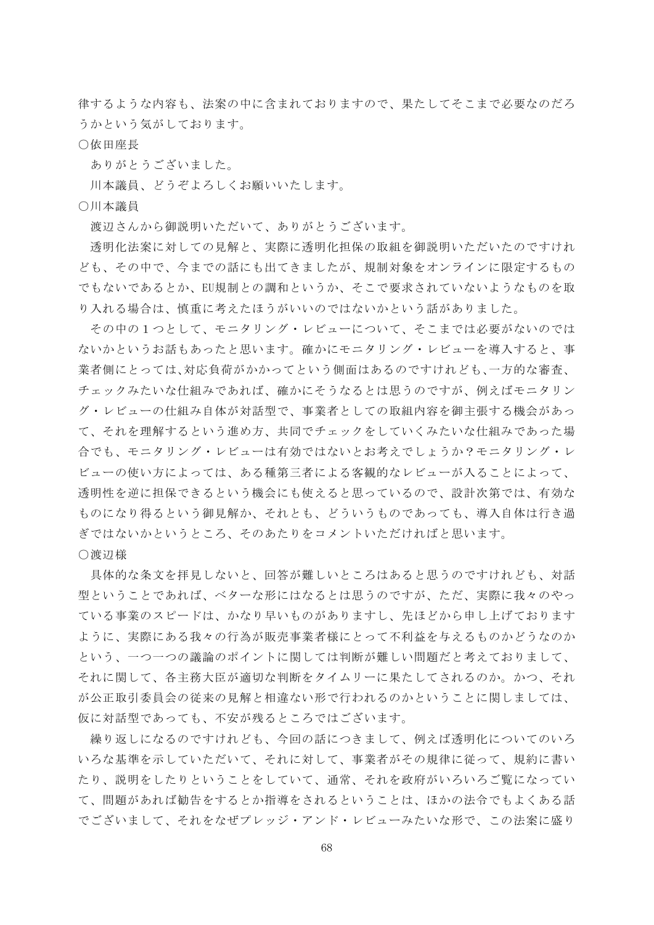律するような内容も、法案の中に含まれておりますので、果たしてそこまで必要なのだろ うかという気がしております。

○依田座長

ありがとうございました。

川本議員、どうぞよろしくお願いいたします。

○川本議員

渡辺さんから御説明いただいて、ありがとうございます。

透明化法案に対しての見解と、実際に透明化担保の取組を御説明いただいたのですけれ ども、その中で、今までの話にも出てきましたが、規制対象をオンラインに限定するもの でもないであるとか、EU規制との調和というか、そこで要求されていないようなものを取 り入れる場合は、慎重に考えたほうがいいのではないかという話がありました。

その中の1つとして、モニタリング・レビューについて、そこまでは必要がないのでは ないかというお話もあったと思います。確かにモニタリング・レビューを導入すると、事 業者側にとっては、対応負荷がかかってという側面はあるのですけれども、一方的な審査、 チェックみたいな仕組みであれば、確かにそうなるとは思うのですが、例えばモニタリン グ・レビューの仕組み自体が対話型で、事業者としての取組内容を御主張する機会があっ て、それを理解するという進め方、共同でチェックをしていくみたいな仕組みであった場 合でも、モニタリング・レビューは有効ではないとお考えでしょうか?モニタリング・レ ビューの使い方によっては、ある種第三者による客観的なレビューが入ることによって、 透明性を逆に担保できるという機会にも使えると思っているので、設計次第では、有効な ものになり得るという御見解か、それとも、どういうものであっても、導入自体は行き過 ぎではないかというところ、そのあたりをコメントいただければと思います。 ○渡辺様

具体的な条文を拝見しないと、回答が難しいところはあると思うのですけれども、対話 型ということであれば、ベターな形にはなるとは思うのですが、ただ、実際に我々のやっ ている事業のスピードは、かなり早いものがありますし、先ほどから申し上げております ように、実際にある我々の行為が販売事業者様にとって不利益を与えるものかどうなのか という、一つ一つの議論のポイントに関しては判断が難しい問題だと考えておりまして、 それに関して、各主務大臣が適切な判断をタイムリーに果たしてされるのか。かつ、それ が公正取引委員会の従来の見解と相違ない形で行われるのかということに関しましては、 仮に対話型であっても、不安が残るところではございます。

繰り返しになるのですけれども、今回の話につきまして、例えば透明化についてのいろ いろな基準を示していただいて、それに対して、事業者がその規律に従って、規約に書い たり、説明をしたりということをしていて、通常、それを政府がいろいろご覧になってい て、問題があれば勧告をするとか指導をされるということは、ほかの法令でもよくある話 でございまして、それをなぜプレッジ・アンド・レビューみたいな形で、この法案に盛り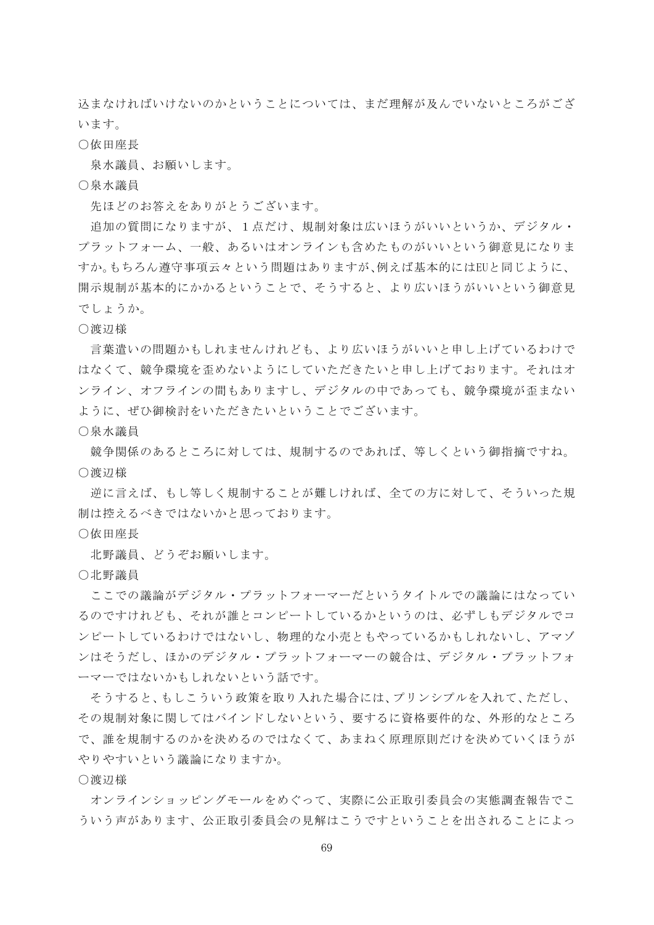込まなければいけないのかということについては、まだ理解が及んでいないところがござ います。

## ○依田座長

泉水議員、お願いします。

○泉水議員

先ほどのお答えをありがとうございます。

追加の質問になりますが、1点だけ、規制対象は広いほうがいいというか、デジタル・ プラットフォーム、一般、あるいはオンラインも含めたものがいいという御意見になりま すか。もちろん遵守事項云々という問題はありますが、例えば基本的にはEUと同じように、 開示規制が基本的にかかるということで、そうすると、より広いほうがいいという御意見 でしょうか。

○渡辺様

言葉遣いの問題かもしれませんけれども、より広いほうがいいと申し上げているわけで はなくて、競争環境を歪めないようにしていただきたいと申し上げております。それはオ ンライン、オフラインの間もありますし、デジタルの中であっても、競争環境が歪まない ように、ぜひ御検討をいただきたいということでございます。

○泉水議員

競争関係のあるところに対しては、規制するのであれば、等しくという御指摘ですね。 ○渡辺様

逆に言えば、もし等しく規制することが難しければ、全ての方に対して、そういった規 制は控えるべきではないかと思っております。

○依田座長

北野議員、どうぞお願いします。

○北野議員

ここでの議論がデジタル・プラットフォーマーだというタイトルでの議論にはなってい るのですけれども、それが誰とコンピートしているかというのは、必ずしもデジタルでコ ンピートしているわけではないし、物理的な小売ともやっているかもしれないし、アマゾ ンはそうだし、ほかのデジタル・プラットフォーマーの競合は、デジタル・プラットフォ ーマーではないかもしれないという話です。

そうすると、もしこういう政策を取り入れた場合には、プリンシプルを入れて、ただし、 その規制対象に関してはバインドしないという、要するに資格要件的な、外形的なところ で、誰を規制するのかを決めるのではなくて、あまねく原理原則だけを決めていくほうが やりやすいという議論になりますか。

○渡辺様

オンラインショッピングモールをめぐって、実際に公正取引委員会の実態調査報告でこ ういう声があります、公正取引委員会の見解はこうですということを出されることによっ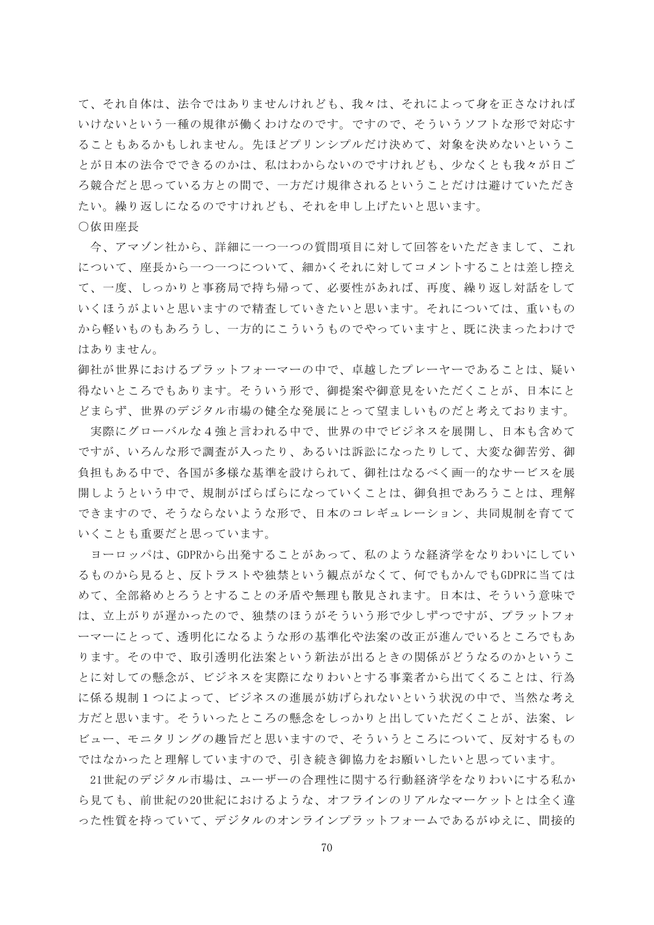て、それ自体は、法令ではありませんけれども、我々は、それによって身を正さなければ いけないという一種の規律が働くわけなのです。ですので、そういうソフトな形で対応す ることもあるかもしれません。先ほどプリンシプルだけ決めて、対象を決めないというこ とが日本の法令でできるのかは、私はわからないのですけれども、少なくとも我々が日ご ろ競合だと思っている方との間で、一方だけ規律されるということだけは避けていただき たい。繰り返しになるのですけれども、それを申し上げたいと思います。

○依田座長

今、アマゾン社から、詳細に一つ一つの質問項目に対して回答をいただきまして、これ について、座長から一つ一つについて、細かくそれに対してコメントすることは差し控え て、一度、しっかりと事務局で持ち帰って、必要性があれば、再度、繰り返し対話をして いくほうがよいと思いますので精査していきたいと思います。それについては、重いもの から軽いものもあろうし、一方的にこういうものでやっていますと、既に決まったわけで はありません。

御社が世界におけるプラットフォーマーの中で、卓越したプレーヤーであることは、疑い 得ないところでもあります。そういう形で、御提案や御意見をいただくことが、日本にと どまらず、世界のデジタル市場の健全な発展にとって望ましいものだと考えております。

実際にグローバルな4強と言われる中で、世界の中でビジネスを展開し、日本も含めて ですが、いろんな形で調査が入ったり、あるいは訴訟になったりして、大変な御苦労、御 負担もある中で、各国が多様な基準を設けられて、御社はなるべく画一的なサービスを展 開しようという中で、規制がばらばらになっていくことは、御負担であろうことは、理解 できますので、そうならないような形で、日本のコレギュレーション、共同規制を育てて いくことも重要だと思っています。

ヨーロッパは、GDPRから出発することがあって、私のような経済学をなりわいにしてい るものから見ると、反トラストや独禁という観点がなくて、何でもかんでもGDPRに当ては めて、全部絡めとろうとすることの矛盾や無理も散見されます。日本は、そういう意味で は、立上がりが遅かったので、独禁のほうがそういう形で少しずつですが、プラットフォ ーマーにとって、透明化になるような形の基準化や法案の改正が進んでいるところでもあ ります。その中で、取引透明化法案という新法が出るときの関係がどうなるのかというこ とに対しての懸念が、ビジネスを実際になりわいとする事業者から出てくることは、行為 に係る規制1つによって、ビジネスの進展が妨げられないという状況の中で、当然な考え 方だと思います。そういったところの懸念をしっかりと出していただくことが、法案、レ ビュー、モニタリングの趣旨だと思いますので、そういうところについて、反対するもの ではなかったと理解していますので、引き続き御協力をお願いしたいと思っています。

21世紀のデジタル市場は、ユーザーの合理性に関する行動経済学をなりわいにする私か ら見ても、前世紀の20世紀におけるような、オフラインのリアルなマーケットとは全く違 った性質を持っていて、デジタルのオンラインプラットフォームであるがゆえに、間接的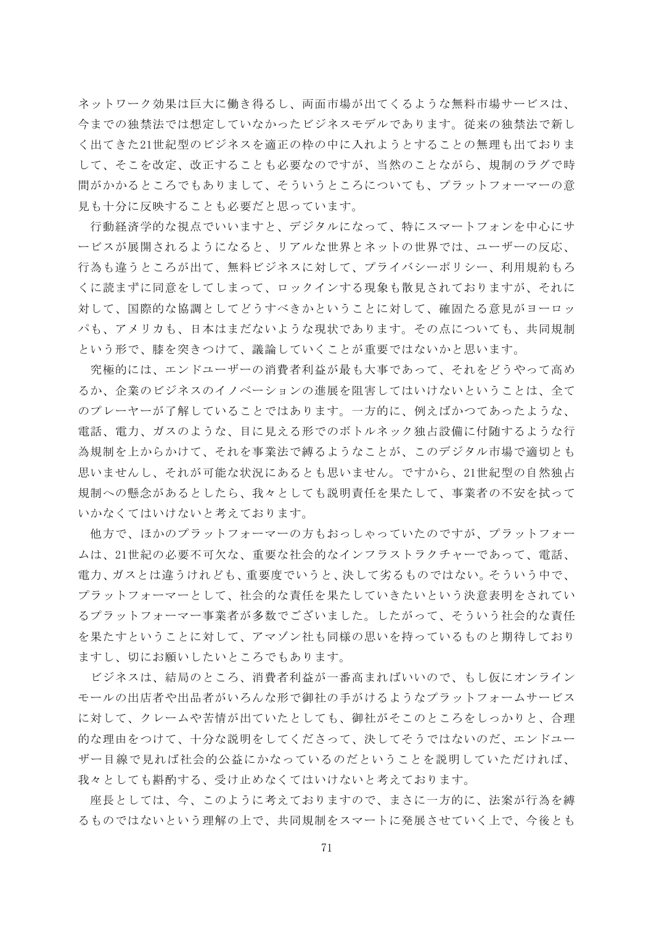ネットワーク効果は巨大に働き得るし、両面市場が出てくるような無料市場サービスは、 今までの独禁法では想定していなかったビジネスモデルであります。従来の独禁法で新し く出てきた21世紀型のビジネスを適正の枠の中に入れようとすることの無理も出ておりま して、そこを改定、改正することも必要なのですが、当然のことながら、規制のラグで時 間がかかるところでもありまして、そういうところについても、プラットフォーマーの意 見も十分に反映することも必要だと思っています。

行動経済学的な視点でいいますと、デジタルになって、特にスマートフォンを中心にサ ービスが展開されるようになると、リアルな世界とネットの世界では、ユーザーの反応、 行為も違うところが出て、無料ビジネスに対して、プライバシーポリシー、利用規約もろ くに読まずに同意をしてしまって、ロックインする現象も散見されておりますが、それに 対して、国際的な協調としてどうすべきかということに対して、確固たる意見がヨーロッ パも、アメリカも、日本はまだないような現状であります。その点についても、共同規制 という形で、膝を突きつけて、議論していくことが重要ではないかと思います。

究極的には、エンドユーザーの消費者利益が最も大事であって、それをどうやって高め るか、企業のビジネスのイノベーションの進展を阻害してはいけないということは、全て のプレーヤーが了解していることではあります。一方的に、例えばかつてあったような、 電話、電力、ガスのような、目に見える形でのボトルネック独占設備に付随するような行 為規制を上からかけて、それを事業法で縛るようなことが、このデジタル市場で適切とも 思いませんし、それが可能な状況にあるとも思いません。ですから、21世紀型の自然独占 規制への懸念があるとしたら、我々としても説明責任を果たして、事業者の不安を拭って いかなくてはいけないと考えております。

他方で、ほかのプラットフォーマーの方もおっしゃっていたのですが、プラットフォー ムは、21世紀の必要不可欠な、重要な社会的なインフラストラクチャーであって、電話、 電力、ガスとは違うけれども、重要度でいうと、決して劣るものではない。そういう中で、 プラットフォーマーとして、社会的な責任を果たしていきたいという決意表明をされてい るプラットフォーマー事業者が多数でございました。したがって、そういう社会的な責任 を果たすということに対して、アマゾン社も同様の思いを持っているものと期待しており ますし、切にお願いしたいところでもあります。

ビジネスは、結局のところ、消費者利益が一番高まればいいので、もし仮にオンライン モールの出店者や出品者がいろんな形で御社の手がけるようなプラットフォームサービス に対して、クレームや苦情が出ていたとしても、御社がそこのところをしっかりと、合理 的な理由をつけて、十分な説明をしてくださって、決してそうではないのだ、エンドユー ザー目線で見れば社会的公益にかなっているのだということを説明していただければ、 我々としても斟酌する、受け止めなくてはいけないと考えております。

座長としては、今、このように考えておりますので、まさに一方的に、法案が行為を縛 るものではないという理解の上で、共同規制をスマートに発展させていく上で、今後とも